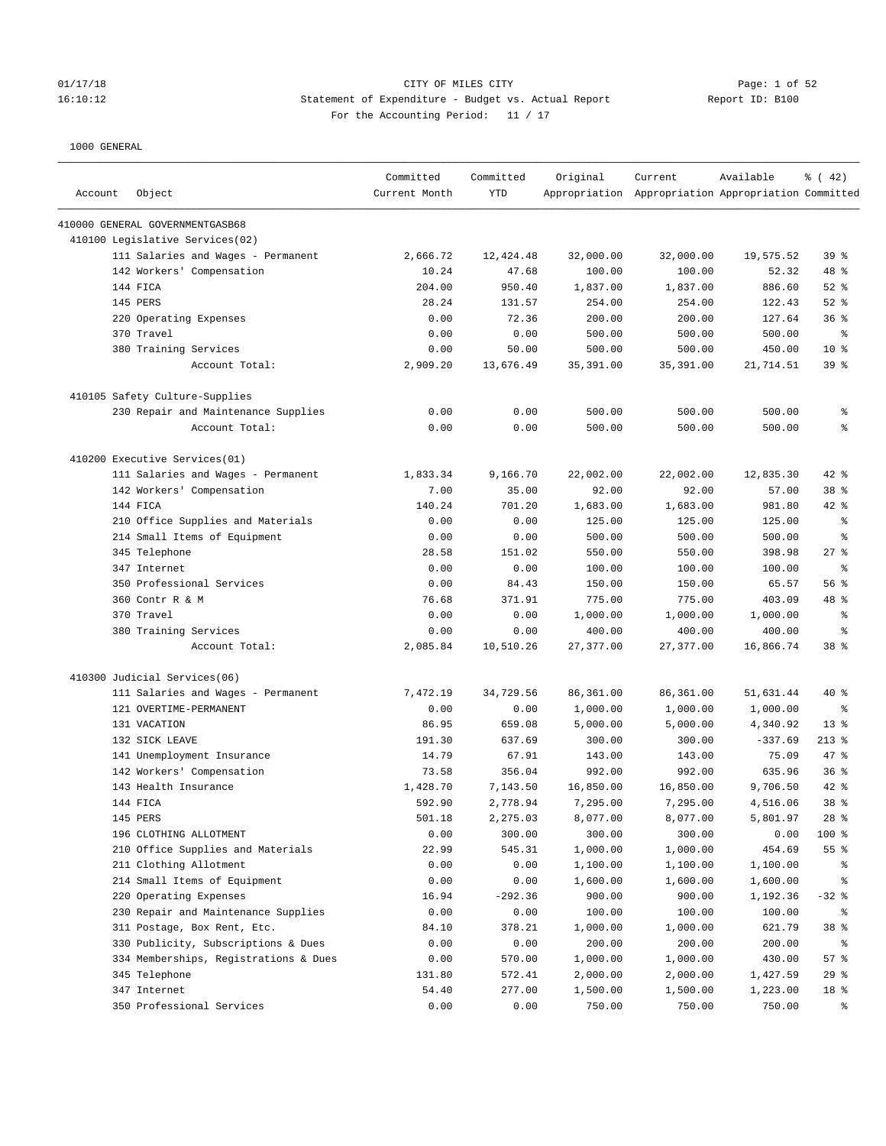### 01/17/18 Page: 1 of 52 Page: 1 of 52 16:10:12 Statement of Expenditure - Budget vs. Actual Report Report ID: B100 For the Accounting Period: 11 / 17

| Account | Object                                | Committed<br>Current Month | Committed<br><b>YTD</b> | Original   | Current<br>Appropriation Appropriation Appropriation Committed | Available | $\frac{1}{6}$ (42) |
|---------|---------------------------------------|----------------------------|-------------------------|------------|----------------------------------------------------------------|-----------|--------------------|
|         | 410000 GENERAL GOVERNMENTGASB68       |                            |                         |            |                                                                |           |                    |
|         | 410100 Legislative Services(02)       |                            |                         |            |                                                                |           |                    |
|         | 111 Salaries and Wages - Permanent    | 2,666.72                   | 12,424.48               | 32,000.00  | 32,000.00                                                      | 19,575.52 | 39 <sup>8</sup>    |
|         | 142 Workers' Compensation             | 10.24                      | 47.68                   | 100.00     | 100.00                                                         | 52.32     | 48 %               |
|         | 144 FICA                              | 204.00                     | 950.40                  | 1,837.00   | 1,837.00                                                       | 886.60    | $52$ $%$           |
|         | 145 PERS                              | 28.24                      | 131.57                  | 254.00     | 254.00                                                         | 122.43    | $52$ $%$           |
|         | 220 Operating Expenses                | 0.00                       | 72.36                   | 200.00     | 200.00                                                         | 127.64    | 36%                |
|         | 370 Travel                            | 0.00                       | 0.00                    | 500.00     | 500.00                                                         | 500.00    | ႜ                  |
|         | 380 Training Services                 | 0.00                       | 50.00                   | 500.00     | 500.00                                                         | 450.00    | $10*$              |
|         | Account Total:                        | 2,909.20                   | 13,676.49               | 35, 391.00 | 35,391.00                                                      | 21,714.51 | 39 <sup>8</sup>    |
|         | 410105 Safety Culture-Supplies        |                            |                         |            |                                                                |           |                    |
|         | 230 Repair and Maintenance Supplies   | 0.00                       | 0.00                    | 500.00     | 500.00                                                         | 500.00    | န့                 |
|         | Account Total:                        | 0.00                       | 0.00                    | 500.00     | 500.00                                                         | 500.00    | န္                 |
|         | 410200 Executive Services(01)         |                            |                         |            |                                                                |           |                    |
|         | 111 Salaries and Wages - Permanent    | 1,833.34                   | 9,166.70                | 22,002.00  | 22,002.00                                                      | 12,835.30 | $42$ %             |
|         | 142 Workers' Compensation             | 7.00                       | 35.00                   | 92.00      | 92.00                                                          | 57.00     | 38 <sup>8</sup>    |
|         | 144 FICA                              | 140.24                     | 701.20                  | 1,683.00   | 1,683.00                                                       | 981.80    | $42$ %             |
|         | 210 Office Supplies and Materials     | 0.00                       | 0.00                    | 125.00     | 125.00                                                         | 125.00    | န့                 |
|         | 214 Small Items of Equipment          | 0.00                       | 0.00                    | 500.00     | 500.00                                                         | 500.00    | ႜ                  |
|         | 345 Telephone                         | 28.58                      | 151.02                  | 550.00     | 550.00                                                         | 398.98    | $27$ %             |
|         | 347 Internet                          | 0.00                       | 0.00                    | 100.00     | 100.00                                                         | 100.00    | ႜ                  |
|         | 350 Professional Services             | 0.00                       | 84.43                   | 150.00     | 150.00                                                         | 65.57     | 56%                |
|         | 360 Contr R & M                       | 76.68                      | 371.91                  | 775.00     | 775.00                                                         | 403.09    | 48 %               |
|         | 370 Travel                            | 0.00                       | 0.00                    | 1,000.00   | 1,000.00                                                       | 1,000.00  | န္                 |
|         | 380 Training Services                 | 0.00                       | 0.00                    | 400.00     | 400.00                                                         | 400.00    | န္                 |
|         | Account Total:                        | 2,085.84                   | 10,510.26               | 27,377.00  | 27, 377.00                                                     | 16,866.74 | 38 <sup>8</sup>    |
|         | 410300 Judicial Services(06)          |                            |                         |            |                                                                |           |                    |
|         | 111 Salaries and Wages - Permanent    | 7,472.19                   | 34,729.56               | 86,361.00  | 86,361.00                                                      | 51,631.44 | $40*$              |
|         | 121 OVERTIME-PERMANENT                | 0.00                       | 0.00                    | 1,000.00   | 1,000.00                                                       | 1,000.00  | ႜ                  |
|         | 131 VACATION                          | 86.95                      | 659.08                  | 5,000.00   | 5,000.00                                                       | 4,340.92  | $13*$              |
|         | 132 SICK LEAVE                        | 191.30                     | 637.69                  | 300.00     | 300.00                                                         | $-337.69$ | $213$ %            |
|         | 141 Unemployment Insurance            | 14.79                      | 67.91                   | 143.00     | 143.00                                                         | 75.09     | 47 %               |
|         | 142 Workers' Compensation             | 73.58                      | 356.04                  | 992.00     | 992.00                                                         | 635.96    | 36%                |
|         | 143 Health Insurance                  | 1,428.70                   | 7,143.50                | 16,850.00  | 16,850.00                                                      | 9,706.50  | $42$ %             |
|         | 144 FICA                              | 592.90                     | 2,778.94                | 7,295.00   | 7,295.00                                                       | 4,516.06  | 38 %               |
|         | 145 PERS                              | 501.18                     | 2,275.03                | 8,077.00   | 8,077.00                                                       | 5,801.97  | $28$ %             |
|         | 196 CLOTHING ALLOTMENT                | 0.00                       | 300.00                  | 300.00     | 300.00                                                         | 0.00      | 100 %              |
|         | 210 Office Supplies and Materials     | 22.99                      | 545.31                  | 1,000.00   | 1,000.00                                                       | 454.69    | 55 %               |
|         | 211 Clothing Allotment                | 0.00                       | 0.00                    | 1,100.00   | 1,100.00                                                       | 1,100.00  | ႜ                  |
|         | 214 Small Items of Equipment          | 0.00                       | 0.00                    | 1,600.00   | 1,600.00                                                       | 1,600.00  | န့                 |
|         | 220 Operating Expenses                | 16.94                      | $-292.36$               | 900.00     | 900.00                                                         | 1,192.36  | $-32$ %            |
|         | 230 Repair and Maintenance Supplies   | 0.00                       | 0.00                    | 100.00     | 100.00                                                         | 100.00    | ိ                  |
|         | 311 Postage, Box Rent, Etc.           | 84.10                      | 378.21                  | 1,000.00   | 1,000.00                                                       | 621.79    | 38 %               |
|         | 330 Publicity, Subscriptions & Dues   | 0.00                       | 0.00                    | 200.00     | 200.00                                                         | 200.00    | ႜွ                 |
|         | 334 Memberships, Registrations & Dues | 0.00                       | 570.00                  | 1,000.00   | 1,000.00                                                       | 430.00    | 57%                |
|         | 345 Telephone                         | 131.80                     | 572.41                  | 2,000.00   | 2,000.00                                                       | 1,427.59  | 29%                |
|         | 347 Internet                          | 54.40                      | 277.00                  | 1,500.00   | 1,500.00                                                       | 1,223.00  | 18 %               |
|         | 350 Professional Services             | 0.00                       | 0.00                    | 750.00     | 750.00                                                         | 750.00    | ိ                  |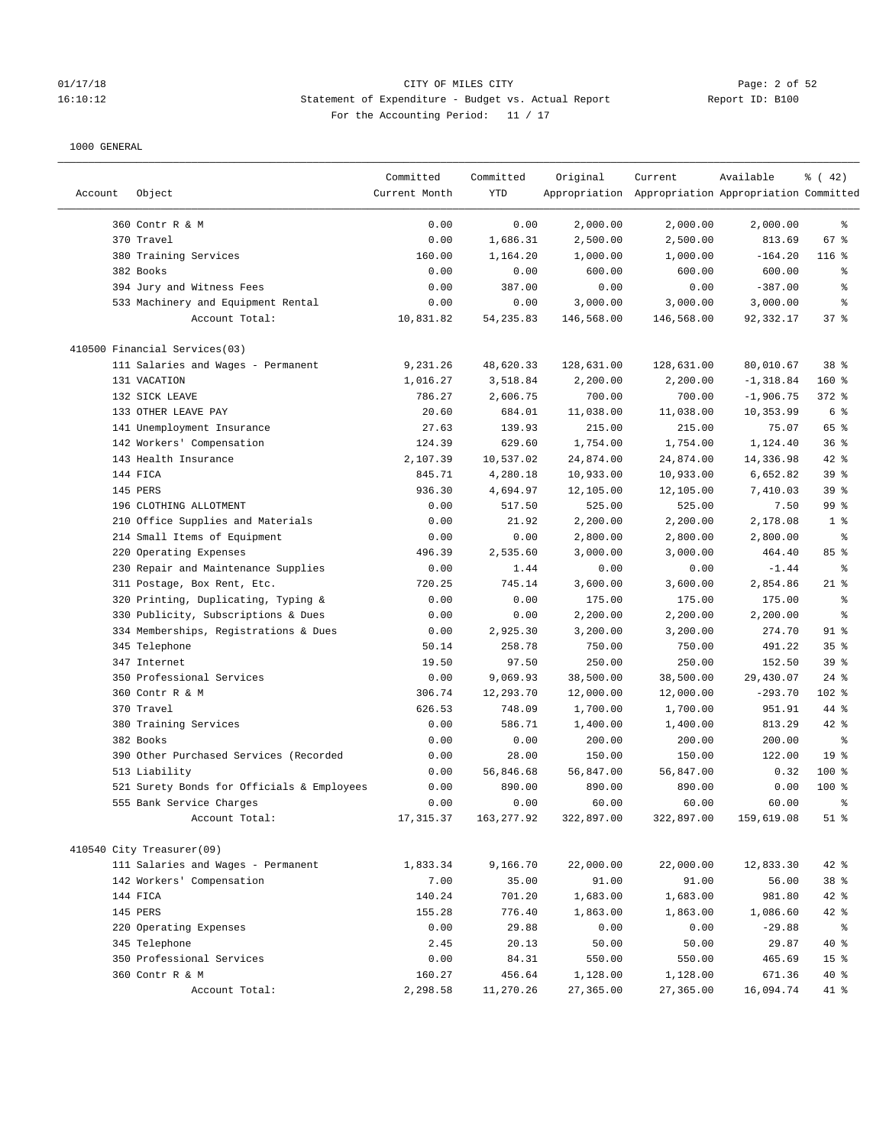#### 01/17/18 Page: 2 of 52 Page: 2 of 52 16:10:12 Statement of Expenditure - Budget vs. Actual Report Report ID: B100 For the Accounting Period: 11 / 17

|         |                                            | Committed     | Committed  | Original   | Current                                             | Available    | $\frac{3}{6}$ ( 42) |
|---------|--------------------------------------------|---------------|------------|------------|-----------------------------------------------------|--------------|---------------------|
| Account | Object                                     | Current Month | YTD        |            | Appropriation Appropriation Appropriation Committed |              |                     |
|         | 360 Contr R & M                            | 0.00          | 0.00       | 2,000.00   | 2,000.00                                            | 2,000.00     | နွ                  |
|         | 370 Travel                                 | 0.00          | 1,686.31   | 2,500.00   | 2,500.00                                            | 813.69       | 67 %                |
|         | 380 Training Services                      | 160.00        | 1,164.20   | 1,000.00   | 1,000.00                                            | $-164.20$    | $116$ %             |
|         | 382 Books                                  | 0.00          | 0.00       | 600.00     | 600.00                                              | 600.00       | နွ                  |
|         | 394 Jury and Witness Fees                  | 0.00          | 387.00     | 0.00       | 0.00                                                | $-387.00$    | နွ                  |
|         | 533 Machinery and Equipment Rental         | 0.00          | 0.00       | 3,000.00   | 3,000.00                                            | 3,000.00     | နွ                  |
|         | Account Total:                             | 10,831.82     | 54, 235.83 | 146,568.00 | 146,568.00                                          | 92,332.17    | 37%                 |
|         | 410500 Financial Services(03)              |               |            |            |                                                     |              |                     |
|         | 111 Salaries and Wages - Permanent         | 9,231.26      | 48,620.33  | 128,631.00 | 128,631.00                                          | 80,010.67    | 38 %                |
|         | 131 VACATION                               | 1,016.27      | 3,518.84   | 2,200.00   | 2,200.00                                            | $-1, 318.84$ | $160$ %             |
|         | 132 SICK LEAVE                             | 786.27        | 2,606.75   | 700.00     | 700.00                                              | $-1,906.75$  | $372$ $%$           |
|         | 133 OTHER LEAVE PAY                        | 20.60         | 684.01     | 11,038.00  | 11,038.00                                           | 10,353.99    | 6 %                 |
|         | 141 Unemployment Insurance                 | 27.63         | 139.93     | 215.00     | 215.00                                              | 75.07        | 65 %                |
|         | 142 Workers' Compensation                  | 124.39        | 629.60     | 1,754.00   | 1,754.00                                            | 1,124.40     | 36%                 |
|         | 143 Health Insurance                       | 2,107.39      | 10,537.02  | 24,874.00  | 24,874.00                                           | 14,336.98    | 42 %                |
|         | 144 FICA                                   | 845.71        | 4,280.18   | 10,933.00  | 10,933.00                                           | 6,652.82     | 39 %                |
|         | 145 PERS                                   | 936.30        | 4,694.97   | 12,105.00  | 12,105.00                                           | 7,410.03     | 39 %                |
|         | 196 CLOTHING ALLOTMENT                     | 0.00          | 517.50     | 525.00     | 525.00                                              | 7.50         | 99 %                |
|         | 210 Office Supplies and Materials          | 0.00          | 21.92      | 2,200.00   | 2,200.00                                            | 2,178.08     | 1 <sup>8</sup>      |
|         | 214 Small Items of Equipment               | 0.00          | 0.00       | 2,800.00   | 2,800.00                                            | 2,800.00     | နွ                  |
|         | 220 Operating Expenses                     | 496.39        | 2,535.60   | 3,000.00   | 3,000.00                                            | 464.40       | 85%                 |
|         | 230 Repair and Maintenance Supplies        | 0.00          | 1.44       | 0.00       | 0.00                                                | $-1.44$      | နွ                  |
|         | 311 Postage, Box Rent, Etc.                | 720.25        | 745.14     | 3,600.00   | 3,600.00                                            | 2,854.86     | $21$ %              |
|         | 320 Printing, Duplicating, Typing &        | 0.00          | 0.00       | 175.00     | 175.00                                              | 175.00       | ి                   |
|         | 330 Publicity, Subscriptions & Dues        | 0.00          | 0.00       | 2,200.00   | 2,200.00                                            | 2,200.00     | နွ                  |
|         | 334 Memberships, Registrations & Dues      | 0.00          | 2,925.30   | 3,200.00   | 3,200.00                                            | 274.70       | $91$ %              |
|         | 345 Telephone                              | 50.14         | 258.78     | 750.00     | 750.00                                              | 491.22       | 35%                 |
|         | 347 Internet                               | 19.50         | 97.50      | 250.00     | 250.00                                              | 152.50       | 39 %                |
|         | 350 Professional Services                  | 0.00          | 9,069.93   | 38,500.00  | 38,500.00                                           | 29,430.07    | $24$ %              |
|         | 360 Contr R & M                            | 306.74        | 12,293.70  | 12,000.00  | 12,000.00                                           | $-293.70$    | $102$ %             |
|         | 370 Travel                                 | 626.53        | 748.09     | 1,700.00   | 1,700.00                                            | 951.91       | 44 %                |
|         | 380 Training Services                      | 0.00          | 586.71     | 1,400.00   | 1,400.00                                            | 813.29       | 42 %                |
|         | 382 Books                                  | 0.00          | 0.00       | 200.00     | 200.00                                              | 200.00       | ి                   |
|         | 390 Other Purchased Services (Recorded     | 0.00          | 28.00      | 150.00     | 150.00                                              | 122.00       | 19 <sup>°</sup>     |
|         | 513 Liability                              | 0.00          | 56,846.68  | 56,847.00  | 56,847.00                                           | 0.32         | $100$ %             |
|         | 521 Surety Bonds for Officials & Employees | 0.00          | 890.00     | 890.00     | 890.00                                              | 0.00         | $100*$              |
|         | 555 Bank Service Charges                   | 0.00          | 0.00       | 60.00      | 60.00                                               | 60.00        | ి                   |
|         | Account Total:                             | 17, 315.37    | 163,277.92 | 322,897.00 | 322,897.00                                          | 159,619.08   | $51$ %              |
|         | 410540 City Treasurer(09)                  |               |            |            |                                                     |              |                     |
|         | 111 Salaries and Wages - Permanent         | 1,833.34      | 9,166.70   | 22,000.00  | 22,000.00                                           | 12,833.30    | 42 %                |
|         | 142 Workers' Compensation                  | 7.00          | 35.00      | 91.00      | 91.00                                               | 56.00        | 38 %                |
|         | 144 FICA                                   | 140.24        | 701.20     | 1,683.00   | 1,683.00                                            | 981.80       | 42 %                |
|         | 145 PERS                                   | 155.28        | 776.40     | 1,863.00   | 1,863.00                                            | 1,086.60     | $42$ %              |
|         | 220 Operating Expenses                     | 0.00          | 29.88      | 0.00       | 0.00                                                | $-29.88$     | ႜၟ                  |
|         | 345 Telephone                              | 2.45          | 20.13      | 50.00      | 50.00                                               | 29.87        | $40*$               |
|         | 350 Professional Services                  | 0.00          | 84.31      | 550.00     | 550.00                                              | 465.69       | 15 <sup>°</sup>     |
|         | 360 Contr R & M                            | 160.27        | 456.64     | 1,128.00   | 1,128.00                                            | 671.36       | 40 %                |
|         | Account Total:                             | 2,298.58      | 11,270.26  | 27,365.00  | 27,365.00                                           | 16,094.74    | 41 %                |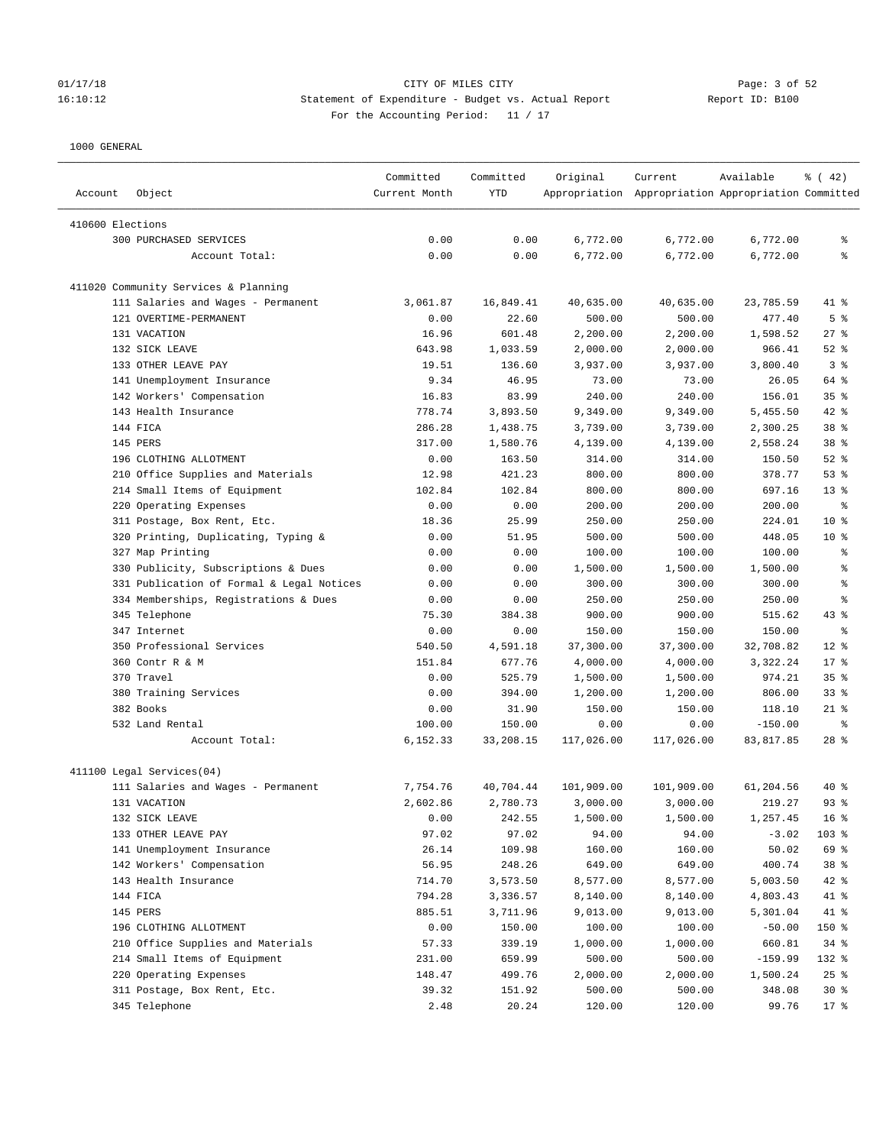# 01/17/18 Page: 3 of 52 16:10:12 Statement of Expenditure - Budget vs. Actual Report Report ID: B100 For the Accounting Period: 11 / 17

|                  |                                           | Committed     | Committed  | Original   | Current                                             | Available  | $\frac{3}{6}$ ( 42) |
|------------------|-------------------------------------------|---------------|------------|------------|-----------------------------------------------------|------------|---------------------|
| Account          | Object                                    | Current Month | <b>YTD</b> |            | Appropriation Appropriation Appropriation Committed |            |                     |
| 410600 Elections |                                           |               |            |            |                                                     |            |                     |
|                  | 300 PURCHASED SERVICES                    | 0.00          | 0.00       | 6,772.00   | 6,772.00                                            | 6,772.00   | နွ                  |
|                  | Account Total:                            | 0.00          | 0.00       | 6,772.00   | 6,772.00                                            | 6,772.00   | る                   |
|                  |                                           |               |            |            |                                                     |            |                     |
|                  | 411020 Community Services & Planning      |               |            |            |                                                     |            |                     |
|                  | 111 Salaries and Wages - Permanent        | 3,061.87      | 16,849.41  | 40,635.00  | 40,635.00                                           | 23,785.59  | 41 %                |
|                  | 121 OVERTIME-PERMANENT                    | 0.00          | 22.60      | 500.00     | 500.00                                              | 477.40     | 5 <sup>8</sup>      |
|                  | 131 VACATION                              | 16.96         | 601.48     | 2,200.00   | 2,200.00                                            | 1,598.52   | $27$ %              |
|                  | 132 SICK LEAVE                            | 643.98        | 1,033.59   | 2,000.00   | 2,000.00                                            | 966.41     | $52$ $%$            |
|                  | 133 OTHER LEAVE PAY                       | 19.51         | 136.60     | 3,937.00   | 3,937.00                                            | 3,800.40   | 3%                  |
|                  | 141 Unemployment Insurance                | 9.34          | 46.95      | 73.00      | 73.00                                               | 26.05      | 64 %                |
|                  | 142 Workers' Compensation                 | 16.83         | 83.99      | 240.00     | 240.00                                              | 156.01     | 35%                 |
|                  | 143 Health Insurance                      | 778.74        | 3,893.50   | 9,349.00   | 9,349.00                                            | 5,455.50   | $42$ %              |
|                  | 144 FICA                                  | 286.28        | 1,438.75   | 3,739.00   | 3,739.00                                            | 2,300.25   | 38 <sup>8</sup>     |
|                  | 145 PERS                                  | 317.00        | 1,580.76   | 4,139.00   | 4,139.00                                            | 2,558.24   | 38 <sup>8</sup>     |
|                  | 196 CLOTHING ALLOTMENT                    | 0.00          | 163.50     | 314.00     | 314.00                                              | 150.50     | $52$ $%$            |
|                  | 210 Office Supplies and Materials         | 12.98         | 421.23     | 800.00     | 800.00                                              | 378.77     | 53%                 |
|                  | 214 Small Items of Equipment              | 102.84        | 102.84     | 800.00     | 800.00                                              | 697.16     | $13*$               |
|                  | 220 Operating Expenses                    | 0.00          | 0.00       | 200.00     | 200.00                                              | 200.00     | ್ಠಿ                 |
|                  | 311 Postage, Box Rent, Etc.               | 18.36         | 25.99      | 250.00     | 250.00                                              | 224.01     | $10*$               |
|                  | 320 Printing, Duplicating, Typing &       | 0.00          | 51.95      | 500.00     | 500.00                                              | 448.05     | $10*$               |
|                  | 327 Map Printing                          | 0.00          | 0.00       | 100.00     | 100.00                                              | 100.00     | ి                   |
|                  | 330 Publicity, Subscriptions & Dues       | 0.00          | 0.00       | 1,500.00   | 1,500.00                                            | 1,500.00   | る                   |
|                  | 331 Publication of Formal & Legal Notices | 0.00          | 0.00       | 300.00     | 300.00                                              | 300.00     | る                   |
|                  | 334 Memberships, Registrations & Dues     | 0.00          | 0.00       | 250.00     | 250.00                                              | 250.00     | る                   |
|                  | 345 Telephone                             | 75.30         | 384.38     | 900.00     | 900.00                                              | 515.62     | $43$ %              |
|                  | 347 Internet                              | 0.00          | 0.00       | 150.00     | 150.00                                              | 150.00     | ್ಠಿ                 |
|                  | 350 Professional Services                 | 540.50        | 4,591.18   | 37,300.00  | 37,300.00                                           | 32,708.82  | $12*$               |
|                  | 360 Contr R & M                           | 151.84        | 677.76     | 4,000.00   | 4,000.00                                            | 3,322.24   | $17*$               |
|                  | 370 Travel                                | 0.00          | 525.79     | 1,500.00   | 1,500.00                                            | 974.21     | 35%                 |
|                  | 380 Training Services                     | 0.00          | 394.00     | 1,200.00   | 1,200.00                                            | 806.00     | 33%                 |
|                  | 382 Books                                 | 0.00          | 31.90      | 150.00     | 150.00                                              | 118.10     | $21$ %              |
|                  | 532 Land Rental                           | 100.00        | 150.00     | 0.00       | 0.00                                                | $-150.00$  | る                   |
|                  | Account Total:                            | 6,152.33      | 33,208.15  | 117,026.00 | 117,026.00                                          | 83, 817.85 | $28$ %              |
|                  |                                           |               |            |            |                                                     |            |                     |
|                  | 411100 Legal Services(04)                 |               |            |            |                                                     |            |                     |
|                  | 111 Salaries and Wages - Permanent        | 7,754.76      | 40,704.44  | 101,909.00 | 101,909.00                                          | 61,204.56  | 40 %                |
|                  | 131 VACATION                              | 2,602.86      | 2,780.73   | 3,000.00   | 3,000.00                                            | 219.27     | 93 %                |
|                  | 132 SICK LEAVE                            | 0.00          | 242.55     | 1,500.00   | 1,500.00                                            | 1,257.45   | 16 <sup>8</sup>     |
|                  | 133 OTHER LEAVE PAY                       | 97.02         | 97.02      | 94.00      | 94.00                                               | $-3.02$    | 103 %               |
|                  | 141 Unemployment Insurance                | 26.14         | 109.98     | 160.00     | 160.00                                              | 50.02      | 69 %                |
|                  | 142 Workers' Compensation                 | 56.95         | 248.26     | 649.00     | 649.00                                              | 400.74     | 38 %                |
|                  | 143 Health Insurance                      | 714.70        | 3,573.50   | 8,577.00   | 8,577.00                                            | 5,003.50   | 42 %                |
|                  | 144 FICA                                  | 794.28        | 3,336.57   | 8,140.00   | 8,140.00                                            | 4,803.43   | 41 %                |
|                  | 145 PERS                                  | 885.51        | 3,711.96   | 9,013.00   | 9,013.00                                            | 5,301.04   | 41 %                |
|                  | 196 CLOTHING ALLOTMENT                    | 0.00          | 150.00     | 100.00     | 100.00                                              | $-50.00$   | 150 %               |
|                  | 210 Office Supplies and Materials         | 57.33         | 339.19     | 1,000.00   | 1,000.00                                            | 660.81     | $34$ $%$            |
|                  | 214 Small Items of Equipment              | 231.00        | 659.99     | 500.00     | 500.00                                              | $-159.99$  | 132 %               |
|                  | 220 Operating Expenses                    | 148.47        | 499.76     | 2,000.00   | 2,000.00                                            | 1,500.24   | $25$ $%$            |
|                  | 311 Postage, Box Rent, Etc.               | 39.32         | 151.92     | 500.00     | 500.00                                              | 348.08     | $30*$               |
|                  | 345 Telephone                             | 2.48          | 20.24      | 120.00     | 120.00                                              | 99.76      | 17 <sub>8</sub>     |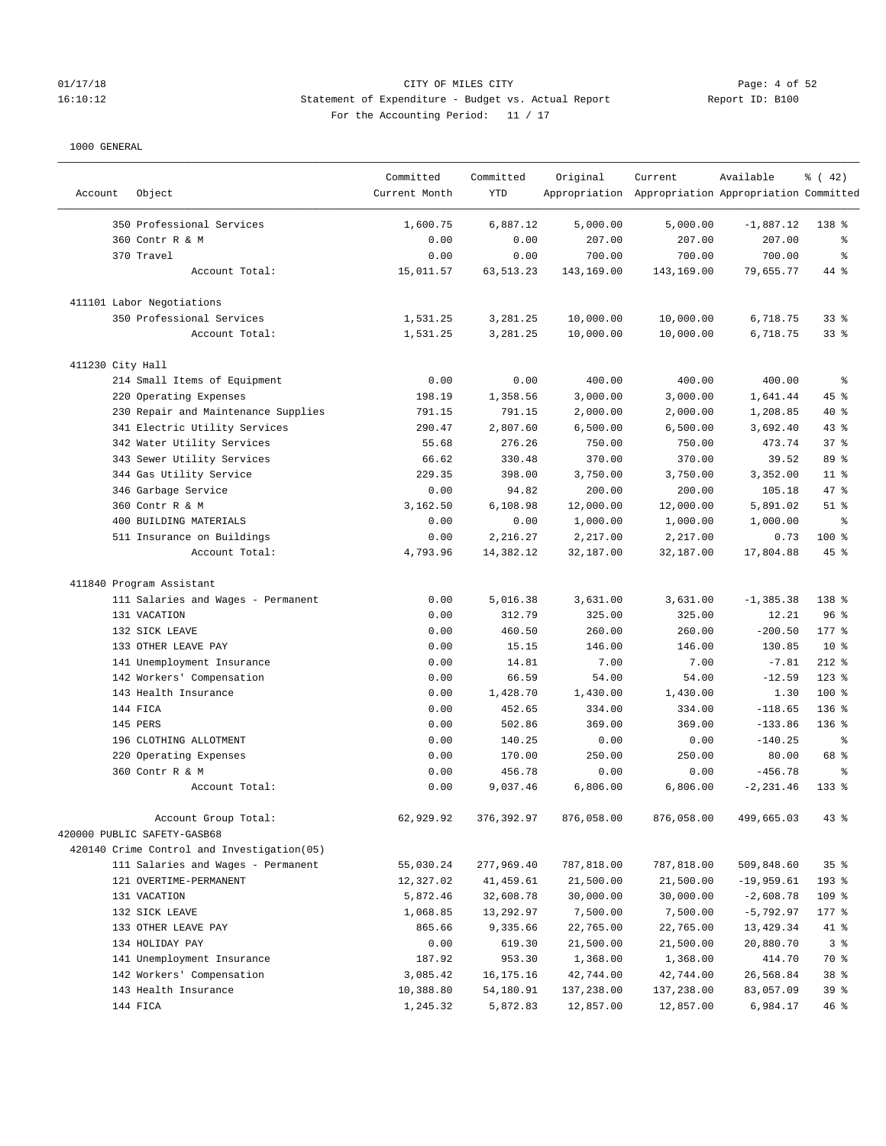## 01/17/18 CITY OF MILES CITY Page: 4 of 52 16:10:12 Statement of Expenditure - Budget vs. Actual Report Report ID: B100 For the Accounting Period: 11 / 17

————————————————————————————————————————————————————————————————————————————————————————————————————————————————————————————————————

|                  |                                            | Committed     | Committed   | Original   | Current                                             | Available    | $\frac{1}{6}$ ( 42) |
|------------------|--------------------------------------------|---------------|-------------|------------|-----------------------------------------------------|--------------|---------------------|
| Account          | Object                                     | Current Month | <b>YTD</b>  |            | Appropriation Appropriation Appropriation Committed |              |                     |
|                  | 350 Professional Services                  | 1,600.75      | 6,887.12    | 5,000.00   | 5,000.00                                            | $-1,887.12$  | $138*$              |
|                  | 360 Contr R & M                            | 0.00          | 0.00        | 207.00     | 207.00                                              | 207.00       | ႜ                   |
|                  | 370 Travel                                 | 0.00          | 0.00        | 700.00     | 700.00                                              | 700.00       | နွ                  |
|                  | Account Total:                             | 15,011.57     | 63, 513. 23 | 143,169.00 | 143,169.00                                          | 79,655.77    | 44 %                |
|                  | 411101 Labor Negotiations                  |               |             |            |                                                     |              |                     |
|                  | 350 Professional Services                  | 1,531.25      | 3,281.25    | 10,000.00  | 10,000.00                                           | 6,718.75     | 33%                 |
|                  | Account Total:                             | 1,531.25      | 3,281.25    | 10,000.00  | 10,000.00                                           | 6,718.75     | 33%                 |
| 411230 City Hall |                                            |               |             |            |                                                     |              |                     |
|                  | 214 Small Items of Equipment               | 0.00          | 0.00        | 400.00     | 400.00                                              | 400.00       | နွ                  |
|                  | 220 Operating Expenses                     | 198.19        | 1,358.56    | 3,000.00   | 3,000.00                                            | 1,641.44     | 45 %                |
|                  | 230 Repair and Maintenance Supplies        | 791.15        | 791.15      | 2,000.00   | 2,000.00                                            | 1,208.85     | $40*$               |
|                  | 341 Electric Utility Services              | 290.47        | 2,807.60    | 6,500.00   | 6,500.00                                            | 3,692.40     | 43%                 |
|                  | 342 Water Utility Services                 | 55.68         | 276.26      | 750.00     | 750.00                                              | 473.74       | 37%                 |
|                  | 343 Sewer Utility Services                 | 66.62         | 330.48      | 370.00     | 370.00                                              | 39.52        | 89 %                |
|                  | 344 Gas Utility Service                    | 229.35        | 398.00      | 3,750.00   | 3,750.00                                            | 3,352.00     | $11$ %              |
|                  | 346 Garbage Service                        | 0.00          | 94.82       | 200.00     | 200.00                                              | 105.18       | 47 %                |
|                  | 360 Contr R & M                            | 3,162.50      | 6,108.98    | 12,000.00  | 12,000.00                                           | 5,891.02     | $51$ %              |
|                  | 400 BUILDING MATERIALS                     | 0.00          | 0.00        | 1,000.00   | 1,000.00                                            | 1,000.00     | နွ                  |
|                  | 511 Insurance on Buildings                 | 0.00          | 2,216.27    | 2,217.00   | 2,217.00                                            | 0.73         | $100$ %             |
|                  | Account Total:                             | 4,793.96      | 14,382.12   | 32,187.00  | 32,187.00                                           | 17,804.88    | $45$ %              |
|                  | 411840 Program Assistant                   |               |             |            |                                                     |              |                     |
|                  | 111 Salaries and Wages - Permanent         | 0.00          | 5,016.38    | 3,631.00   | 3,631.00                                            | $-1, 385.38$ | 138 %               |
|                  | 131 VACATION                               | 0.00          | 312.79      | 325.00     | 325.00                                              | 12.21        | 96 <sup>°</sup>     |
|                  | 132 SICK LEAVE                             | 0.00          | 460.50      | 260.00     | 260.00                                              | $-200.50$    | $177$ %             |
|                  | 133 OTHER LEAVE PAY                        | 0.00          | 15.15       | 146.00     | 146.00                                              | 130.85       | $10*$               |
|                  | 141 Unemployment Insurance                 | 0.00          | 14.81       | 7.00       | 7.00                                                | $-7.81$      | $212$ %             |
|                  | 142 Workers' Compensation                  | 0.00          | 66.59       | 54.00      | 54.00                                               | $-12.59$     | $123$ %             |
|                  | 143 Health Insurance                       | 0.00          | 1,428.70    | 1,430.00   | 1,430.00                                            | 1.30         | 100 %               |
|                  | 144 FICA                                   | 0.00          | 452.65      | 334.00     | 334.00                                              | $-118.65$    | 136%                |
|                  | 145 PERS                                   | 0.00          | 502.86      | 369.00     | 369.00                                              | $-133.86$    | 136%                |
|                  | 196 CLOTHING ALLOTMENT                     | 0.00          | 140.25      | 0.00       | 0.00                                                | $-140.25$    | ႜ                   |
|                  | 220 Operating Expenses                     | 0.00          | 170.00      | 250.00     | 250.00                                              | 80.00        | 68 %                |
|                  | 360 Contr R & M                            | 0.00          | 456.78      | 0.00       | 0.00                                                | $-456.78$    | နွ                  |
|                  | Account Total:                             | 0.00          | 9,037.46    | 6,806.00   | 6,806.00                                            | $-2, 231.46$ | $133$ %             |
|                  | Account Group Total:                       | 62,929.92     | 376,392.97  | 876,058.00 | 876,058.00                                          | 499,665.03   | 43 %                |
|                  | 420000 PUBLIC SAFETY-GASB68                |               |             |            |                                                     |              |                     |
|                  | 420140 Crime Control and Investigation(05) |               |             |            |                                                     |              |                     |
|                  | 111 Salaries and Wages - Permanent         | 55,030.24     | 277,969.40  | 787,818.00 | 787,818.00                                          | 509,848.60   | 35%                 |
|                  | 121 OVERTIME-PERMANENT                     | 12,327.02     | 41,459.61   | 21,500.00  | 21,500.00                                           | $-19,959.61$ | 193 %               |
|                  | 131 VACATION                               | 5,872.46      | 32,608.78   | 30,000.00  | 30,000.00                                           | $-2,608.78$  | 109 %               |
|                  | 132 SICK LEAVE                             | 1,068.85      | 13,292.97   | 7,500.00   | 7,500.00                                            | $-5,792.97$  | $177$ %             |
|                  | 133 OTHER LEAVE PAY                        | 865.66        | 9,335.66    | 22,765.00  | 22,765.00                                           | 13,429.34    | 41 %                |
|                  | 134 HOLIDAY PAY                            | 0.00          | 619.30      | 21,500.00  | 21,500.00                                           | 20,880.70    | 3 <sup>8</sup>      |
|                  | 141 Unemployment Insurance                 | 187.92        | 953.30      | 1,368.00   | 1,368.00                                            | 414.70       | 70 %                |
|                  | 142 Workers' Compensation                  | 3,085.42      | 16, 175. 16 | 42,744.00  | 42,744.00                                           | 26,568.84    | 38 %                |
|                  | 143 Health Insurance                       | 10,388.80     | 54,180.91   | 137,238.00 | 137,238.00                                          | 83,057.09    | 39 %                |
|                  | 144 FICA                                   | 1,245.32      | 5,872.83    | 12,857.00  | 12,857.00                                           | 6,984.17     | 46%                 |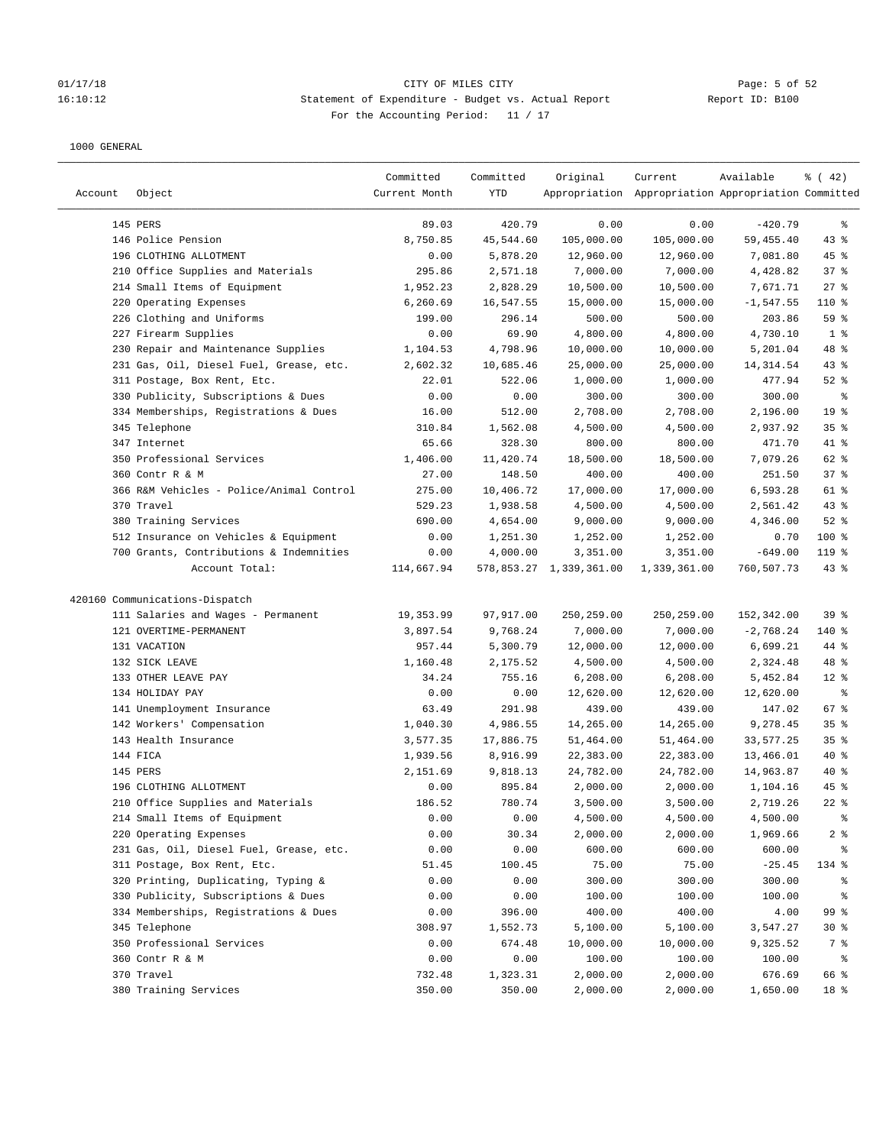# 01/17/18 CITY OF MILES CITY<br>16:10:12 16:10:12 Statement of Expenditure - Budget vs. Actual Report<br>16:10:12 Report ID: B100 16:10:12 Statement of Expenditure - Budget vs. Actual Report Report ID: B100 For the Accounting Period: 11 / 17

| Account | Object                                   | Committed<br>Current Month | Committed<br>YTD | Original                | Current<br>Appropriation Appropriation Appropriation Committed | Available    | % (42)          |
|---------|------------------------------------------|----------------------------|------------------|-------------------------|----------------------------------------------------------------|--------------|-----------------|
|         |                                          |                            |                  |                         |                                                                |              |                 |
|         | 145 PERS                                 | 89.03                      | 420.79           | 0.00                    | 0.00                                                           | $-420.79$    | ႜ               |
|         | 146 Police Pension                       | 8,750.85                   | 45,544.60        | 105,000.00              | 105,000.00                                                     | 59, 455.40   | $43$ %          |
|         | 196 CLOTHING ALLOTMENT                   | 0.00                       | 5,878.20         | 12,960.00               | 12,960.00                                                      | 7,081.80     | $45$ %          |
|         | 210 Office Supplies and Materials        | 295.86                     | 2,571.18         | 7,000.00                | 7,000.00                                                       | 4,428.82     | 37%             |
|         | 214 Small Items of Equipment             | 1,952.23                   | 2,828.29         | 10,500.00               | 10,500.00                                                      | 7,671.71     | $27$ %          |
|         | 220 Operating Expenses                   | 6,260.69                   | 16,547.55        | 15,000.00               | 15,000.00                                                      | $-1, 547.55$ | 110 %           |
|         | 226 Clothing and Uniforms                | 199.00                     | 296.14           | 500.00                  | 500.00                                                         | 203.86       | 59 %            |
|         | 227 Firearm Supplies                     | 0.00                       | 69.90            | 4,800.00                | 4,800.00                                                       | 4,730.10     | 1 <sup>8</sup>  |
|         | 230 Repair and Maintenance Supplies      | 1,104.53                   | 4,798.96         | 10,000.00               | 10,000.00                                                      | 5,201.04     | 48 %            |
|         | 231 Gas, Oil, Diesel Fuel, Grease, etc.  | 2,602.32                   | 10,685.46        | 25,000.00               | 25,000.00                                                      | 14,314.54    | 43 %            |
|         | 311 Postage, Box Rent, Etc.              | 22.01                      | 522.06           | 1,000.00                | 1,000.00                                                       | 477.94       | $52$ $%$        |
|         | 330 Publicity, Subscriptions & Dues      | 0.00                       | 0.00             | 300.00                  | 300.00                                                         | 300.00       | နွ              |
|         | 334 Memberships, Registrations & Dues    | 16.00                      | 512.00           | 2,708.00                | 2,708.00                                                       | 2,196.00     | 19 <sup>°</sup> |
|         | 345 Telephone                            | 310.84                     | 1,562.08         | 4,500.00                | 4,500.00                                                       | 2,937.92     | 35%             |
|         | 347 Internet                             | 65.66                      | 328.30           | 800.00                  | 800.00                                                         | 471.70       | 41 %            |
|         | 350 Professional Services                | 1,406.00                   | 11,420.74        | 18,500.00               | 18,500.00                                                      | 7,079.26     | 62 %            |
|         | 360 Contr R & M                          | 27.00                      | 148.50           | 400.00                  | 400.00                                                         | 251.50       | 37%             |
|         | 366 R&M Vehicles - Police/Animal Control | 275.00                     | 10,406.72        | 17,000.00               | 17,000.00                                                      | 6,593.28     | 61 %            |
|         | 370 Travel                               | 529.23                     | 1,938.58         | 4,500.00                | 4,500.00                                                       | 2,561.42     | 43%             |
|         | 380 Training Services                    | 690.00                     | 4,654.00         | 9,000.00                | 9,000.00                                                       | 4,346.00     | $52$ $%$        |
|         | 512 Insurance on Vehicles & Equipment    | 0.00                       | 1,251.30         | 1,252.00                | 1,252.00                                                       | 0.70         | $100$ %         |
|         | 700 Grants, Contributions & Indemnities  | 0.00                       | 4,000.00         | 3,351.00                | 3,351.00                                                       | $-649.00$    | $119$ %         |
|         | Account Total:                           | 114,667.94                 |                  | 578,853.27 1,339,361.00 | 1,339,361.00                                                   | 760,507.73   | $43$ %          |
|         | 420160 Communications-Dispatch           |                            |                  |                         |                                                                |              |                 |
|         | 111 Salaries and Wages - Permanent       | 19,353.99                  | 97,917.00        | 250,259.00              | 250,259.00                                                     | 152,342.00   | 39%             |
|         | 121 OVERTIME-PERMANENT                   | 3,897.54                   | 9,768.24         | 7,000.00                | 7,000.00                                                       | $-2,768.24$  | 140 %           |
|         | 131 VACATION                             | 957.44                     | 5,300.79         | 12,000.00               | 12,000.00                                                      | 6,699.21     | 44 %            |
|         | 132 SICK LEAVE                           | 1,160.48                   | 2,175.52         | 4,500.00                | 4,500.00                                                       | 2,324.48     | 48 %            |
|         | 133 OTHER LEAVE PAY                      | 34.24                      | 755.16           | 6, 208.00               | 6, 208.00                                                      | 5,452.84     | $12*$           |
|         | 134 HOLIDAY PAY                          | 0.00                       | 0.00             | 12,620.00               | 12,620.00                                                      | 12,620.00    | နွ              |
|         | 141 Unemployment Insurance               | 63.49                      | 291.98           | 439.00                  | 439.00                                                         | 147.02       | $67$ %          |
|         | 142 Workers' Compensation                | 1,040.30                   | 4,986.55         | 14,265.00               | 14,265.00                                                      | 9,278.45     | 35%             |
|         | 143 Health Insurance                     | 3,577.35                   | 17,886.75        | 51,464.00               | 51,464.00                                                      | 33,577.25    | 35%             |
|         | 144 FICA                                 | 1,939.56                   | 8,916.99         | 22,383.00               | 22,383.00                                                      | 13,466.01    | $40*$           |
|         | 145 PERS                                 | 2,151.69                   | 9,818.13         | 24,782.00               | 24,782.00                                                      | 14,963.87    | $40*$           |
|         | 196 CLOTHING ALLOTMENT                   | 0.00                       | 895.84           | 2,000.00                | 2,000.00                                                       | 1,104.16     | 45 %            |
|         | 210 Office Supplies and Materials        | 186.52                     | 780.74           | 3,500.00                | 3,500.00                                                       | 2,719.26     | $22$ %          |
|         | 214 Small Items of Equipment             | 0.00                       | 0.00             | 4,500.00                | 4,500.00                                                       | 4,500.00     | ိစ              |
|         | 220 Operating Expenses                   | 0.00                       | 30.34            | 2,000.00                | 2,000.00                                                       | 1,969.66     | $2$ %           |
|         | 231 Gas, Oil, Diesel Fuel, Grease, etc.  | 0.00                       | 0.00             | 600.00                  | 600.00                                                         | 600.00       | ፟፟፟             |
|         | 311 Postage, Box Rent, Etc.              | 51.45                      | 100.45           | 75.00                   | 75.00                                                          | $-25.45$     | 134 %           |
|         | 320 Printing, Duplicating, Typing &      | 0.00                       | 0.00             | 300.00                  | 300.00                                                         | 300.00       | ៖               |
|         | 330 Publicity, Subscriptions & Dues      | 0.00                       | 0.00             | 100.00                  | 100.00                                                         | 100.00       | ိစ              |
|         | 334 Memberships, Registrations & Dues    | 0.00                       | 396.00           | 400.00                  | 400.00                                                         | 4.00         | 99 %            |
|         | 345 Telephone                            | 308.97                     | 1,552.73         | 5,100.00                | 5,100.00                                                       | 3,547.27     | $30*$           |
|         | 350 Professional Services                | 0.00                       | 674.48           | 10,000.00               | 10,000.00                                                      | 9,325.52     | 7 %             |
|         | 360 Contr R & M                          | 0.00                       | 0.00             | 100.00                  | 100.00                                                         | 100.00       | ႜ               |
|         | 370 Travel                               | 732.48                     | 1,323.31         | 2,000.00                | 2,000.00                                                       | 676.69       | 66 %            |
|         | 380 Training Services                    | 350.00                     | 350.00           | 2,000.00                | 2,000.00                                                       | 1,650.00     | 18 %            |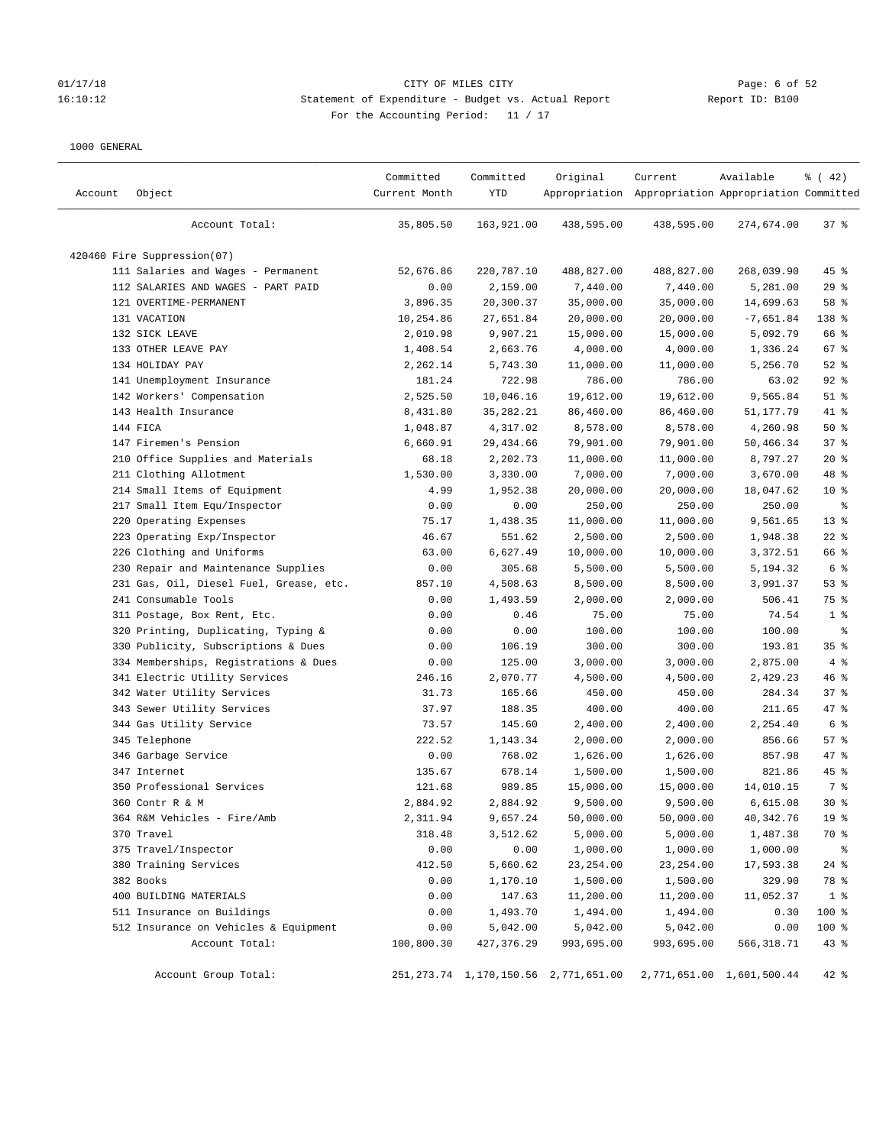## 01/17/18 CITY OF MILES CITY Page: 6 of 52 16:10:12 Statement of Expenditure - Budget vs. Actual Report Report ID: B100 For the Accounting Period: 11 / 17

| Account | Object                                  | Committed<br>Current Month | Committed<br>YTD | Original                                  | Current<br>Appropriation Appropriation Appropriation Committed | Available                 | % (42)          |
|---------|-----------------------------------------|----------------------------|------------------|-------------------------------------------|----------------------------------------------------------------|---------------------------|-----------------|
|         | Account Total:                          | 35,805.50                  | 163,921.00       | 438,595.00                                | 438,595.00                                                     | 274,674.00                | $37$ %          |
|         | 420460 Fire Suppression(07)             |                            |                  |                                           |                                                                |                           |                 |
|         | 111 Salaries and Wages - Permanent      | 52,676.86                  | 220,787.10       | 488,827.00                                | 488,827.00                                                     | 268,039.90                | $45$ %          |
|         | 112 SALARIES AND WAGES - PART PAID      | 0.00                       | 2,159.00         | 7,440.00                                  | 7,440.00                                                       | 5,281.00                  | 29%             |
|         | 121 OVERTIME-PERMANENT                  | 3,896.35                   | 20,300.37        | 35,000.00                                 | 35,000.00                                                      | 14,699.63                 | 58 %            |
|         | 131 VACATION                            | 10,254.86                  | 27,651.84        | 20,000.00                                 | 20,000.00                                                      | $-7,651.84$               | 138 %           |
|         | 132 SICK LEAVE                          | 2,010.98                   | 9,907.21         | 15,000.00                                 | 15,000.00                                                      | 5,092.79                  | 66 %            |
|         | 133 OTHER LEAVE PAY                     | 1,408.54                   | 2,663.76         | 4,000.00                                  | 4,000.00                                                       | 1,336.24                  | 67%             |
|         | 134 HOLIDAY PAY                         | 2,262.14                   | 5,743.30         | 11,000.00                                 | 11,000.00                                                      | 5,256.70                  | $52$ $%$        |
|         | 141 Unemployment Insurance              | 181.24                     | 722.98           | 786.00                                    | 786.00                                                         | 63.02                     | $92$ $%$        |
|         | 142 Workers' Compensation               | 2,525.50                   | 10,046.16        | 19,612.00                                 | 19,612.00                                                      | 9,565.84                  | $51$ %          |
|         | 143 Health Insurance                    | 8,431.80                   | 35, 282. 21      | 86,460.00                                 | 86,460.00                                                      | 51,177.79                 | 41 %            |
|         | 144 FICA                                | 1,048.87                   | 4,317.02         | 8,578.00                                  | 8,578.00                                                       | 4,260.98                  | 50%             |
|         | 147 Firemen's Pension                   | 6,660.91                   | 29,434.66        | 79,901.00                                 | 79,901.00                                                      | 50,466.34                 | 37%             |
|         | 210 Office Supplies and Materials       | 68.18                      | 2,202.73         | 11,000.00                                 | 11,000.00                                                      | 8,797.27                  | $20*$           |
|         | 211 Clothing Allotment                  | 1,530.00                   | 3,330.00         | 7,000.00                                  | 7,000.00                                                       | 3,670.00                  | 48 %            |
|         | 214 Small Items of Equipment            | 4.99                       | 1,952.38         | 20,000.00                                 | 20,000.00                                                      | 18,047.62                 | 10 <sup>°</sup> |
|         | 217 Small Item Equ/Inspector            | 0.00                       | 0.00             | 250.00                                    | 250.00                                                         | 250.00                    | ႜ               |
|         | 220 Operating Expenses                  | 75.17                      | 1,438.35         | 11,000.00                                 | 11,000.00                                                      | 9,561.65                  | $13*$           |
|         | 223 Operating Exp/Inspector             | 46.67                      | 551.62           | 2,500.00                                  | 2,500.00                                                       | 1,948.38                  | $22$ %          |
|         | 226 Clothing and Uniforms               | 63.00                      | 6,627.49         | 10,000.00                                 | 10,000.00                                                      | 3,372.51                  | 66 %            |
|         | 230 Repair and Maintenance Supplies     | 0.00                       | 305.68           | 5,500.00                                  | 5,500.00                                                       | 5,194.32                  | 6 %             |
|         | 231 Gas, Oil, Diesel Fuel, Grease, etc. | 857.10                     | 4,508.63         | 8,500.00                                  | 8,500.00                                                       | 3,991.37                  | 53%             |
|         | 241 Consumable Tools                    | 0.00                       | 1,493.59         | 2,000.00                                  | 2,000.00                                                       | 506.41                    | 75 %            |
|         | 311 Postage, Box Rent, Etc.             | 0.00                       | 0.46             | 75.00                                     | 75.00                                                          | 74.54                     | 1 <sup>8</sup>  |
|         | 320 Printing, Duplicating, Typing &     | 0.00                       | 0.00             | 100.00                                    | 100.00                                                         | 100.00                    | ್ಠಿ             |
|         | 330 Publicity, Subscriptions & Dues     | 0.00                       | 106.19           | 300.00                                    | 300.00                                                         | 193.81                    | 35%             |
|         | 334 Memberships, Registrations & Dues   | 0.00                       | 125.00           | 3,000.00                                  | 3,000.00                                                       | 2,875.00                  | 4%              |
|         | 341 Electric Utility Services           | 246.16                     | 2,070.77         | 4,500.00                                  | 4,500.00                                                       | 2,429.23                  | 46%             |
|         | 342 Water Utility Services              | 31.73                      | 165.66           | 450.00                                    | 450.00                                                         | 284.34                    | 37%             |
|         | 343 Sewer Utility Services              | 37.97                      | 188.35           | 400.00                                    | 400.00                                                         | 211.65                    | 47.8            |
|         | 344 Gas Utility Service                 | 73.57                      | 145.60           | 2,400.00                                  | 2,400.00                                                       | 2,254.40                  | 6 %             |
|         | 345 Telephone                           | 222.52                     | 1,143.34         | 2,000.00                                  | 2,000.00                                                       | 856.66                    | 57%             |
|         | 346 Garbage Service                     | 0.00                       | 768.02           | 1,626.00                                  | 1,626.00                                                       | 857.98                    | $47$ %          |
|         | 347 Internet                            | 135.67                     | 678.14           | 1,500.00                                  | 1,500.00                                                       | 821.86                    | $45$ %          |
|         | 350 Professional Services               | 121.68                     | 989.85           | 15,000.00                                 | 15,000.00                                                      | 14,010.15                 | 7 %             |
|         | 360 Contr R & M                         | 2,884.92                   | 2,884.92         | 9,500.00                                  | 9,500.00                                                       | 6,615.08                  | $30*$           |
|         | 364 R&M Vehicles - Fire/Amb             | 2,311.94                   | 9,657.24         | 50,000.00                                 | 50,000.00                                                      | 40,342.76                 | 19 <sup>°</sup> |
|         | 370 Travel                              | 318.48                     | 3,512.62         | 5,000.00                                  | 5,000.00                                                       | 1,487.38                  | 70 %            |
|         | 375 Travel/Inspector                    | 0.00                       | 0.00             | 1,000.00                                  | 1,000.00                                                       | 1,000.00                  | ៖               |
|         | 380 Training Services                   | 412.50                     | 5,660.62         | 23, 254.00                                | 23, 254.00                                                     | 17,593.38                 | $24$ %          |
|         | 382 Books                               | 0.00                       | 1,170.10         | 1,500.00                                  | 1,500.00                                                       | 329.90                    | 78 %            |
|         | 400 BUILDING MATERIALS                  | 0.00                       | 147.63           | 11,200.00                                 | 11,200.00                                                      | 11,052.37                 | 1 <sup>8</sup>  |
|         | 511 Insurance on Buildings              | 0.00                       | 1,493.70         | 1,494.00                                  | 1,494.00                                                       | 0.30                      | 100 %           |
|         | 512 Insurance on Vehicles & Equipment   | 0.00                       | 5,042.00         | 5,042.00                                  | 5,042.00                                                       | 0.00                      | 100 %           |
|         | Account Total:                          | 100,800.30                 | 427, 376.29      | 993,695.00                                | 993,695.00                                                     | 566, 318.71               | $43$ %          |
|         | Account Group Total:                    |                            |                  | 251, 273.74 1, 170, 150.56 2, 771, 651.00 |                                                                | 2,771,651.00 1,601,500.44 | $42$ %          |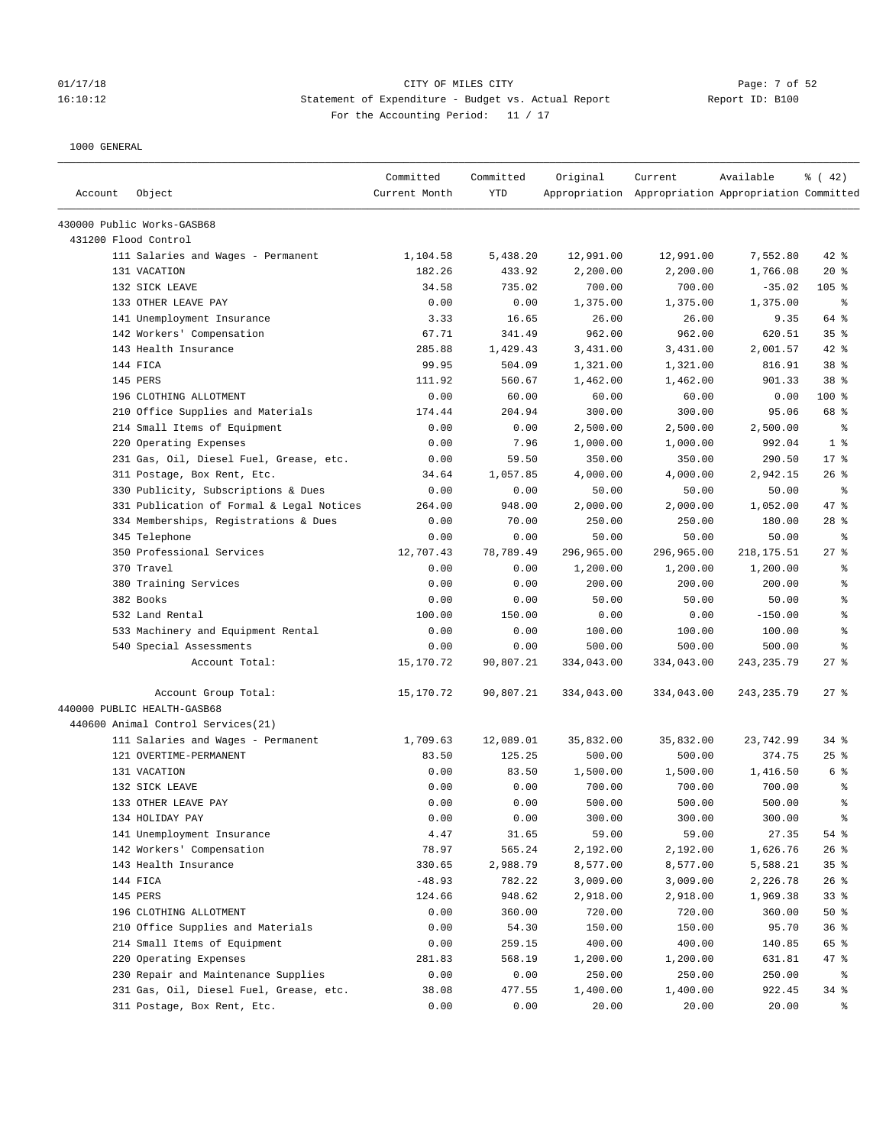### 01/17/18 Page: 7 of 52 Page: 7 of 52 16:10:12 Statement of Expenditure - Budget vs. Actual Report Report ID: B100 For the Accounting Period: 11 / 17

| Account | Object                                             | Committed<br>Current Month | Committed<br><b>YTD</b> | Original   | Current<br>Appropriation Appropriation Appropriation Committed | Available   | $\frac{1}{6}$ ( 42) |
|---------|----------------------------------------------------|----------------------------|-------------------------|------------|----------------------------------------------------------------|-------------|---------------------|
|         |                                                    |                            |                         |            |                                                                |             |                     |
|         | 430000 Public Works-GASB68<br>431200 Flood Control |                            |                         |            |                                                                |             |                     |
|         | 111 Salaries and Wages - Permanent                 | 1,104.58                   | 5,438.20                | 12,991.00  | 12,991.00                                                      | 7,552.80    | 42 %                |
|         | 131 VACATION                                       | 182.26                     | 433.92                  | 2,200.00   | 2,200.00                                                       | 1,766.08    | $20*$               |
|         | 132 SICK LEAVE                                     | 34.58                      | 735.02                  | 700.00     | 700.00                                                         | $-35.02$    | $105$ %             |
|         | 133 OTHER LEAVE PAY                                | 0.00                       | 0.00                    | 1,375.00   | 1,375.00                                                       | 1,375.00    | နွ                  |
|         | 141 Unemployment Insurance                         | 3.33                       | 16.65                   | 26.00      | 26.00                                                          | 9.35        | 64 %                |
|         | 142 Workers' Compensation                          | 67.71                      | 341.49                  | 962.00     | 962.00                                                         | 620.51      | 35%                 |
|         | 143 Health Insurance                               | 285.88                     | 1,429.43                | 3,431.00   | 3,431.00                                                       | 2,001.57    | 42 %                |
|         | 144 FICA                                           | 99.95                      | 504.09                  | 1,321.00   | 1,321.00                                                       | 816.91      | 38 %                |
|         | 145 PERS                                           | 111.92                     | 560.67                  | 1,462.00   | 1,462.00                                                       | 901.33      | 38 <sup>8</sup>     |
|         | 196 CLOTHING ALLOTMENT                             | 0.00                       | 60.00                   | 60.00      | 60.00                                                          | 0.00        | 100 %               |
|         | 210 Office Supplies and Materials                  | 174.44                     | 204.94                  | 300.00     | 300.00                                                         | 95.06       | 68 %                |
|         | 214 Small Items of Equipment                       | 0.00                       | 0.00                    | 2,500.00   | 2,500.00                                                       | 2,500.00    | နွ                  |
|         | 220 Operating Expenses                             | 0.00                       | 7.96                    | 1,000.00   | 1,000.00                                                       | 992.04      | 1 <sup>8</sup>      |
|         | 231 Gas, Oil, Diesel Fuel, Grease, etc.            | 0.00                       | 59.50                   | 350.00     | 350.00                                                         | 290.50      | $17*$               |
|         | 311 Postage, Box Rent, Etc.                        | 34.64                      | 1,057.85                | 4,000.00   | 4,000.00                                                       | 2,942.15    | 26%                 |
|         | 330 Publicity, Subscriptions & Dues                | 0.00                       | 0.00                    | 50.00      | 50.00                                                          | 50.00       | る                   |
|         | 331 Publication of Formal & Legal Notices          | 264.00                     | 948.00                  | 2,000.00   | 2,000.00                                                       | 1,052.00    | 47 %                |
|         |                                                    |                            |                         | 250.00     | 250.00                                                         | 180.00      | $28$ %              |
|         | 334 Memberships, Registrations & Dues              | 0.00                       | 70.00                   |            |                                                                | 50.00       |                     |
|         | 345 Telephone                                      | 0.00                       | 0.00                    | 50.00      | 50.00                                                          |             | နွ                  |
|         | 350 Professional Services                          | 12,707.43                  | 78,789.49               | 296,965.00 | 296,965.00                                                     | 218, 175.51 | $27$ %              |
|         | 370 Travel                                         | 0.00                       | 0.00                    | 1,200.00   | 1,200.00                                                       | 1,200.00    | နွ                  |
|         | 380 Training Services                              | 0.00                       | 0.00                    | 200.00     | 200.00                                                         | 200.00      | ి                   |
|         | 382 Books                                          | 0.00                       | 0.00                    | 50.00      | 50.00                                                          | 50.00       | န္                  |
|         | 532 Land Rental                                    | 100.00                     | 150.00                  | 0.00       | 0.00                                                           | $-150.00$   | ి                   |
|         | 533 Machinery and Equipment Rental                 | 0.00                       | 0.00                    | 100.00     | 100.00                                                         | 100.00      | る                   |
|         | 540 Special Assessments                            | 0.00                       | 0.00                    | 500.00     | 500.00                                                         | 500.00      | န္                  |
|         | Account Total:                                     | 15,170.72                  | 90,807.21               | 334,043.00 | 334,043.00                                                     | 243, 235.79 | $27$ %              |
|         | Account Group Total:                               | 15,170.72                  | 90,807.21               | 334,043.00 | 334,043.00                                                     | 243, 235.79 | $27$ %              |
|         | 440000 PUBLIC HEALTH-GASB68                        |                            |                         |            |                                                                |             |                     |
|         | 440600 Animal Control Services(21)                 |                            |                         |            |                                                                |             |                     |
|         | 111 Salaries and Wages - Permanent                 | 1,709.63                   | 12,089.01               | 35,832.00  | 35,832.00                                                      | 23,742.99   | $34$ $%$            |
|         | 121 OVERTIME-PERMANENT                             | 83.50                      | 125.25                  | 500.00     | 500.00                                                         | 374.75      | 25%                 |
|         | 131 VACATION                                       | 0.00                       | 83.50                   | 1,500.00   | 1,500.00                                                       | 1,416.50    | 6 %                 |
|         | 132 SICK LEAVE                                     | 0.00                       | 0.00                    | 700.00     | 700.00                                                         | 700.00      | る                   |
|         | 133 OTHER LEAVE PAY                                | 0.00                       | 0.00                    | 500.00     | 500.00                                                         | 500.00      | ి                   |
|         | 134 HOLIDAY PAY                                    | 0.00                       | 0.00                    | 300.00     | 300.00                                                         | 300.00      | နွ                  |
|         | 141 Unemployment Insurance                         | 4.47                       | 31.65                   | 59.00      | 59.00                                                          | 27.35       | 54 %                |
|         | 142 Workers' Compensation                          | 78.97                      | 565.24                  | 2,192.00   | 2,192.00                                                       | 1,626.76    | $26$ %              |
|         | 143 Health Insurance                               | 330.65                     | 2,988.79                | 8,577.00   | 8,577.00                                                       | 5,588.21    | 35%                 |
|         | 144 FICA                                           | $-48.93$                   | 782.22                  | 3,009.00   | 3,009.00                                                       | 2,226.78    | 26%                 |
|         | 145 PERS                                           | 124.66                     | 948.62                  | 2,918.00   | 2,918.00                                                       | 1,969.38    | 33%                 |
|         | 196 CLOTHING ALLOTMENT                             | 0.00                       | 360.00                  | 720.00     | 720.00                                                         | 360.00      | 50%                 |
|         | 210 Office Supplies and Materials                  | 0.00                       | 54.30                   | 150.00     | 150.00                                                         | 95.70       | 36%                 |
|         | 214 Small Items of Equipment                       | 0.00                       | 259.15                  | 400.00     | 400.00                                                         | 140.85      | 65 %                |
|         | 220 Operating Expenses                             | 281.83                     | 568.19                  | 1,200.00   | 1,200.00                                                       | 631.81      | 47%                 |
|         | 230 Repair and Maintenance Supplies                | 0.00                       | 0.00                    | 250.00     | 250.00                                                         | 250.00      | ႜ                   |
|         | 231 Gas, Oil, Diesel Fuel, Grease, etc.            | 38.08                      | 477.55                  | 1,400.00   | 1,400.00                                                       | 922.45      | $34$ %              |
|         | 311 Postage, Box Rent, Etc.                        | 0.00                       | 0.00                    | 20.00      | 20.00                                                          | 20.00       | $\approx$           |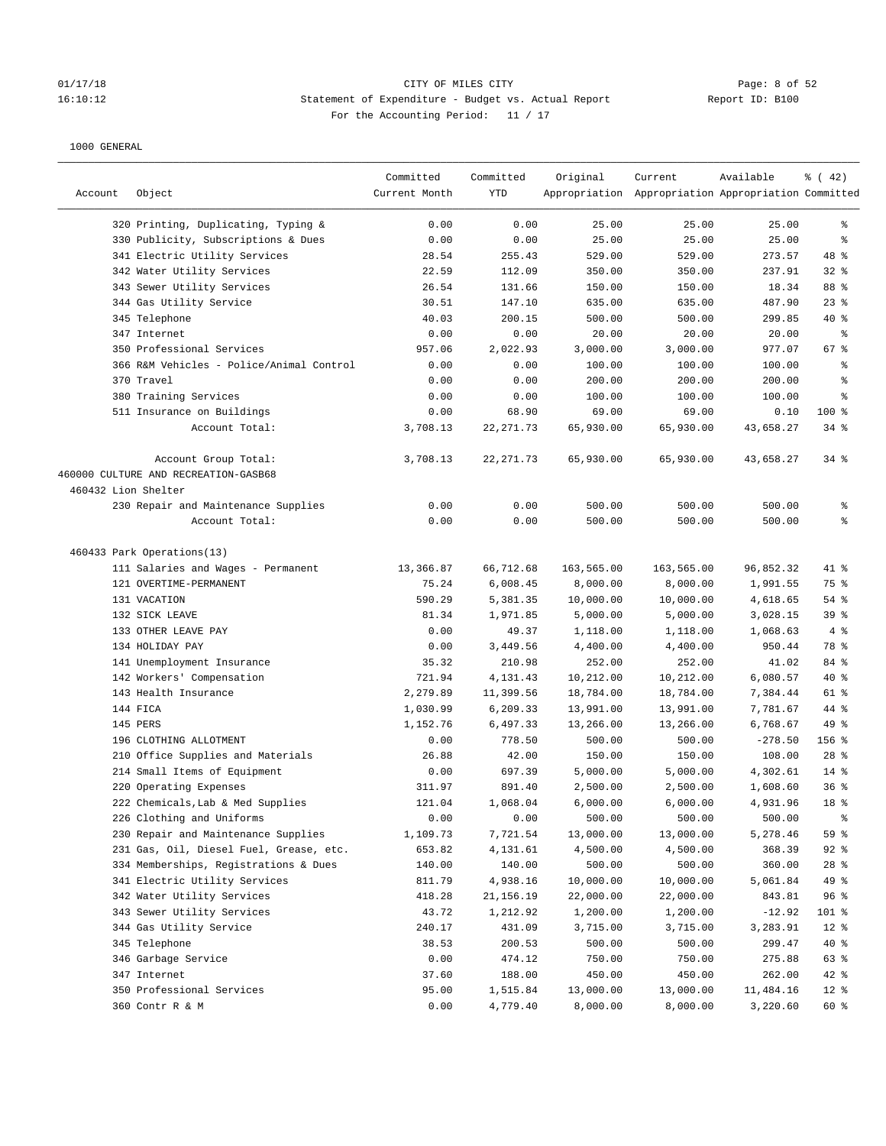## 01/17/18 CITY OF MILES CITY CONTRIES CONTRIES CONTRIES CONTRIBUTE 16:10:12<br>16:10:12 16:10:12 Statement of Expenditure - Budget vs. Actual Report 16:10:12 Statement of Expenditure - Budget vs. Actual Report Report ID: B100 For the Accounting Period: 11 / 17

| Account             | Object                                   | Committed<br>Current Month | Committed<br>YTD | Original   | Current<br>Appropriation Appropriation Appropriation Committed | Available | % (42)    |
|---------------------|------------------------------------------|----------------------------|------------------|------------|----------------------------------------------------------------|-----------|-----------|
|                     | 320 Printing, Duplicating, Typing &      | 0.00                       | 0.00             | 25.00      | 25.00                                                          | 25.00     | ႜ         |
|                     | 330 Publicity, Subscriptions & Dues      | 0.00                       | 0.00             | 25.00      | 25.00                                                          | 25.00     | နွ        |
|                     | 341 Electric Utility Services            | 28.54                      | 255.43           | 529.00     | 529.00                                                         | 273.57    | 48 %      |
|                     | 342 Water Utility Services               | 22.59                      | 112.09           | 350.00     | 350.00                                                         | 237.91    | $32$ $%$  |
|                     | 343 Sewer Utility Services               | 26.54                      |                  |            | 150.00                                                         | 18.34     | 88 %      |
|                     |                                          |                            | 131.66           | 150.00     |                                                                |           |           |
|                     | 344 Gas Utility Service                  | 30.51                      | 147.10           | 635.00     | 635.00                                                         | 487.90    | $23$ $%$  |
|                     | 345 Telephone                            | 40.03                      | 200.15           | 500.00     | 500.00                                                         | 299.85    | $40*$     |
|                     | 347 Internet                             | 0.00                       | 0.00             | 20.00      | 20.00                                                          | 20.00     | ႜ<br>67 % |
|                     | 350 Professional Services                | 957.06                     | 2,022.93         | 3,000.00   | 3,000.00                                                       | 977.07    |           |
|                     | 366 R&M Vehicles - Police/Animal Control | 0.00                       | 0.00             | 100.00     | 100.00                                                         | 100.00    | နွ        |
|                     | 370 Travel                               | 0.00                       | 0.00             | 200.00     | 200.00                                                         | 200.00    | နွ        |
|                     | 380 Training Services                    | 0.00                       | 0.00             | 100.00     | 100.00                                                         | 100.00    | ま         |
|                     | 511 Insurance on Buildings               | 0.00                       | 68.90            | 69.00      | 69.00                                                          | 0.10      | $100$ %   |
|                     | Account Total:                           | 3,708.13                   | 22, 271.73       | 65,930.00  | 65,930.00                                                      | 43,658.27 | $34$ $%$  |
|                     | Account Group Total:                     | 3,708.13                   | 22, 271.73       | 65,930.00  | 65,930.00                                                      | 43,658.27 | $34$ $%$  |
|                     | 460000 CULTURE AND RECREATION-GASB68     |                            |                  |            |                                                                |           |           |
| 460432 Lion Shelter |                                          |                            |                  |            |                                                                |           |           |
|                     | 230 Repair and Maintenance Supplies      | 0.00                       | 0.00             | 500.00     | 500.00                                                         | 500.00    | ႜ         |
|                     | Account Total:                           | 0.00                       | 0.00             | 500.00     | 500.00                                                         | 500.00    | နွ        |
|                     | 460433 Park Operations(13)               |                            |                  |            |                                                                |           |           |
|                     | 111 Salaries and Wages - Permanent       | 13,366.87                  | 66,712.68        | 163,565.00 | 163,565.00                                                     | 96,852.32 | 41 %      |
|                     | 121 OVERTIME-PERMANENT                   | 75.24                      | 6,008.45         | 8,000.00   | 8,000.00                                                       | 1,991.55  | 75 %      |
|                     | 131 VACATION                             | 590.29                     | 5,381.35         | 10,000.00  | 10,000.00                                                      | 4,618.65  | $54$ %    |
|                     | 132 SICK LEAVE                           | 81.34                      | 1,971.85         | 5,000.00   | 5,000.00                                                       | 3,028.15  | 39%       |
|                     | 133 OTHER LEAVE PAY                      | 0.00                       | 49.37            | 1,118.00   | 1,118.00                                                       | 1,068.63  | 4%        |
|                     | 134 HOLIDAY PAY                          | 0.00                       | 3,449.56         | 4,400.00   | 4,400.00                                                       | 950.44    | 78 %      |
|                     | 141 Unemployment Insurance               | 35.32                      | 210.98           | 252.00     | 252.00                                                         | 41.02     | 84 %      |
|                     | 142 Workers' Compensation                | 721.94                     | 4,131.43         | 10,212.00  | 10,212.00                                                      | 6,080.57  | $40*$     |
|                     | 143 Health Insurance                     | 2,279.89                   | 11,399.56        | 18,784.00  | 18,784.00                                                      | 7,384.44  | 61 %      |
|                     | 144 FICA                                 | 1,030.99                   | 6,209.33         | 13,991.00  | 13,991.00                                                      | 7,781.67  | 44 %      |
|                     | 145 PERS                                 | 1,152.76                   | 6,497.33         | 13,266.00  | 13,266.00                                                      | 6,768.67  | 49 %      |
|                     | 196 CLOTHING ALLOTMENT                   | 0.00                       | 778.50           | 500.00     | 500.00                                                         | $-278.50$ | 156 %     |
|                     | 210 Office Supplies and Materials        | 26.88                      | 42.00            | 150.00     | 150.00                                                         | 108.00    | $28$ %    |
|                     | 214 Small Items of Equipment             | 0.00                       | 697.39           | 5,000.00   | 5,000.00                                                       | 4,302.61  | $14$ %    |
|                     | 220 Operating Expenses                   | 311.97                     | 891.40           | 2,500.00   | 2,500.00                                                       | 1,608.60  | 36%       |
|                     | 222 Chemicals, Lab & Med Supplies        | 121.04                     | 1,068.04         | 6,000.00   | 6,000.00                                                       | 4,931.96  | 18 %      |
|                     | 226 Clothing and Uniforms                | 0.00                       | 0.00             | 500.00     | 500.00                                                         | 500.00    | ိစ        |
|                     | 230 Repair and Maintenance Supplies      | 1,109.73                   | 7,721.54         | 13,000.00  | 13,000.00                                                      | 5,278.46  | 59 %      |
|                     | 231 Gas, Oil, Diesel Fuel, Grease, etc.  | 653.82                     | 4,131.61         | 4,500.00   | 4,500.00                                                       | 368.39    | $92$ $%$  |
|                     | 334 Memberships, Registrations & Dues    | 140.00                     | 140.00           | 500.00     | 500.00                                                         | 360.00    | $28$ %    |
|                     | 341 Electric Utility Services            | 811.79                     | 4,938.16         | 10,000.00  | 10,000.00                                                      | 5,061.84  | 49 %      |
|                     | 342 Water Utility Services               | 418.28                     | 21, 156. 19      | 22,000.00  | 22,000.00                                                      | 843.81    | 96%       |
|                     | 343 Sewer Utility Services               | 43.72                      | 1,212.92         | 1,200.00   | 1,200.00                                                       | $-12.92$  | $101$ %   |
|                     | 344 Gas Utility Service                  | 240.17                     | 431.09           | 3,715.00   | 3,715.00                                                       | 3,283.91  | $12$ %    |
|                     | 345 Telephone                            | 38.53                      | 200.53           | 500.00     | 500.00                                                         | 299.47    | $40*$     |
|                     | 346 Garbage Service                      | 0.00                       | 474.12           | 750.00     | 750.00                                                         | 275.88    | 63 %      |
|                     | 347 Internet                             | 37.60                      | 188.00           | 450.00     | 450.00                                                         | 262.00    | $42$ %    |
|                     | 350 Professional Services                | 95.00                      | 1,515.84         | 13,000.00  | 13,000.00                                                      | 11,484.16 | $12$ %    |
|                     | 360 Contr R & M                          | 0.00                       | 4,779.40         | 8,000.00   | 8,000.00                                                       | 3,220.60  | 60 %      |
|                     |                                          |                            |                  |            |                                                                |           |           |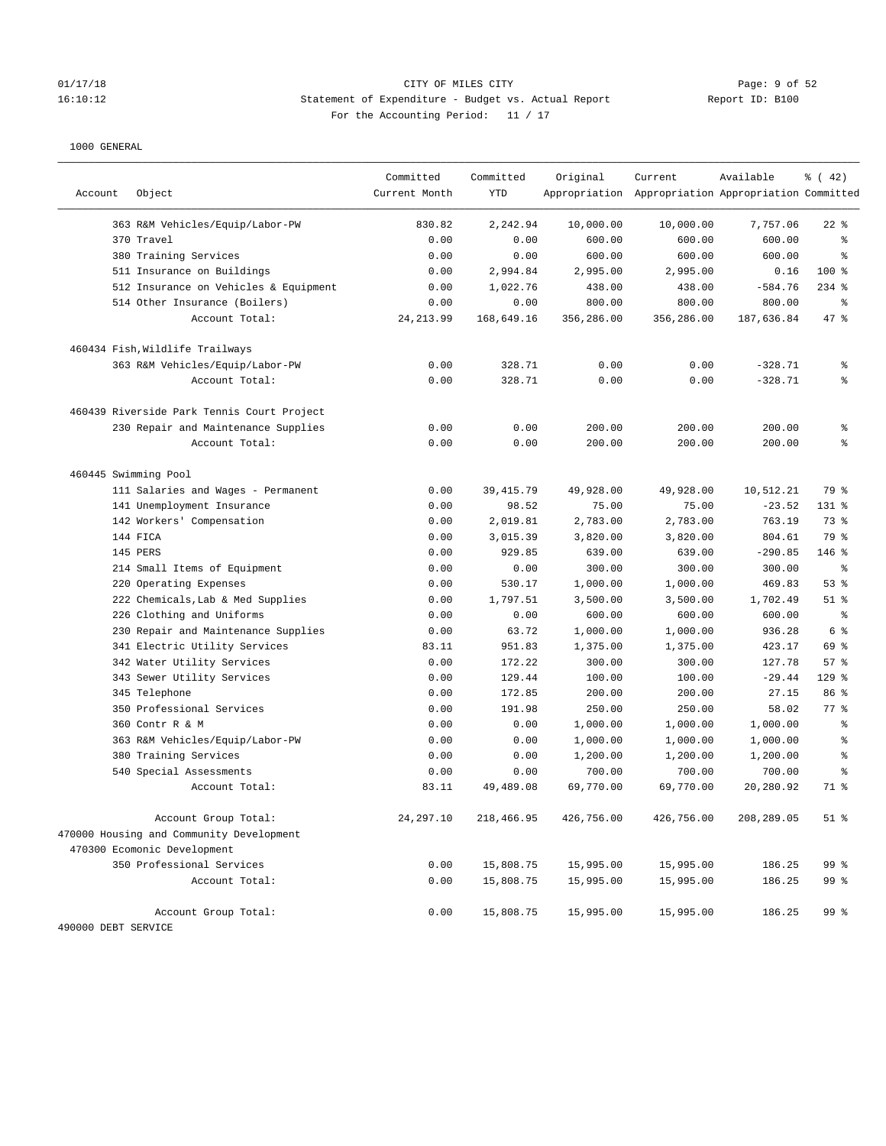# 01/17/18 Page: 9 of 52 16:10:12 Statement of Expenditure - Budget vs. Actual Report Report ID: B100 For the Accounting Period: 11 / 17

| Account             | Object                                     | Committed<br>Current Month | Committed<br><b>YTD</b> | Original   | Current<br>Appropriation Appropriation Appropriation Committed | Available  | $\frac{3}{6}$ ( 42) |
|---------------------|--------------------------------------------|----------------------------|-------------------------|------------|----------------------------------------------------------------|------------|---------------------|
|                     | 363 R&M Vehicles/Equip/Labor-PW            | 830.82                     | 2,242.94                | 10,000.00  | 10,000.00                                                      | 7,757.06   | $22$ %              |
|                     | 370 Travel                                 | 0.00                       | 0.00                    | 600.00     | 600.00                                                         | 600.00     | る                   |
|                     | 380 Training Services                      | 0.00                       | 0.00                    | 600.00     | 600.00                                                         | 600.00     | 昙                   |
|                     | 511 Insurance on Buildings                 | 0.00                       | 2,994.84                | 2,995.00   | 2,995.00                                                       | 0.16       | 100 %               |
|                     | 512 Insurance on Vehicles & Equipment      | 0.00                       | 1,022.76                | 438.00     | 438.00                                                         | $-584.76$  | $234$ %             |
|                     | 514 Other Insurance (Boilers)              | 0.00                       | 0.00                    | 800.00     | 800.00                                                         | 800.00     | ి                   |
|                     | Account Total:                             | 24, 213.99                 | 168,649.16              | 356,286.00 | 356,286.00                                                     | 187,636.84 | 47.8                |
|                     | 460434 Fish, Wildlife Trailways            |                            |                         |            |                                                                |            |                     |
|                     | 363 R&M Vehicles/Equip/Labor-PW            | 0.00                       | 328.71                  | 0.00       | 0.00                                                           | $-328.71$  | နွ                  |
|                     | Account Total:                             | 0.00                       | 328.71                  | 0.00       | 0.00                                                           | $-328.71$  | g.                  |
|                     | 460439 Riverside Park Tennis Court Project |                            |                         |            |                                                                |            |                     |
|                     | 230 Repair and Maintenance Supplies        | 0.00                       | 0.00                    | 200.00     | 200.00                                                         | 200.00     | ి                   |
|                     | Account Total:                             | 0.00                       | 0.00                    | 200.00     | 200.00                                                         | 200.00     | る                   |
|                     | 460445 Swimming Pool                       |                            |                         |            |                                                                |            |                     |
|                     | 111 Salaries and Wages - Permanent         | 0.00                       | 39, 415.79              | 49,928.00  | 49,928.00                                                      | 10,512.21  | 79 %                |
|                     | 141 Unemployment Insurance                 | 0.00                       | 98.52                   | 75.00      | 75.00                                                          | $-23.52$   | $131$ %             |
|                     | 142 Workers' Compensation                  | 0.00                       | 2,019.81                | 2,783.00   | 2,783.00                                                       | 763.19     | 73 %                |
|                     | 144 FICA                                   | 0.00                       | 3,015.39                | 3,820.00   | 3,820.00                                                       | 804.61     | 79 %                |
|                     | 145 PERS                                   | 0.00                       | 929.85                  | 639.00     | 639.00                                                         | $-290.85$  | $146$ %             |
|                     | 214 Small Items of Equipment               | 0.00                       | 0.00                    | 300.00     | 300.00                                                         | 300.00     | る                   |
|                     | 220 Operating Expenses                     | 0.00                       | 530.17                  | 1,000.00   | 1,000.00                                                       | 469.83     | 53%                 |
|                     | 222 Chemicals, Lab & Med Supplies          | 0.00                       | 1,797.51                | 3,500.00   | 3,500.00                                                       | 1,702.49   | $51$ %              |
|                     | 226 Clothing and Uniforms                  | 0.00                       | 0.00                    | 600.00     | 600.00                                                         | 600.00     | ి                   |
|                     | 230 Repair and Maintenance Supplies        | 0.00                       | 63.72                   | 1,000.00   | 1,000.00                                                       | 936.28     | 6 %                 |
|                     | 341 Electric Utility Services              | 83.11                      | 951.83                  | 1,375.00   | 1,375.00                                                       | 423.17     | 69 %                |
|                     | 342 Water Utility Services                 | 0.00                       | 172.22                  | 300.00     | 300.00                                                         | 127.78     | 57%                 |
|                     | 343 Sewer Utility Services                 | 0.00                       | 129.44                  | 100.00     | 100.00                                                         | $-29.44$   | $129$ %             |
|                     | 345 Telephone                              | 0.00                       | 172.85                  | 200.00     | 200.00                                                         | 27.15      | 86 %                |
|                     | 350 Professional Services                  | 0.00                       | 191.98                  | 250.00     | 250.00                                                         | 58.02      | 77.8                |
|                     | 360 Contr R & M                            | 0.00                       | 0.00                    | 1,000.00   | 1,000.00                                                       | 1,000.00   | る                   |
|                     | 363 R&M Vehicles/Equip/Labor-PW            | 0.00                       | 0.00                    | 1,000.00   | 1,000.00                                                       | 1,000.00   | る                   |
|                     | 380 Training Services                      | 0.00                       | 0.00                    | 1,200.00   | 1,200.00                                                       | 1,200.00   | る                   |
|                     | 540 Special Assessments                    | 0.00                       | 0.00                    | 700.00     | 700.00                                                         | 700.00     | る                   |
|                     | Account Total:                             | 83.11                      | 49,489.08               | 69,770.00  | 69,770.00                                                      | 20,280.92  | 71 %                |
|                     | Account Group Total:                       | 24, 297.10                 | 218,466.95              | 426,756.00 | 426,756.00                                                     | 208,289.05 | $51$ %              |
|                     | 470000 Housing and Community Development   |                            |                         |            |                                                                |            |                     |
|                     | 470300 Ecomonic Development                |                            |                         |            |                                                                |            |                     |
|                     | 350 Professional Services                  | 0.00                       | 15,808.75               | 15,995.00  | 15,995.00                                                      | 186.25     | 99 %                |
|                     | Account Total:                             | 0.00                       | 15,808.75               | 15,995.00  | 15,995.00                                                      | 186.25     | 99 %                |
|                     | Account Group Total:                       | 0.00                       | 15,808.75               | 15,995.00  | 15,995.00                                                      | 186.25     | 99 <sub>8</sub>     |
| 490000 DEBT SERVICE |                                            |                            |                         |            |                                                                |            |                     |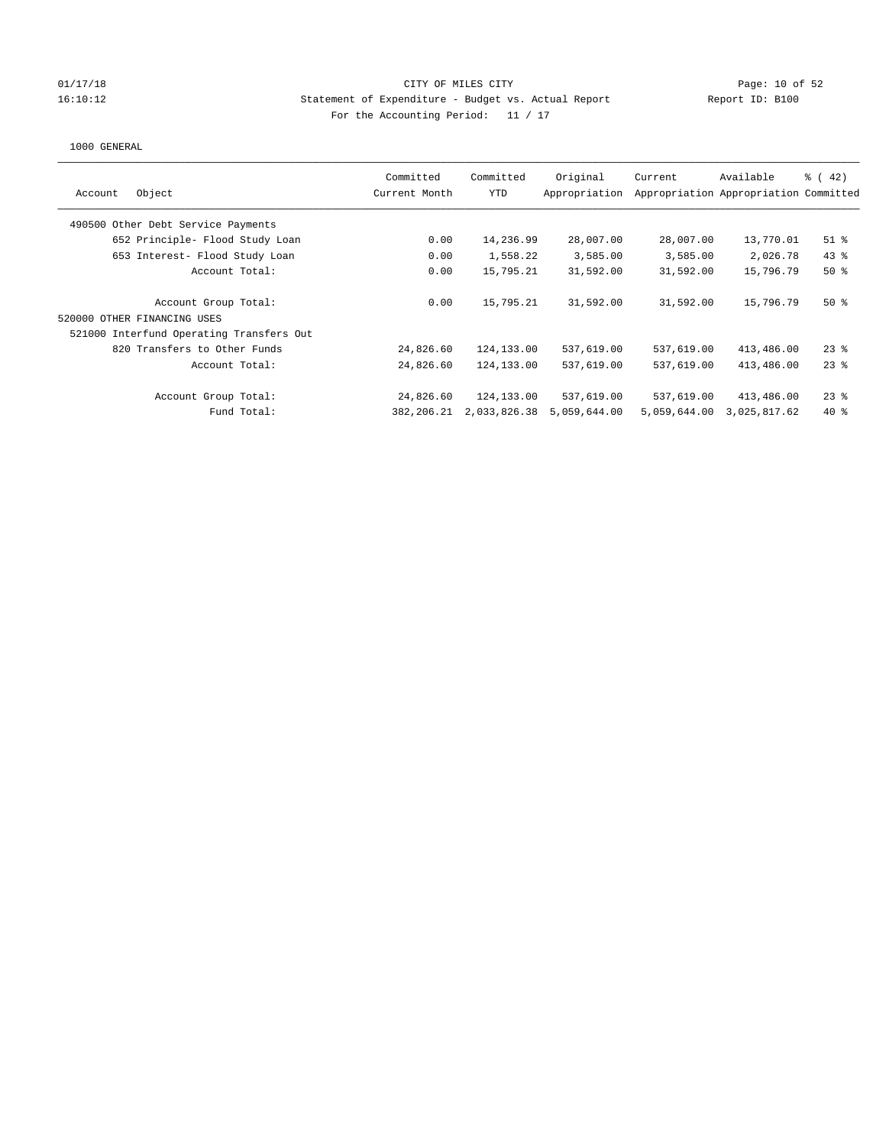### 01/17/18 Page: 10 of 52 16:10:12 Statement of Expenditure - Budget vs. Actual Report Report ID: B100 For the Accounting Period: 11 / 17

| Object<br>Account                        | Committed<br>Current Month | Committed<br>YTD | Original<br>Appropriation | Current      | Available<br>Appropriation Appropriation Committed | $\frac{1}{6}$ (42) |
|------------------------------------------|----------------------------|------------------|---------------------------|--------------|----------------------------------------------------|--------------------|
| 490500 Other Debt Service Payments       |                            |                  |                           |              |                                                    |                    |
| 652 Principle- Flood Study Loan          | 0.00                       | 14,236.99        | 28,007.00                 | 28,007.00    | 13,770.01                                          | $51$ %             |
| 653 Interest- Flood Study Loan           | 0.00                       | 1,558.22         | 3,585.00                  | 3,585.00     | 2,026.78                                           | $43$ %             |
| Account Total:                           | 0.00                       | 15,795.21        | 31,592.00                 | 31,592.00    | 15,796.79                                          | $50*$              |
| Account Group Total:                     | 0.00                       | 15,795.21        | 31,592.00                 | 31,592.00    | 15,796.79                                          | $50*$              |
| 520000 OTHER FINANCING USES              |                            |                  |                           |              |                                                    |                    |
| 521000 Interfund Operating Transfers Out |                            |                  |                           |              |                                                    |                    |
| 820 Transfers to Other Funds             | 24,826.60                  | 124,133.00       | 537,619.00                | 537,619.00   | 413,486.00                                         | $23$ %             |
| Account Total:                           | 24,826.60                  | 124,133.00       | 537,619.00                | 537,619.00   | 413,486.00                                         | $23$ %             |
| Account Group Total:                     | 24,826.60                  | 124,133.00       | 537,619.00                | 537,619.00   | 413,486.00                                         | $23$ %             |
| Fund Total:                              | 382,206.21                 | 2,033,826.38     | 5,059,644.00              | 5,059,644.00 | 3,025,817.62                                       | $40*$              |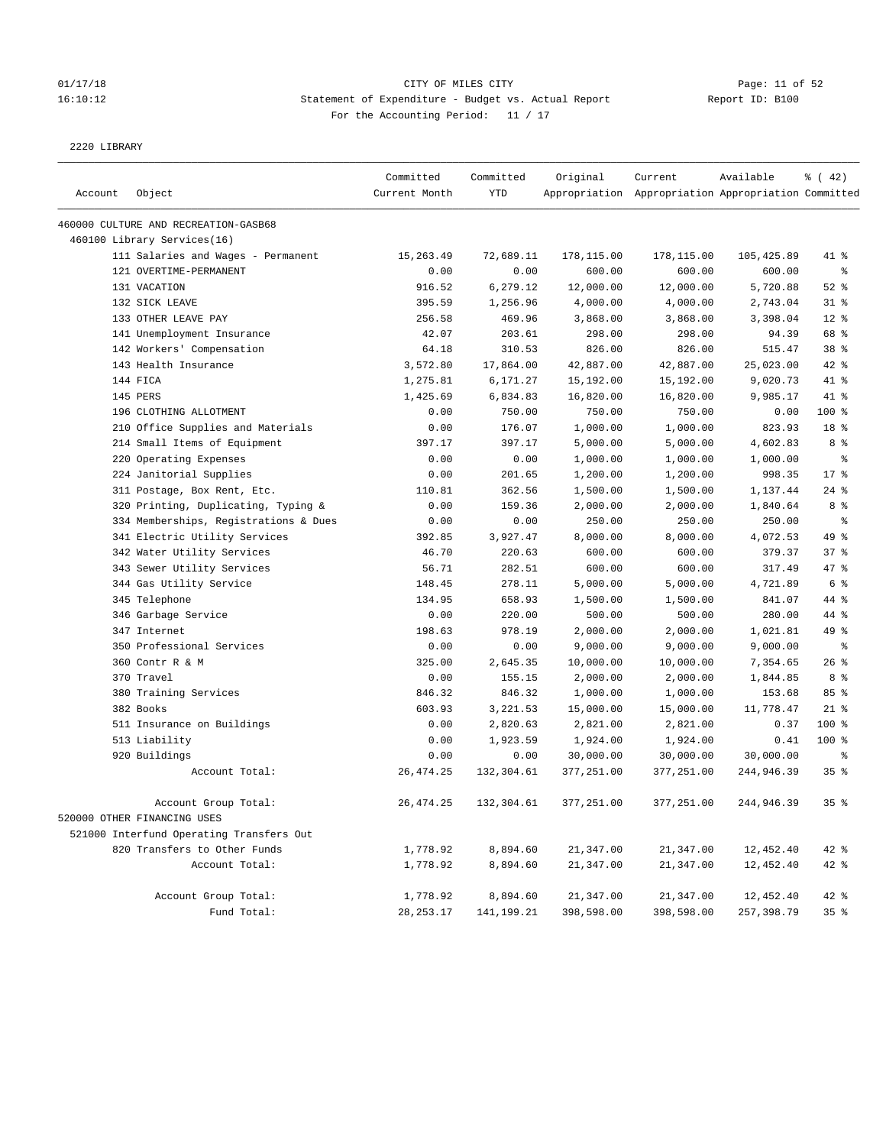## 01/17/18 Page: 11 of 52 16:10:12 Statement of Expenditure - Budget vs. Actual Report Report ID: B100 For the Accounting Period: 11 / 17

#### 2220 LIBRARY

|         |                                          | Committed     | Committed  | Original   | Current                                             | Available  | $\frac{1}{6}$ ( 42) |
|---------|------------------------------------------|---------------|------------|------------|-----------------------------------------------------|------------|---------------------|
| Account | Object                                   | Current Month | <b>YTD</b> |            | Appropriation Appropriation Appropriation Committed |            |                     |
|         | 460000 CULTURE AND RECREATION-GASB68     |               |            |            |                                                     |            |                     |
|         | 460100 Library Services(16)              |               |            |            |                                                     |            |                     |
|         | 111 Salaries and Wages - Permanent       | 15,263.49     | 72,689.11  | 178,115.00 | 178,115.00                                          | 105,425.89 | 41 %                |
|         | 121 OVERTIME-PERMANENT                   | 0.00          | 0.00       | 600.00     | 600.00                                              | 600.00     | $\epsilon$          |
|         | 131 VACATION                             | 916.52        | 6,279.12   | 12,000.00  | 12,000.00                                           | 5,720.88   | $52$ %              |
|         | 132 SICK LEAVE                           | 395.59        | 1,256.96   | 4,000.00   | 4,000.00                                            | 2,743.04   | $31$ %              |
|         | 133 OTHER LEAVE PAY                      | 256.58        | 469.96     | 3,868.00   | 3,868.00                                            | 3,398.04   | $12*$               |
|         | 141 Unemployment Insurance               | 42.07         | 203.61     | 298.00     | 298.00                                              | 94.39      | 68 %                |
|         | 142 Workers' Compensation                | 64.18         | 310.53     | 826.00     | 826.00                                              | 515.47     | 38 <sup>8</sup>     |
|         | 143 Health Insurance                     | 3,572.80      | 17,864.00  | 42,887.00  | 42,887.00                                           | 25,023.00  | 42 %                |
|         | 144 FICA                                 | 1,275.81      | 6,171.27   | 15,192.00  | 15,192.00                                           | 9,020.73   | 41 %                |
|         | 145 PERS                                 | 1,425.69      | 6,834.83   | 16,820.00  | 16,820.00                                           | 9,985.17   | 41 %                |
|         | 196 CLOTHING ALLOTMENT                   | 0.00          | 750.00     | 750.00     | 750.00                                              | 0.00       | 100 %               |
|         | 210 Office Supplies and Materials        | 0.00          | 176.07     | 1,000.00   | 1,000.00                                            | 823.93     | 18 <sup>8</sup>     |
|         | 214 Small Items of Equipment             | 397.17        | 397.17     | 5,000.00   | 5,000.00                                            | 4,602.83   | 8 %                 |
|         | 220 Operating Expenses                   | 0.00          | 0.00       | 1,000.00   | 1,000.00                                            | 1,000.00   | နွ                  |
|         | 224 Janitorial Supplies                  | 0.00          | 201.65     | 1,200.00   | 1,200.00                                            | 998.35     | $17*$               |
|         | 311 Postage, Box Rent, Etc.              | 110.81        | 362.56     | 1,500.00   | 1,500.00                                            | 1,137.44   | $24$ %              |
|         | 320 Printing, Duplicating, Typing &      | 0.00          | 159.36     | 2,000.00   | 2,000.00                                            | 1,840.64   | 8 %                 |
|         | 334 Memberships, Registrations & Dues    | 0.00          | 0.00       | 250.00     | 250.00                                              | 250.00     | $\epsilon$          |
|         | 341 Electric Utility Services            | 392.85        | 3,927.47   | 8,000.00   | 8,000.00                                            | 4,072.53   | 49 %                |
|         | 342 Water Utility Services               | 46.70         | 220.63     | 600.00     | 600.00                                              | 379.37     | 37%                 |
|         | 343 Sewer Utility Services               | 56.71         | 282.51     | 600.00     | 600.00                                              | 317.49     | 47.8                |
|         | 344 Gas Utility Service                  | 148.45        | 278.11     | 5,000.00   | 5,000.00                                            | 4,721.89   | 6 %                 |
|         | 345 Telephone                            | 134.95        | 658.93     | 1,500.00   | 1,500.00                                            | 841.07     | 44 %                |
|         | 346 Garbage Service                      | 0.00          | 220.00     | 500.00     | 500.00                                              | 280.00     | 44 %                |
|         | 347 Internet                             | 198.63        | 978.19     | 2,000.00   | 2,000.00                                            | 1,021.81   | 49 %                |
|         | 350 Professional Services                | 0.00          | 0.00       | 9,000.00   | 9,000.00                                            | 9,000.00   | ್ಠಿ                 |
|         | 360 Contr R & M                          | 325.00        | 2,645.35   | 10,000.00  | 10,000.00                                           | 7,354.65   | 26%                 |
|         | 370 Travel                               | 0.00          | 155.15     | 2,000.00   | 2,000.00                                            | 1,844.85   | 8 %                 |
|         | 380 Training Services                    | 846.32        | 846.32     | 1,000.00   | 1,000.00                                            | 153.68     | 85%                 |
|         | 382 Books                                | 603.93        | 3,221.53   | 15,000.00  | 15,000.00                                           | 11,778.47  | $21$ %              |
|         | 511 Insurance on Buildings               | 0.00          | 2,820.63   | 2,821.00   | 2,821.00                                            | 0.37       | 100 %               |
|         | 513 Liability                            | 0.00          | 1,923.59   | 1,924.00   | 1,924.00                                            | 0.41       | $100*$              |
|         | 920 Buildings                            | 0.00          | 0.00       | 30,000.00  | 30,000.00                                           | 30,000.00  | နွ                  |
|         | Account Total:                           | 26, 474.25    | 132,304.61 | 377,251.00 | 377,251.00                                          | 244,946.39 | 35%                 |
|         | Account Group Total:                     | 26, 474.25    | 132,304.61 | 377,251.00 | 377,251.00                                          | 244,946.39 | 35%                 |
|         | 520000 OTHER FINANCING USES              |               |            |            |                                                     |            |                     |
|         | 521000 Interfund Operating Transfers Out |               |            |            |                                                     |            |                     |
|         | 820 Transfers to Other Funds             | 1,778.92      | 8,894.60   | 21,347.00  | 21,347.00                                           | 12,452.40  | $42$ %              |
|         | Account Total:                           | 1,778.92      | 8,894.60   | 21,347.00  | 21,347.00                                           | 12,452.40  | $42$ %              |
|         | Account Group Total:                     | 1,778.92      | 8,894.60   | 21,347.00  | 21,347.00                                           | 12,452.40  | 42 %                |
|         | Fund Total:                              | 28, 253. 17   | 141,199.21 | 398,598.00 | 398,598.00                                          | 257,398.79 | 35%                 |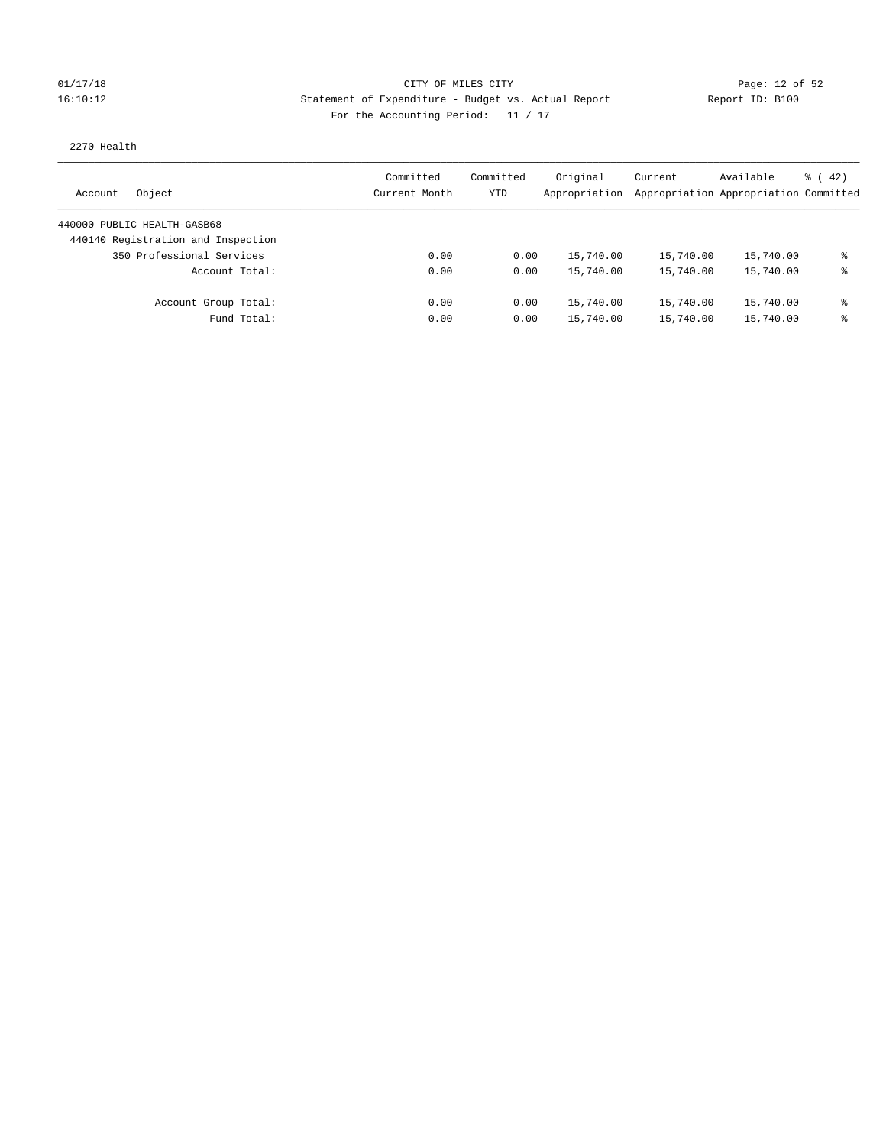## 01/17/18 Page: 12 of 52 Page: 12 of 52 16:10:12 Statement of Expenditure - Budget vs. Actual Report Report ID: B100 For the Accounting Period: 11 / 17

### 2270 Health

| Object<br>Account                  | Committed<br>Current Month | Committed<br>YTD | Original<br>Appropriation | Current<br>Appropriation Appropriation Committed | Available | $\frac{1}{6}$ (42) |
|------------------------------------|----------------------------|------------------|---------------------------|--------------------------------------------------|-----------|--------------------|
| 440000 PUBLIC HEALTH-GASB68        |                            |                  |                           |                                                  |           |                    |
| 440140 Registration and Inspection |                            |                  |                           |                                                  |           |                    |
| 350 Professional Services          | 0.00                       | 0.00             | 15,740.00                 | 15,740.00                                        | 15,740.00 | ま                  |
| Account Total:                     | 0.00                       | 0.00             | 15,740.00                 | 15,740.00                                        | 15,740.00 | ま                  |
| Account Group Total:               | 0.00                       | 0.00             | 15,740.00                 | 15,740.00                                        | 15,740.00 | ႜ                  |
| Fund Total:                        | 0.00                       | 0.00             | 15,740.00                 | 15,740.00                                        | 15,740.00 | ま                  |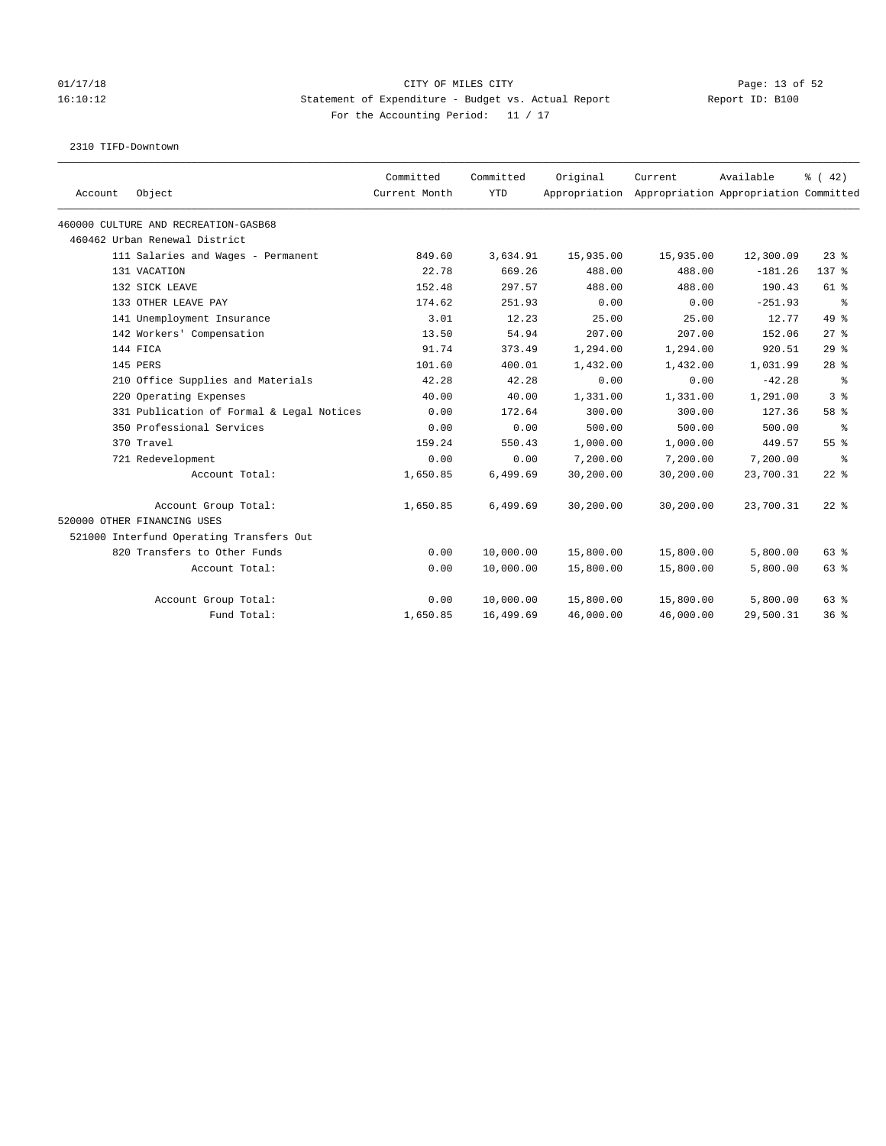### 01/17/18 Page: 13 of 52 16:10:12 Statement of Expenditure - Budget vs. Actual Report Report ID: B100 For the Accounting Period: 11 / 17

2310 TIFD-Downtown

| Account | Object                                    | Committed<br>Current Month | Committed<br><b>YTD</b> | Original  | Current<br>Appropriation Appropriation Appropriation Committed | Available | % (42)         |
|---------|-------------------------------------------|----------------------------|-------------------------|-----------|----------------------------------------------------------------|-----------|----------------|
|         | 460000 CULTURE AND RECREATION-GASB68      |                            |                         |           |                                                                |           |                |
|         | 460462 Urban Renewal District             |                            |                         |           |                                                                |           |                |
|         | 111 Salaries and Wages - Permanent        | 849.60                     | 3,634.91                | 15,935.00 | 15,935.00                                                      | 12,300.09 | $23$ $%$       |
|         | 131 VACATION                              | 22.78                      | 669.26                  | 488.00    | 488.00                                                         | $-181.26$ | 137 %          |
|         | 132 SICK LEAVE                            | 152.48                     | 297.57                  | 488.00    | 488.00                                                         | 190.43    | 61 %           |
|         | 133 OTHER LEAVE PAY                       | 174.62                     | 251.93                  | 0.00      | 0.00                                                           | $-251.93$ | နွ             |
|         | 141 Unemployment Insurance                | 3.01                       | 12.23                   | 25.00     | 25.00                                                          | 12.77     | $49*$          |
|         | 142 Workers' Compensation                 | 13.50                      | 54.94                   | 207.00    | 207.00                                                         | 152.06    | $27$ $%$       |
|         | 144 FICA                                  | 91.74                      | 373.49                  | 1,294.00  | 1,294.00                                                       | 920.51    | 29%            |
|         | 145 PERS                                  | 101.60                     | 400.01                  | 1,432.00  | 1,432.00                                                       | 1,031.99  | $28$ %         |
|         | 210 Office Supplies and Materials         | 42.28                      | 42.28                   | 0.00      | 0.00                                                           | $-42.28$  | ႜ              |
|         | 220 Operating Expenses                    | 40.00                      | 40.00                   | 1,331.00  | 1,331.00                                                       | 1,291.00  | 3 <sup>8</sup> |
|         | 331 Publication of Formal & Legal Notices | 0.00                       | 172.64                  | 300.00    | 300.00                                                         | 127.36    | 58 %           |
|         | 350 Professional Services                 | 0.00                       | 0.00                    | 500.00    | 500.00                                                         | 500.00    | ႜ              |
|         | 370 Travel                                | 159.24                     | 550.43                  | 1,000.00  | 1,000.00                                                       | 449.57    | 55%            |
|         | 721 Redevelopment                         | 0.00                       | 0.00                    | 7,200.00  | 7,200.00                                                       | 7,200.00  | ႜ              |
|         | Account Total:                            | 1,650.85                   | 6,499.69                | 30,200.00 | 30,200.00                                                      | 23,700.31 | $22$ %         |
|         | Account Group Total:                      | 1,650.85                   | 6,499.69                | 30,200.00 | 30,200.00                                                      | 23,700.31 | $22$ %         |
|         | 520000 OTHER FINANCING USES               |                            |                         |           |                                                                |           |                |
|         | 521000 Interfund Operating Transfers Out  |                            |                         |           |                                                                |           |                |
|         | 820 Transfers to Other Funds              | 0.00                       | 10,000.00               | 15,800.00 | 15,800.00                                                      | 5,800.00  | 63 %           |
|         | Account Total:                            | 0.00                       | 10,000.00               | 15,800.00 | 15,800.00                                                      | 5,800.00  | 63 %           |
|         | Account Group Total:                      | 0.00                       | 10,000.00               | 15,800.00 | 15,800.00                                                      | 5,800.00  | 63 %           |
|         | Fund Total:                               | 1,650.85                   | 16,499.69               | 46,000.00 | 46,000.00                                                      | 29,500.31 | 36%            |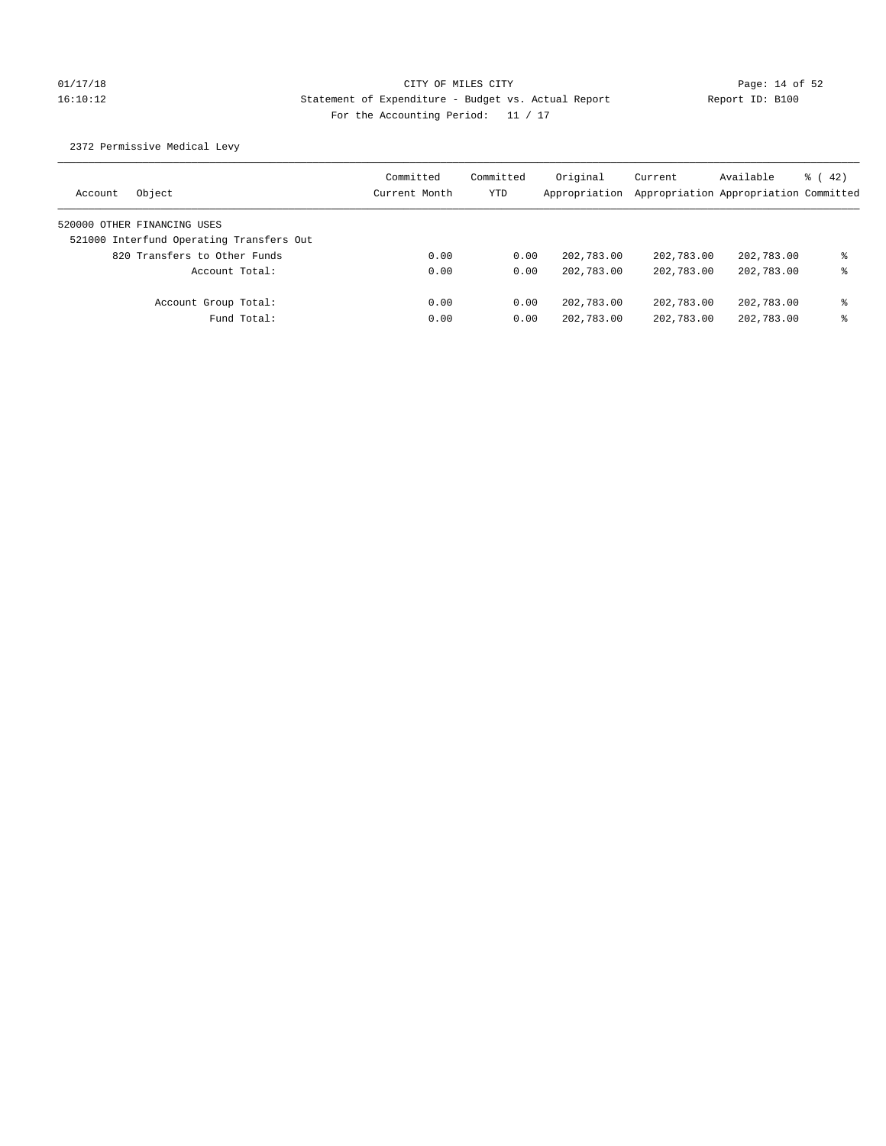# 01/17/18 Page: 14 of 52 16:10:12 Statement of Expenditure - Budget vs. Actual Report Report ID: B100 For the Accounting Period: 11 / 17

2372 Permissive Medical Levy

| Object<br>Account                        | Committed<br>Current Month | Committed<br>YTD | Original<br>Appropriation | Current    | Available<br>Appropriation Appropriation Committed | $\frac{1}{6}$ ( 42) |
|------------------------------------------|----------------------------|------------------|---------------------------|------------|----------------------------------------------------|---------------------|
| 520000 OTHER FINANCING USES              |                            |                  |                           |            |                                                    |                     |
| 521000 Interfund Operating Transfers Out |                            |                  |                           |            |                                                    |                     |
| 820 Transfers to Other Funds             | 0.00                       | 0.00             | 202,783.00                | 202,783.00 | 202,783.00                                         | ⊱                   |
| Account Total:                           | 0.00                       | 0.00             | 202,783.00                | 202,783.00 | 202,783.00                                         | ⊱                   |
| Account Group Total:                     | 0.00                       | 0.00             | 202,783.00                | 202,783.00 | 202,783.00                                         | နွ                  |
| Fund Total:                              | 0.00                       | 0.00             | 202,783.00                | 202,783.00 | 202,783.00                                         | ⊱                   |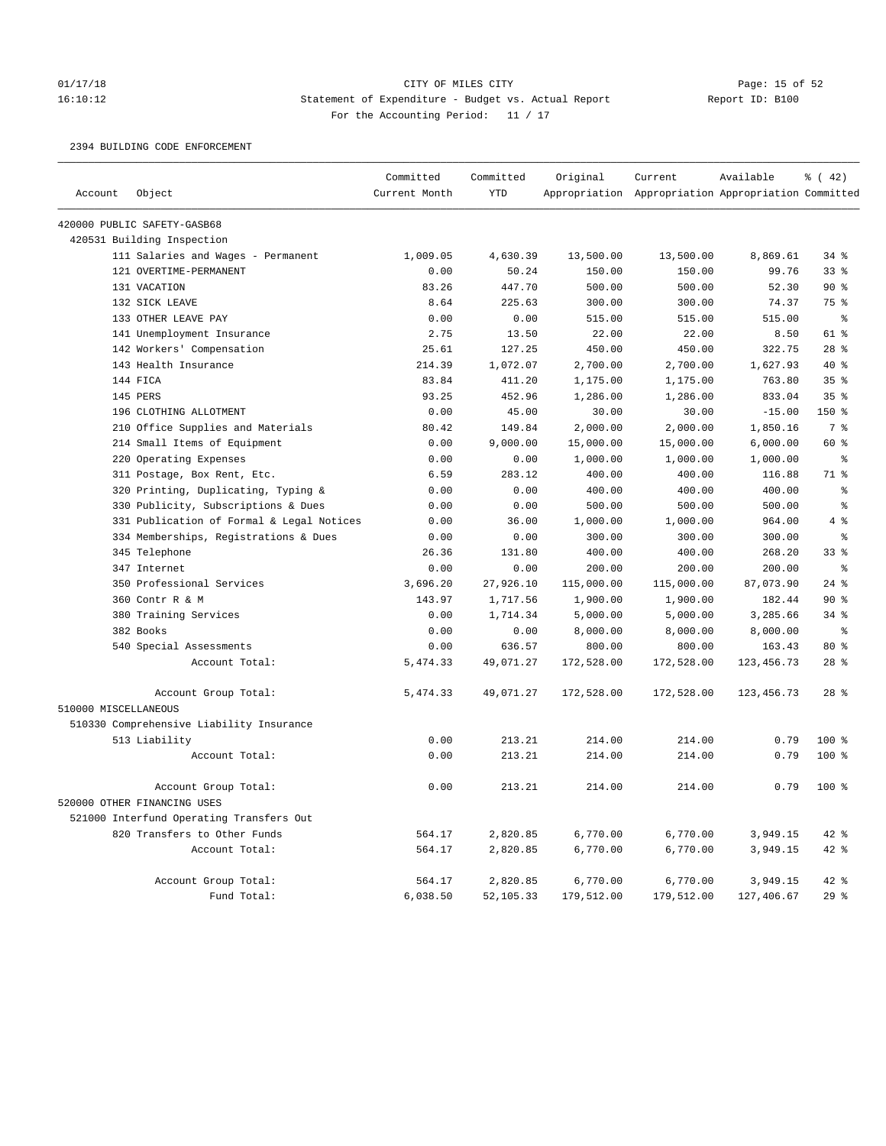# 01/17/18 CITY OF MILES CITY<br>16:10:12 Statement of Expenditure - Budget vs. Actual Report Report ID: B100 16:10:12 Statement of Expenditure - Budget vs. Actual Report Report ID: B100 For the Accounting Period: 11 / 17

2394 BUILDING CODE ENFORCEMENT

|                      |                                           | Committed     | Committed  | Original   | Current                                             | Available    | % (42)          |
|----------------------|-------------------------------------------|---------------|------------|------------|-----------------------------------------------------|--------------|-----------------|
| Account              | Object                                    | Current Month | <b>YTD</b> |            | Appropriation Appropriation Appropriation Committed |              |                 |
|                      | 420000 PUBLIC SAFETY-GASB68               |               |            |            |                                                     |              |                 |
|                      | 420531 Building Inspection                |               |            |            |                                                     |              |                 |
|                      | 111 Salaries and Wages - Permanent        | 1,009.05      | 4,630.39   | 13,500.00  | 13,500.00                                           | 8,869.61     | 34%             |
|                      | 121 OVERTIME-PERMANENT                    | 0.00          | 50.24      | 150.00     | 150.00                                              | 99.76        | 33%             |
|                      | 131 VACATION                              | 83.26         | 447.70     | 500.00     | 500.00                                              | 52.30        | $90*$           |
|                      | 132 SICK LEAVE                            | 8.64          | 225.63     | 300.00     | 300.00                                              | 74.37        | 75 %            |
|                      | 133 OTHER LEAVE PAY                       | 0.00          | 0.00       | 515.00     | 515.00                                              | 515.00       | ి               |
|                      | 141 Unemployment Insurance                | 2.75          | 13.50      | 22.00      | 22.00                                               | 8.50         | 61 %            |
|                      | 142 Workers' Compensation                 | 25.61         | 127.25     | 450.00     | 450.00                                              | 322.75       | 28 <sup>8</sup> |
|                      | 143 Health Insurance                      | 214.39        | 1,072.07   | 2,700.00   | 2,700.00                                            | 1,627.93     | 40 %            |
|                      | 144 FICA                                  | 83.84         | 411.20     | 1,175.00   | 1,175.00                                            | 763.80       | 35%             |
|                      | 145 PERS                                  | 93.25         | 452.96     | 1,286.00   | 1,286.00                                            | 833.04       | 35 <sup>8</sup> |
|                      | 196 CLOTHING ALLOTMENT                    | 0.00          | 45.00      | 30.00      | 30.00                                               | $-15.00$     | 150%            |
|                      | 210 Office Supplies and Materials         | 80.42         | 149.84     | 2,000.00   | 2,000.00                                            | 1,850.16     | 7 %             |
|                      | 214 Small Items of Equipment              | 0.00          | 9,000.00   | 15,000.00  | 15,000.00                                           | 6,000.00     | 60 %            |
|                      | 220 Operating Expenses                    | 0.00          | 0.00       | 1,000.00   | 1,000.00                                            | 1,000.00     | $\epsilon$      |
|                      | 311 Postage, Box Rent, Etc.               | 6.59          | 283.12     | 400.00     | 400.00                                              | 116.88       | 71 %            |
|                      | 320 Printing, Duplicating, Typing &       | 0.00          | 0.00       | 400.00     | 400.00                                              | 400.00       | $\epsilon$      |
|                      | 330 Publicity, Subscriptions & Dues       | 0.00          | 0.00       | 500.00     | 500.00                                              | 500.00       | နွ              |
|                      | 331 Publication of Formal & Legal Notices | 0.00          | 36.00      | 1,000.00   | 1,000.00                                            | 964.00       | 4%              |
|                      | 334 Memberships, Registrations & Dues     | 0.00          | 0.00       | 300.00     | 300.00                                              | 300.00       | $\epsilon$      |
|                      | 345 Telephone                             | 26.36         | 131.80     | 400.00     | 400.00                                              | 268.20       | 33%             |
|                      | 347 Internet                              | 0.00          | 0.00       | 200.00     | 200.00                                              | 200.00       | $\approx$       |
|                      | 350 Professional Services                 | 3,696.20      | 27,926.10  | 115,000.00 | 115,000.00                                          | 87,073.90    | $24$ %          |
|                      | 360 Contr R & M                           | 143.97        | 1,717.56   | 1,900.00   | 1,900.00                                            | 182.44       | 90%             |
|                      | 380 Training Services                     | 0.00          | 1,714.34   | 5,000.00   | 5,000.00                                            | 3,285.66     | $34$ $%$        |
|                      | 382 Books                                 | 0.00          | 0.00       | 8,000.00   | 8,000.00                                            | 8,000.00     | $\epsilon$      |
|                      | 540 Special Assessments                   | 0.00          | 636.57     | 800.00     | 800.00                                              | 163.43       | 80 %            |
|                      | Account Total:                            | 5, 474.33     | 49,071.27  | 172,528.00 | 172,528.00                                          | 123, 456. 73 | $28$ %          |
|                      | Account Group Total:                      | 5,474.33      | 49,071.27  | 172,528.00 | 172,528.00                                          | 123, 456.73  | 28 <sup>8</sup> |
| 510000 MISCELLANEOUS |                                           |               |            |            |                                                     |              |                 |
|                      | 510330 Comprehensive Liability Insurance  |               |            |            |                                                     |              |                 |
|                      | 513 Liability                             | 0.00          | 213.21     | 214.00     | 214.00                                              | 0.79         | 100 %           |
|                      | Account Total:                            | 0.00          | 213.21     | 214.00     | 214.00                                              | 0.79         | 100%            |
|                      | Account Group Total:                      | 0.00          | 213.21     | 214.00     | 214.00                                              | 0.79         | $100*$          |
|                      | 520000 OTHER FINANCING USES               |               |            |            |                                                     |              |                 |
|                      | 521000 Interfund Operating Transfers Out  |               |            |            |                                                     |              |                 |
|                      | 820 Transfers to Other Funds              | 564.17        | 2,820.85   | 6,770.00   | 6,770.00                                            | 3,949.15     | 42 %            |
|                      | Account Total:                            | 564.17        | 2,820.85   | 6,770.00   | 6,770.00                                            | 3,949.15     | $42$ %          |
|                      | Account Group Total:                      | 564.17        | 2,820.85   | 6,770.00   | 6,770.00                                            | 3,949.15     | 42 %            |
|                      | Fund Total:                               | 6,038.50      | 52,105.33  | 179,512.00 | 179,512.00                                          | 127,406.67   | 29%             |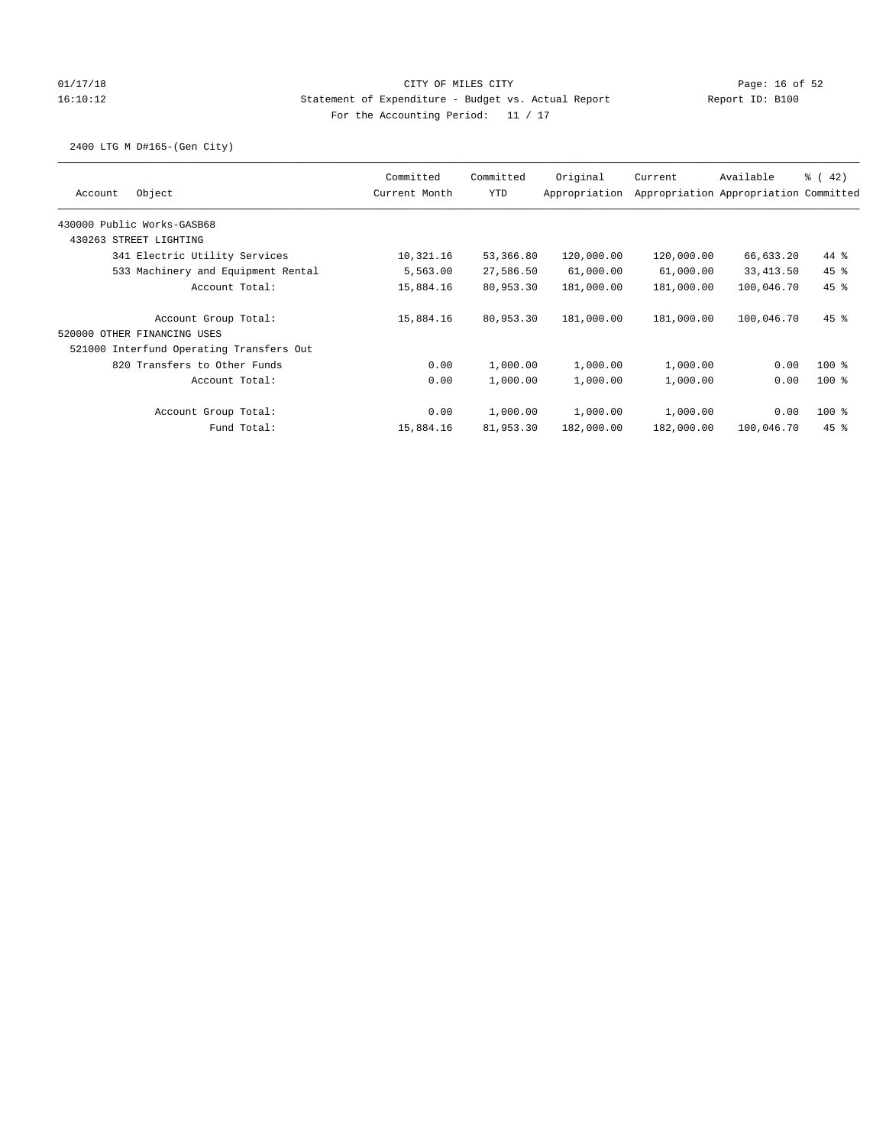## 01/17/18 Page: 16 of 52 16:10:12 Statement of Expenditure - Budget vs. Actual Report Report ID: B100 For the Accounting Period: 11 / 17

2400 LTG M D#165-(Gen City)

| Object<br>Account                        | Committed<br>Current Month | Committed<br><b>YTD</b> | Original<br>Appropriation | Current    | Available<br>Appropriation Appropriation Committed | $\frac{3}{6}$ ( 42) |
|------------------------------------------|----------------------------|-------------------------|---------------------------|------------|----------------------------------------------------|---------------------|
| 430000 Public Works-GASB68               |                            |                         |                           |            |                                                    |                     |
| 430263 STREET LIGHTING                   |                            |                         |                           |            |                                                    |                     |
| 341 Electric Utility Services            | 10,321.16                  | 53,366.80               | 120,000.00                | 120,000.00 | 66,633.20                                          | 44 %                |
| 533 Machinery and Equipment Rental       | 5,563.00                   | 27,586.50               | 61,000.00                 | 61,000.00  | 33,413.50                                          | $45$ %              |
| Account Total:                           | 15,884.16                  | 80,953.30               | 181,000.00                | 181,000.00 | 100,046.70                                         | $45$ %              |
| Account Group Total:                     | 15,884.16                  | 80,953.30               | 181,000.00                | 181,000.00 | 100,046.70                                         | $45$ %              |
| 520000 OTHER FINANCING USES              |                            |                         |                           |            |                                                    |                     |
| 521000 Interfund Operating Transfers Out |                            |                         |                           |            |                                                    |                     |
| 820 Transfers to Other Funds             | 0.00                       | 1,000.00                | 1,000.00                  | 1,000.00   | 0.00                                               | $100*$              |
| Account Total:                           | 0.00                       | 1,000.00                | 1,000.00                  | 1,000.00   | 0.00                                               | $100$ %             |
| Account Group Total:                     | 0.00                       | 1,000.00                | 1,000.00                  | 1,000.00   | 0.00                                               | $100*$              |
| Fund Total:                              | 15,884.16                  | 81,953.30               | 182,000.00                | 182,000.00 | 100,046.70                                         | $45$ %              |
|                                          |                            |                         |                           |            |                                                    |                     |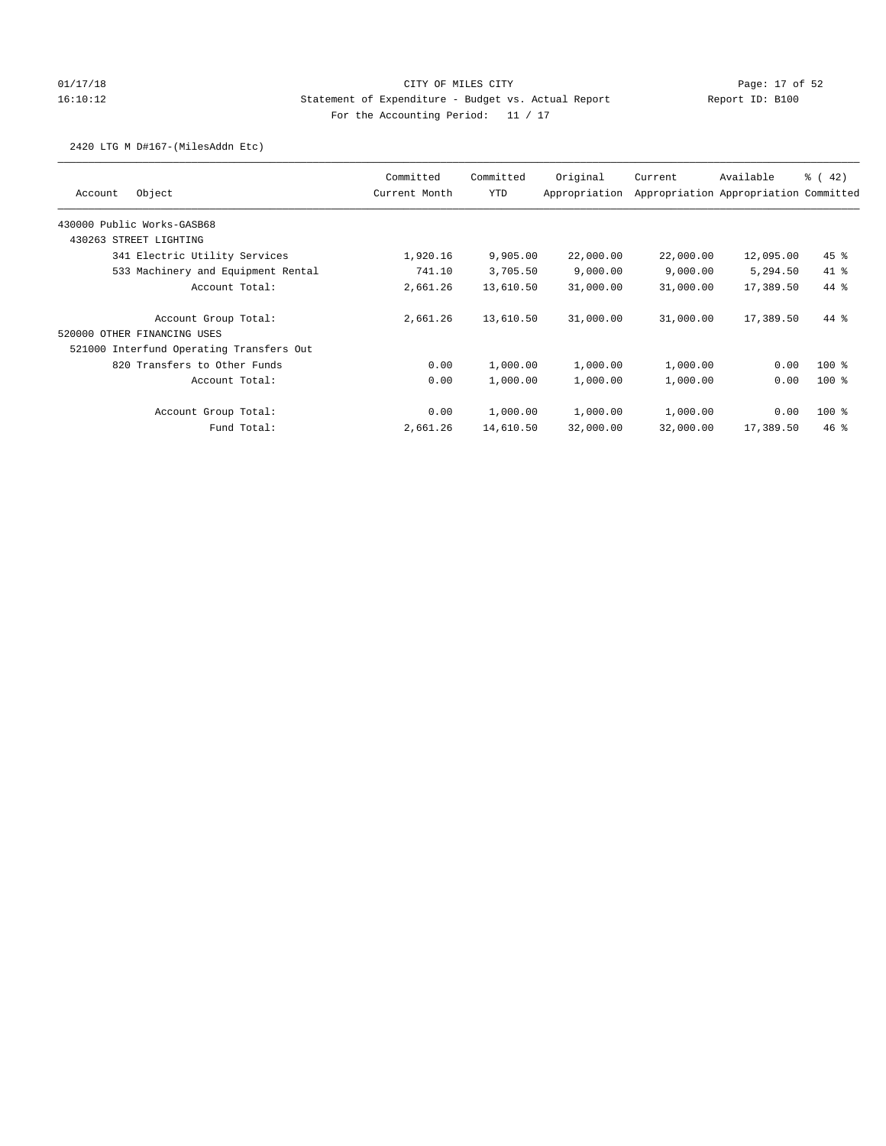## 01/17/18 Page: 17 of 52 16:10:12 Statement of Expenditure - Budget vs. Actual Report Report ID: B100 For the Accounting Period: 11 / 17

### 2420 LTG M D#167-(MilesAddn Etc)

| Object<br>Account                        | Committed<br>Current Month | Committed<br>YTD | Original<br>Appropriation | Current   | Available<br>Appropriation Appropriation Committed | $\frac{1}{6}$ ( 42) |
|------------------------------------------|----------------------------|------------------|---------------------------|-----------|----------------------------------------------------|---------------------|
| 430000 Public Works-GASB68               |                            |                  |                           |           |                                                    |                     |
| 430263 STREET LIGHTING                   |                            |                  |                           |           |                                                    |                     |
| 341 Electric Utility Services            | 1,920.16                   | 9,905.00         | 22,000.00                 | 22,000.00 | 12,095.00                                          | $45$ %              |
| 533 Machinery and Equipment Rental       | 741.10                     | 3,705.50         | 9,000.00                  | 9,000.00  | 5,294.50                                           | 41 %                |
| Account Total:                           | 2,661.26                   | 13,610.50        | 31,000.00                 | 31,000.00 | 17,389.50                                          | $44*$               |
| Account Group Total:                     | 2,661.26                   | 13,610.50        | 31,000.00                 | 31,000.00 | 17,389.50                                          | 44 %                |
| 520000 OTHER FINANCING USES              |                            |                  |                           |           |                                                    |                     |
| 521000 Interfund Operating Transfers Out |                            |                  |                           |           |                                                    |                     |
| 820 Transfers to Other Funds             | 0.00                       | 1,000.00         | 1,000.00                  | 1,000.00  | 0.00                                               | $100$ %             |
| Account Total:                           | 0.00                       | 1,000.00         | 1,000.00                  | 1,000.00  | 0.00                                               | $100*$              |
| Account Group Total:                     | 0.00                       | 1,000.00         | 1,000.00                  | 1,000.00  | 0.00                                               | $100*$              |
| Fund Total:                              | 2,661.26                   | 14,610.50        | 32,000.00                 | 32,000.00 | 17,389.50                                          | 46%                 |
|                                          |                            |                  |                           |           |                                                    |                     |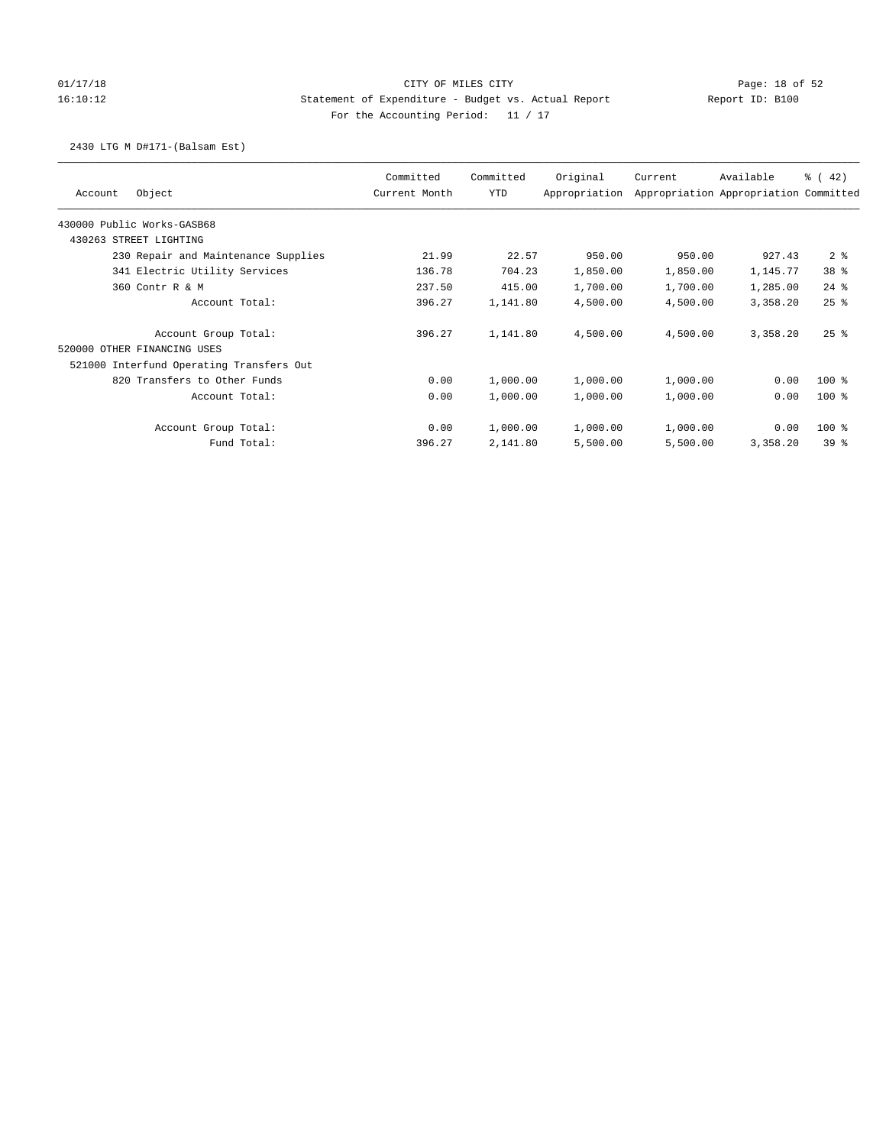## 01/17/18 Page: 18 of 52 16:10:12 Statement of Expenditure - Budget vs. Actual Report Report ID: B100 For the Accounting Period: 11 / 17

## 2430 LTG M D#171-(Balsam Est)

| Object<br>Account                        | Committed<br>Current Month | Committed<br><b>YTD</b> | Original<br>Appropriation | Current  | Available<br>Appropriation Appropriation Committed | $\frac{3}{6}$ ( 42) |
|------------------------------------------|----------------------------|-------------------------|---------------------------|----------|----------------------------------------------------|---------------------|
| 430000 Public Works-GASB68               |                            |                         |                           |          |                                                    |                     |
| 430263 STREET LIGHTING                   |                            |                         |                           |          |                                                    |                     |
| 230 Repair and Maintenance Supplies      | 21.99                      | 22.57                   | 950.00                    | 950.00   | 927.43                                             | 2 <sup>8</sup>      |
| 341 Electric Utility Services            | 136.78                     | 704.23                  | 1,850.00                  | 1,850.00 | 1,145.77                                           | 38 <sup>8</sup>     |
| 360 Contr R & M                          | 237.50                     | 415.00                  | 1,700.00                  | 1,700.00 | 1,285.00                                           | $24$ %              |
| Account Total:                           | 396.27                     | 1,141.80                | 4,500.00                  | 4,500.00 | 3,358.20                                           | 25%                 |
| Account Group Total:                     | 396.27                     | 1,141.80                | 4,500.00                  | 4,500.00 | 3,358.20                                           | $25$ $%$            |
| 520000 OTHER FINANCING USES              |                            |                         |                           |          |                                                    |                     |
| 521000 Interfund Operating Transfers Out |                            |                         |                           |          |                                                    |                     |
| 820 Transfers to Other Funds             | 0.00                       | 1,000.00                | 1,000.00                  | 1,000.00 | 0.00                                               | $100$ %             |
| Account Total:                           | 0.00                       | 1,000.00                | 1,000.00                  | 1,000.00 | 0.00                                               | $100*$              |
| Account Group Total:                     | 0.00                       | 1,000.00                | 1,000.00                  | 1,000.00 | 0.00                                               | $100*$              |
| Fund Total:                              | 396.27                     | 2,141.80                | 5,500.00                  | 5,500.00 | 3,358.20                                           | 398                 |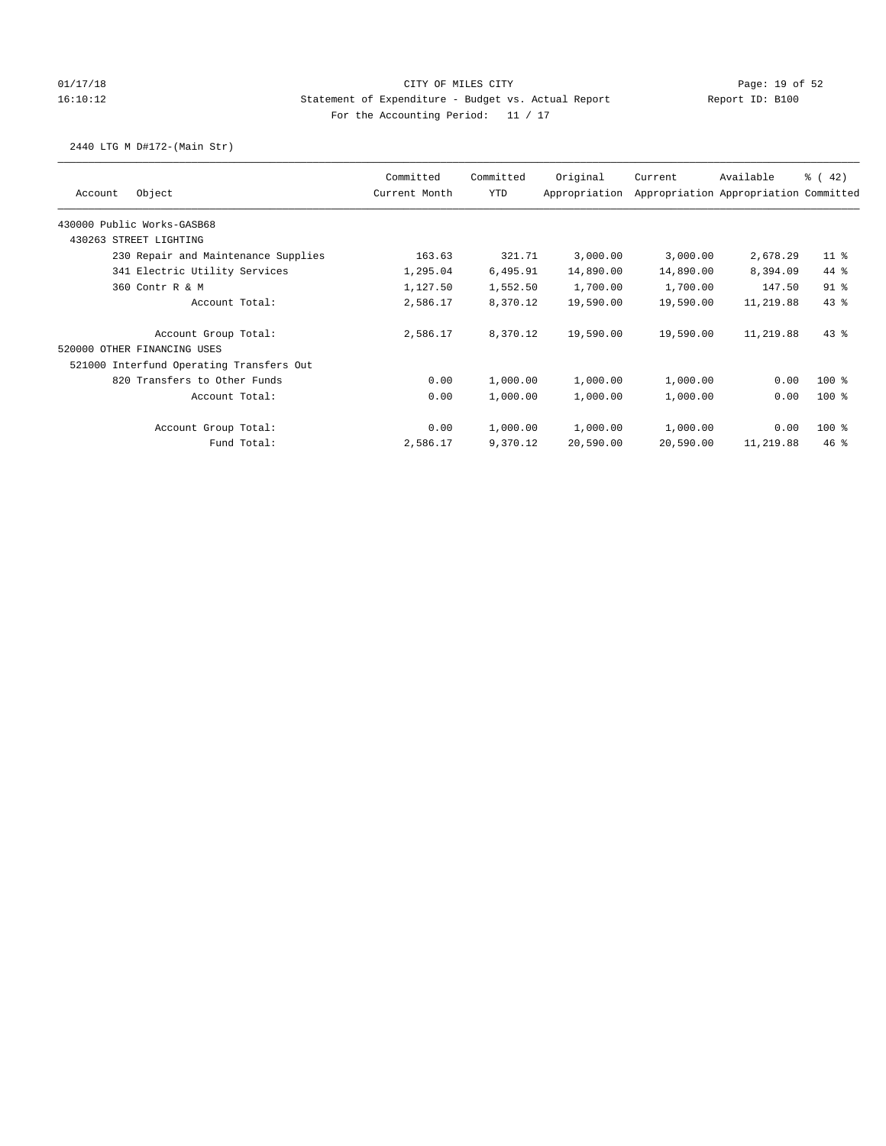## 01/17/18 Page: 19 of 52 16:10:12 Statement of Expenditure - Budget vs. Actual Report Report ID: B100 For the Accounting Period: 11 / 17

## 2440 LTG M D#172-(Main Str)

| Object<br>Account                        | Committed<br>Current Month | Committed<br>YTD | Original<br>Appropriation | Current   | Available<br>Appropriation Appropriation Committed | $\frac{1}{6}$ (42) |
|------------------------------------------|----------------------------|------------------|---------------------------|-----------|----------------------------------------------------|--------------------|
| 430000 Public Works-GASB68               |                            |                  |                           |           |                                                    |                    |
| 430263 STREET LIGHTING                   |                            |                  |                           |           |                                                    |                    |
| 230 Repair and Maintenance Supplies      | 163.63                     | 321.71           | 3,000.00                  | 3,000.00  | 2,678.29                                           | $11$ %             |
| 341 Electric Utility Services            | 1,295.04                   | 6,495.91         | 14,890.00                 | 14,890.00 | 8,394.09                                           | $44*$              |
| 360 Contr R & M                          | 1,127.50                   | 1,552.50         | 1,700.00                  | 1,700.00  | 147.50                                             | $91$ %             |
| Account Total:                           | 2,586.17                   | 8,370.12         | 19,590.00                 | 19,590.00 | 11,219.88                                          | 43.8               |
| Account Group Total:                     | 2,586.17                   | 8,370.12         | 19,590.00                 | 19,590.00 | 11,219.88                                          | $43*$              |
| 520000 OTHER FINANCING USES              |                            |                  |                           |           |                                                    |                    |
| 521000 Interfund Operating Transfers Out |                            |                  |                           |           |                                                    |                    |
| 820 Transfers to Other Funds             | 0.00                       | 1,000.00         | 1,000.00                  | 1,000.00  | 0.00                                               | $100$ %            |
| Account Total:                           | 0.00                       | 1,000.00         | 1,000.00                  | 1,000.00  | 0.00                                               | $100$ %            |
| Account Group Total:                     | 0.00                       | 1,000.00         | 1,000.00                  | 1,000.00  | 0.00                                               | $100$ %            |
| Fund Total:                              | 2,586.17                   | 9,370.12         | 20,590.00                 | 20,590.00 | 11,219.88                                          | 46%                |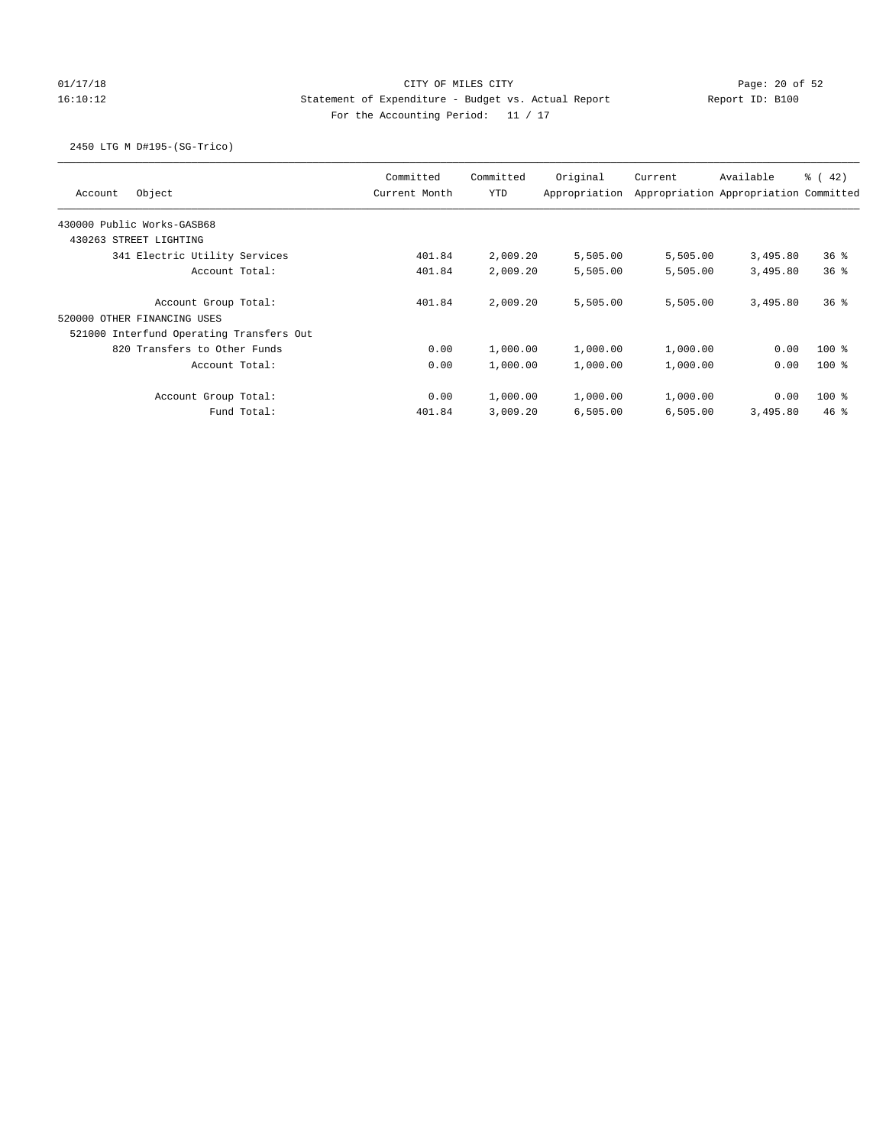## 01/17/18 Page: 20 of 52 16:10:12 Statement of Expenditure - Budget vs. Actual Report Report ID: B100 For the Accounting Period: 11 / 17

## 2450 LTG M D#195-(SG-Trico)

| Object<br>Account                                      | Committed<br>Current Month | Committed<br><b>YTD</b> | Original<br>Appropriation | Current  | Available<br>Appropriation Appropriation Committed | $\frac{1}{6}$ ( 42) |
|--------------------------------------------------------|----------------------------|-------------------------|---------------------------|----------|----------------------------------------------------|---------------------|
| 430000 Public Works-GASB68                             |                            |                         |                           |          |                                                    |                     |
| 430263 STREET LIGHTING                                 |                            |                         |                           |          |                                                    |                     |
| 341 Electric Utility Services                          | 401.84                     | 2,009.20                | 5,505.00                  | 5,505.00 | 3,495.80                                           | 36%                 |
| Account Total:                                         | 401.84                     | 2,009.20                | 5,505.00                  | 5,505.00 | 3,495.80                                           | 36%                 |
| Account Group Total:<br>OTHER FINANCING USES<br>520000 | 401.84                     | 2,009.20                | 5,505.00                  | 5,505.00 | 3,495.80                                           | 36%                 |
| 521000 Interfund Operating Transfers Out               |                            |                         |                           |          |                                                    |                     |
| 820 Transfers to Other Funds                           | 0.00                       | 1,000.00                | 1,000.00                  | 1,000.00 | 0.00                                               | $100$ %             |
| Account Total:                                         | 0.00                       | 1,000.00                | 1,000.00                  | 1,000.00 | 0.00                                               | $100*$              |
| Account Group Total:                                   | 0.00                       | 1,000.00                | 1,000.00                  | 1,000.00 | 0.00                                               | $100*$              |
| Fund Total:                                            | 401.84                     | 3,009.20                | 6,505.00                  | 6,505.00 | 3,495.80                                           | $46*$               |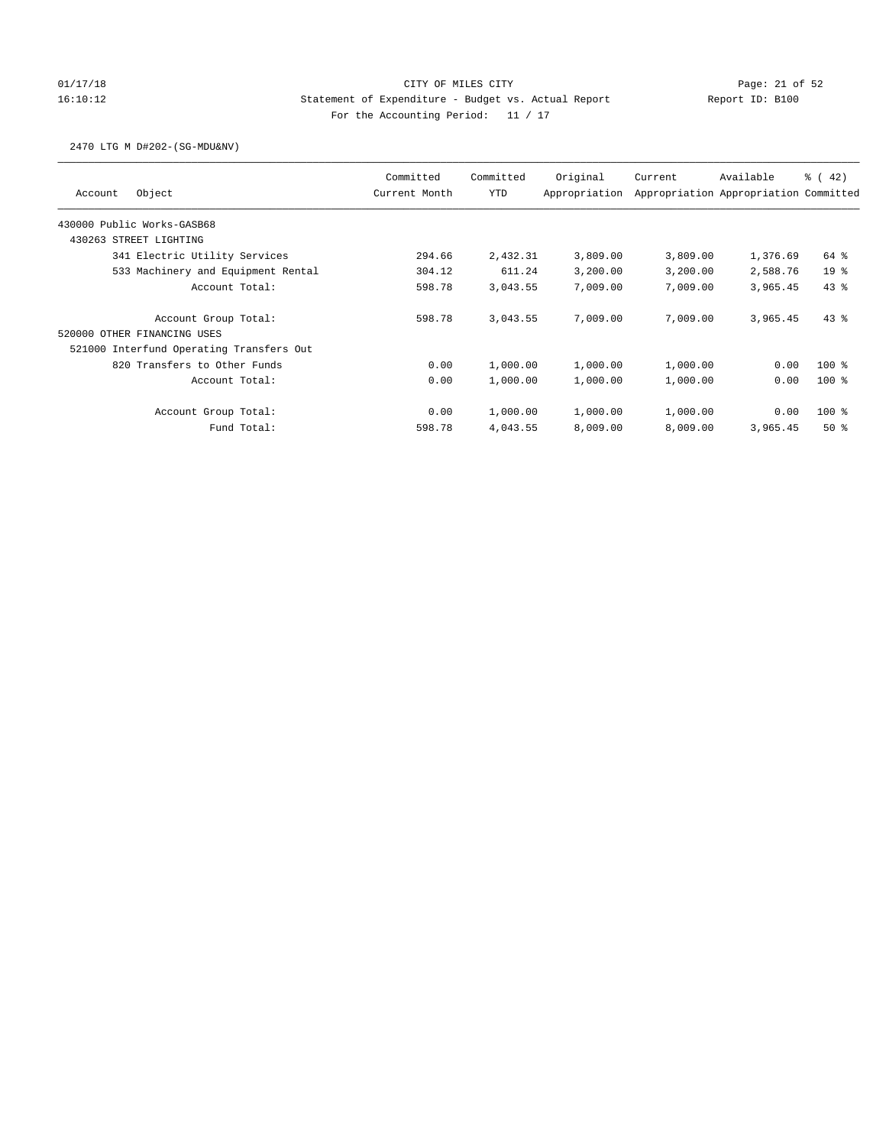## 01/17/18 Page: 21 of 52 Page: 21 of 52 16:10:12 Statement of Expenditure - Budget vs. Actual Report Report ID: B100 For the Accounting Period: 11 / 17

## 2470 LTG M D#202-(SG-MDU&NV)

|                                          | Committed     | Committed  | Original      | Current  | Available                             | % (42)          |
|------------------------------------------|---------------|------------|---------------|----------|---------------------------------------|-----------------|
| Object<br>Account                        | Current Month | <b>YTD</b> | Appropriation |          | Appropriation Appropriation Committed |                 |
| 430000 Public Works-GASB68               |               |            |               |          |                                       |                 |
| 430263 STREET LIGHTING                   |               |            |               |          |                                       |                 |
| 341 Electric Utility Services            | 294.66        | 2,432.31   | 3,809.00      | 3,809.00 | 1,376.69                              | 64 %            |
| 533 Machinery and Equipment Rental       | 304.12        | 611.24     | 3,200.00      | 3,200.00 | 2,588.76                              | 19 <sup>°</sup> |
| Account Total:                           | 598.78        | 3,043.55   | 7,009.00      | 7,009.00 | 3,965.45                              | 43%             |
| Account Group Total:                     | 598.78        | 3,043.55   | 7,009.00      | 7,009.00 | 3,965.45                              | $43*$           |
| 520000 OTHER FINANCING USES              |               |            |               |          |                                       |                 |
| 521000 Interfund Operating Transfers Out |               |            |               |          |                                       |                 |
| 820 Transfers to Other Funds             | 0.00          | 1,000.00   | 1,000.00      | 1,000.00 | 0.00                                  | $100*$          |
| Account Total:                           | 0.00          | 1,000.00   | 1,000.00      | 1,000.00 | 0.00                                  | $100*$          |
| Account Group Total:                     | 0.00          | 1,000.00   | 1,000.00      | 1,000.00 | 0.00                                  | $100*$          |
| Fund Total:                              | 598.78        | 4,043.55   | 8,009.00      | 8,009.00 | 3,965.45                              | $50*$           |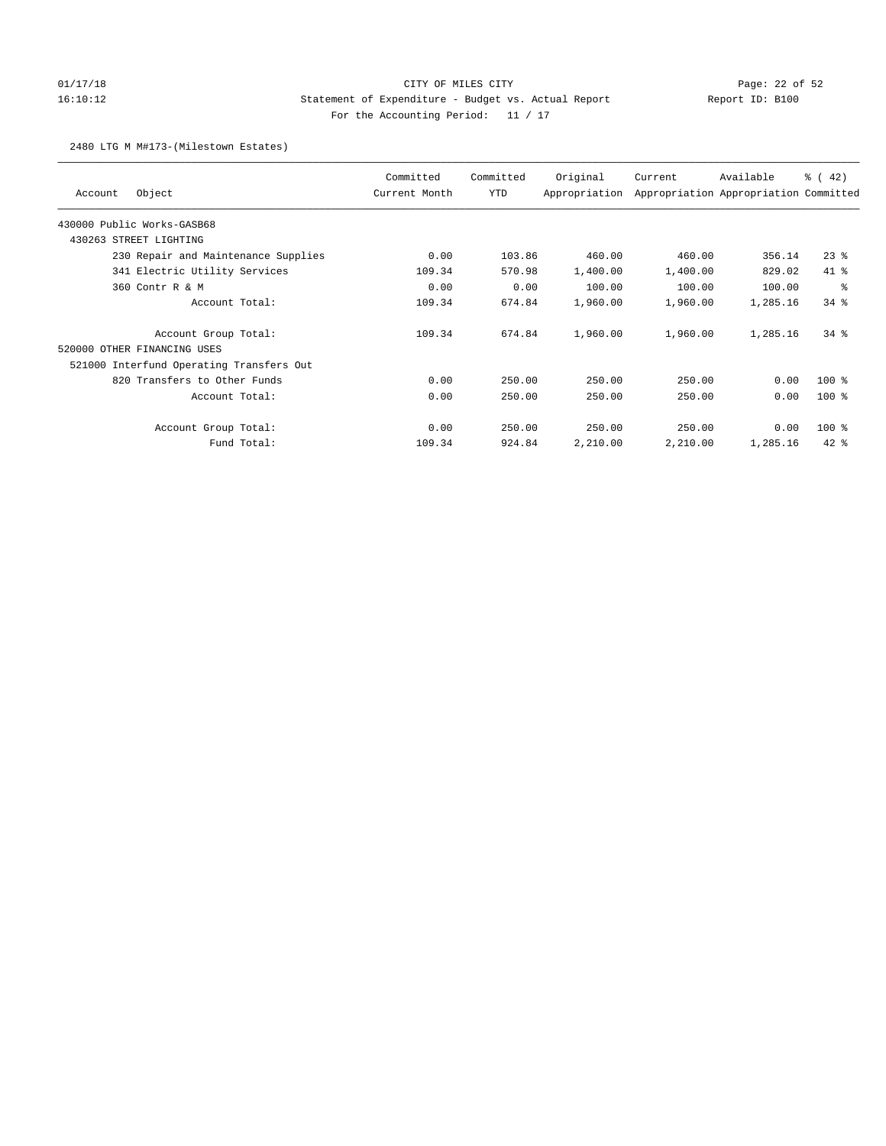## 01/17/18 Page: 22 of 52 16:10:12 Statement of Expenditure - Budget vs. Actual Report Report ID: B100 For the Accounting Period: 11 / 17

### 2480 LTG M M#173-(Milestown Estates)

| Object<br>Account                        | Committed<br>Current Month | Committed<br><b>YTD</b> | Original<br>Appropriation | Current  | Available<br>Appropriation Appropriation Committed | $\frac{3}{6}$ ( 42) |
|------------------------------------------|----------------------------|-------------------------|---------------------------|----------|----------------------------------------------------|---------------------|
| 430000 Public Works-GASB68               |                            |                         |                           |          |                                                    |                     |
| 430263 STREET LIGHTING                   |                            |                         |                           |          |                                                    |                     |
| 230 Repair and Maintenance Supplies      | 0.00                       | 103.86                  | 460.00                    | 460.00   | 356.14                                             | $23$ %              |
| 341 Electric Utility Services            | 109.34                     | 570.98                  | 1,400.00                  | 1,400.00 | 829.02                                             | 41 %                |
| 360 Contr R & M                          | 0.00                       | 0.00                    | 100.00                    | 100.00   | 100.00                                             | နွ                  |
| Account Total:                           | 109.34                     | 674.84                  | 1,960.00                  | 1,960.00 | 1,285.16                                           | $34$ $%$            |
| Account Group Total:                     | 109.34                     | 674.84                  | 1,960.00                  | 1,960.00 | 1,285.16                                           | $34$ $%$            |
| 520000 OTHER FINANCING USES              |                            |                         |                           |          |                                                    |                     |
| 521000 Interfund Operating Transfers Out |                            |                         |                           |          |                                                    |                     |
| 820 Transfers to Other Funds             | 0.00                       | 250.00                  | 250.00                    | 250.00   | 0.00                                               | $100*$              |
| Account Total:                           | 0.00                       | 250.00                  | 250.00                    | 250.00   | 0.00                                               | $100*$              |
| Account Group Total:                     | 0.00                       | 250.00                  | 250.00                    | 250.00   | 0.00                                               | 100 %               |
| Fund Total:                              | 109.34                     | 924.84                  | 2,210.00                  | 2,210.00 | 1,285.16                                           | $42$ $%$            |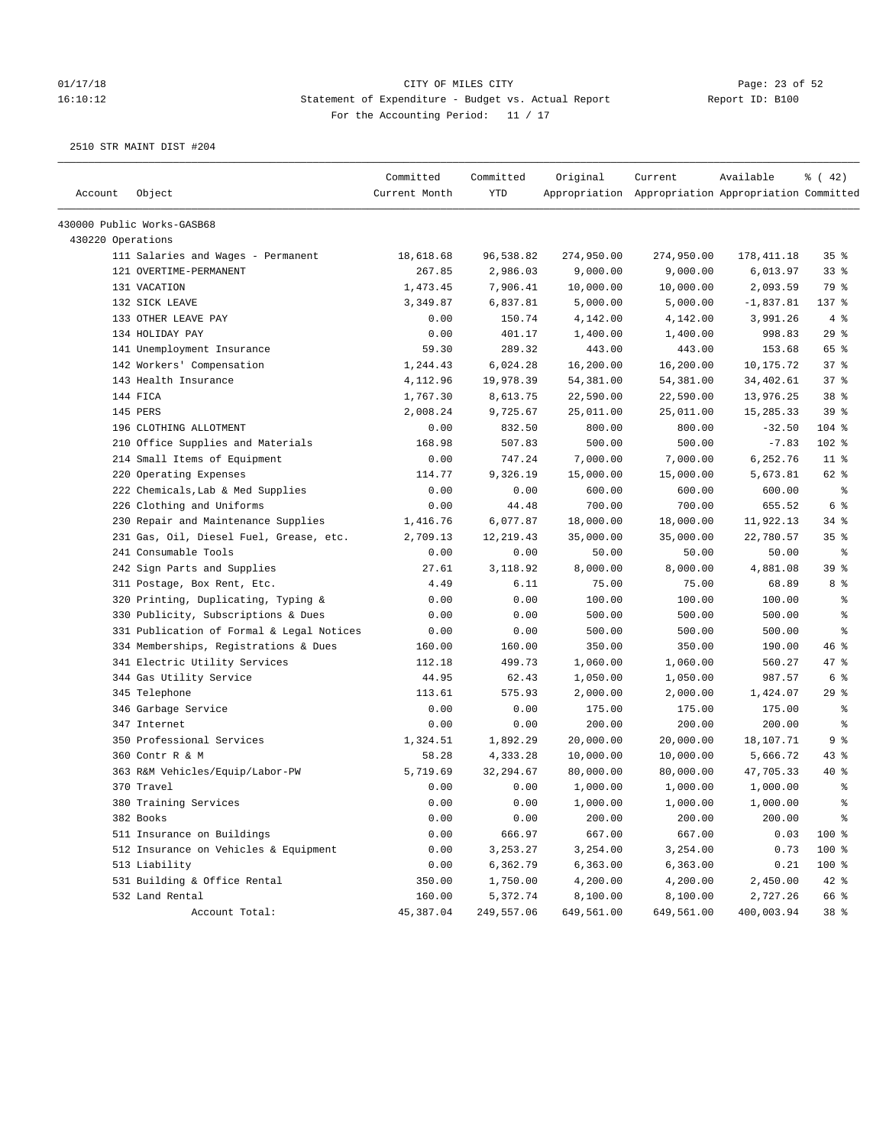### 01/17/18 Page: 23 of 52 16:10:12 Statement of Expenditure - Budget vs. Actual Report Report ID: B100 For the Accounting Period: 11 / 17

| Account           | Object                                    | Committed<br>Current Month | Committed<br>YTD | Original   | Current<br>Appropriation Appropriation Appropriation Committed | Available   | $\frac{1}{6}$ ( 42) |
|-------------------|-------------------------------------------|----------------------------|------------------|------------|----------------------------------------------------------------|-------------|---------------------|
|                   |                                           |                            |                  |            |                                                                |             |                     |
|                   | 430000 Public Works-GASB68                |                            |                  |            |                                                                |             |                     |
| 430220 Operations |                                           |                            |                  |            |                                                                |             |                     |
|                   | 111 Salaries and Wages - Permanent        | 18,618.68                  | 96,538.82        | 274,950.00 | 274,950.00                                                     | 178, 411.18 | 35%                 |
|                   | 121 OVERTIME-PERMANENT                    | 267.85                     | 2,986.03         | 9,000.00   | 9,000.00                                                       | 6,013.97    | 33%                 |
|                   | 131 VACATION                              | 1,473.45                   | 7,906.41         | 10,000.00  | 10,000.00                                                      | 2,093.59    | 79 %                |
|                   | 132 SICK LEAVE                            | 3,349.87                   | 6,837.81         | 5,000.00   | 5,000.00                                                       | $-1,837.81$ | 137 %               |
|                   | 133 OTHER LEAVE PAY                       | 0.00                       | 150.74           | 4,142.00   | 4,142.00                                                       | 3,991.26    | 4%                  |
|                   | 134 HOLIDAY PAY                           | 0.00                       | 401.17           | 1,400.00   | 1,400.00                                                       | 998.83      | 29%                 |
|                   | 141 Unemployment Insurance                | 59.30                      | 289.32           | 443.00     | 443.00                                                         | 153.68      | 65 %                |
|                   | 142 Workers' Compensation                 | 1,244.43                   | 6,024.28         | 16,200.00  | 16,200.00                                                      | 10,175.72   | 37%                 |
|                   | 143 Health Insurance                      | 4,112.96                   | 19,978.39        | 54,381.00  | 54,381.00                                                      | 34,402.61   | 37%                 |
|                   | 144 FICA                                  | 1,767.30                   | 8,613.75         | 22,590.00  | 22,590.00                                                      | 13,976.25   | 38 %                |
|                   | 145 PERS                                  | 2,008.24                   | 9,725.67         | 25,011.00  | 25,011.00                                                      | 15,285.33   | 39%                 |
|                   | 196 CLOTHING ALLOTMENT                    | 0.00                       | 832.50           | 800.00     | 800.00                                                         | $-32.50$    | $104$ %             |
|                   | 210 Office Supplies and Materials         | 168.98                     | 507.83           | 500.00     | 500.00                                                         | $-7.83$     | 102 %               |
|                   | 214 Small Items of Equipment              | 0.00                       | 747.24           | 7,000.00   | 7,000.00                                                       | 6,252.76    | $11$ %              |
|                   | 220 Operating Expenses                    | 114.77                     | 9,326.19         | 15,000.00  | 15,000.00                                                      | 5,673.81    | 62 %                |
|                   | 222 Chemicals, Lab & Med Supplies         | 0.00                       | 0.00             | 600.00     | 600.00                                                         | 600.00      | ႜ                   |
|                   | 226 Clothing and Uniforms                 | 0.00                       | 44.48            | 700.00     | 700.00                                                         | 655.52      | 6 %                 |
|                   | 230 Repair and Maintenance Supplies       | 1,416.76                   | 6,077.87         | 18,000.00  | 18,000.00                                                      | 11,922.13   | $34$ $%$            |
|                   | 231 Gas, Oil, Diesel Fuel, Grease, etc.   | 2,709.13                   | 12,219.43        | 35,000.00  | 35,000.00                                                      | 22,780.57   | 35 <sub>8</sub>     |
|                   | 241 Consumable Tools                      | 0.00                       | 0.00             | 50.00      | 50.00                                                          | 50.00       | ႜ                   |
|                   | 242 Sign Parts and Supplies               | 27.61                      | 3,118.92         | 8,000.00   | 8,000.00                                                       | 4,881.08    | 39 %                |
|                   | 311 Postage, Box Rent, Etc.               | 4.49                       | 6.11             | 75.00      | 75.00                                                          | 68.89       | 8 %                 |
|                   | 320 Printing, Duplicating, Typing &       | 0.00                       | 0.00             | 100.00     | 100.00                                                         | 100.00      | နွ                  |
|                   | 330 Publicity, Subscriptions & Dues       | 0.00                       | 0.00             | 500.00     | 500.00                                                         | 500.00      | ್ಠಿ                 |
|                   | 331 Publication of Formal & Legal Notices | 0.00                       | 0.00             | 500.00     | 500.00                                                         | 500.00      | နွ                  |
|                   | 334 Memberships, Registrations & Dues     | 160.00                     | 160.00           | 350.00     | 350.00                                                         | 190.00      | 46%                 |
|                   | 341 Electric Utility Services             | 112.18                     | 499.73           | 1,060.00   | 1,060.00                                                       | 560.27      | 47 %                |
|                   | 344 Gas Utility Service                   | 44.95                      | 62.43            | 1,050.00   | 1,050.00                                                       | 987.57      | $6\degree$          |
|                   | 345 Telephone                             | 113.61                     | 575.93           | 2,000.00   | 2,000.00                                                       | 1,424.07    | 29%                 |
|                   | 346 Garbage Service                       | 0.00                       | 0.00             | 175.00     | 175.00                                                         | 175.00      | ႜ                   |
|                   | 347 Internet                              | 0.00                       | 0.00             | 200.00     | 200.00                                                         | 200.00      | နွ                  |
|                   | 350 Professional Services                 | 1,324.51                   | 1,892.29         | 20,000.00  | 20,000.00                                                      | 18,107.71   | 9%                  |
|                   | 360 Contr R & M                           | 58.28                      | 4,333.28         | 10,000.00  | 10,000.00                                                      | 5,666.72    | $43$ %              |
|                   | 363 R&M Vehicles/Equip/Labor-PW           | 5,719.69                   | 32,294.67        | 80,000.00  | 80,000.00                                                      | 47,705.33   | $40*$               |
|                   | 370 Travel                                | 0.00                       | 0.00             | 1,000.00   | 1,000.00                                                       | 1,000.00    | ್ಠಿ                 |
|                   | 380 Training Services                     | 0.00                       | 0.00             | 1,000.00   | 1,000.00                                                       | 1,000.00    | ి                   |
|                   | 382 Books                                 | 0.00                       | 0.00             | 200.00     | 200.00                                                         | 200.00      | $\epsilon$          |
|                   | 511 Insurance on Buildings                | 0.00                       | 666.97           | 667.00     | 667.00                                                         | 0.03        | 100 %               |
|                   | 512 Insurance on Vehicles & Equipment     | 0.00                       | 3,253.27         | 3,254.00   | 3,254.00                                                       | 0.73        | 100 %               |
|                   | 513 Liability                             | 0.00                       | 6,362.79         | 6,363.00   | 6,363.00                                                       | 0.21        | 100 %               |
|                   | 531 Building & Office Rental              | 350.00                     | 1,750.00         | 4,200.00   | 4,200.00                                                       | 2,450.00    | 42 %                |
|                   | 532 Land Rental                           | 160.00                     | 5,372.74         | 8,100.00   | 8,100.00                                                       | 2,727.26    | 66 %                |
|                   | Account Total:                            | 45,387.04                  | 249,557.06       | 649,561.00 | 649,561.00                                                     | 400,003.94  | 38 <sup>8</sup>     |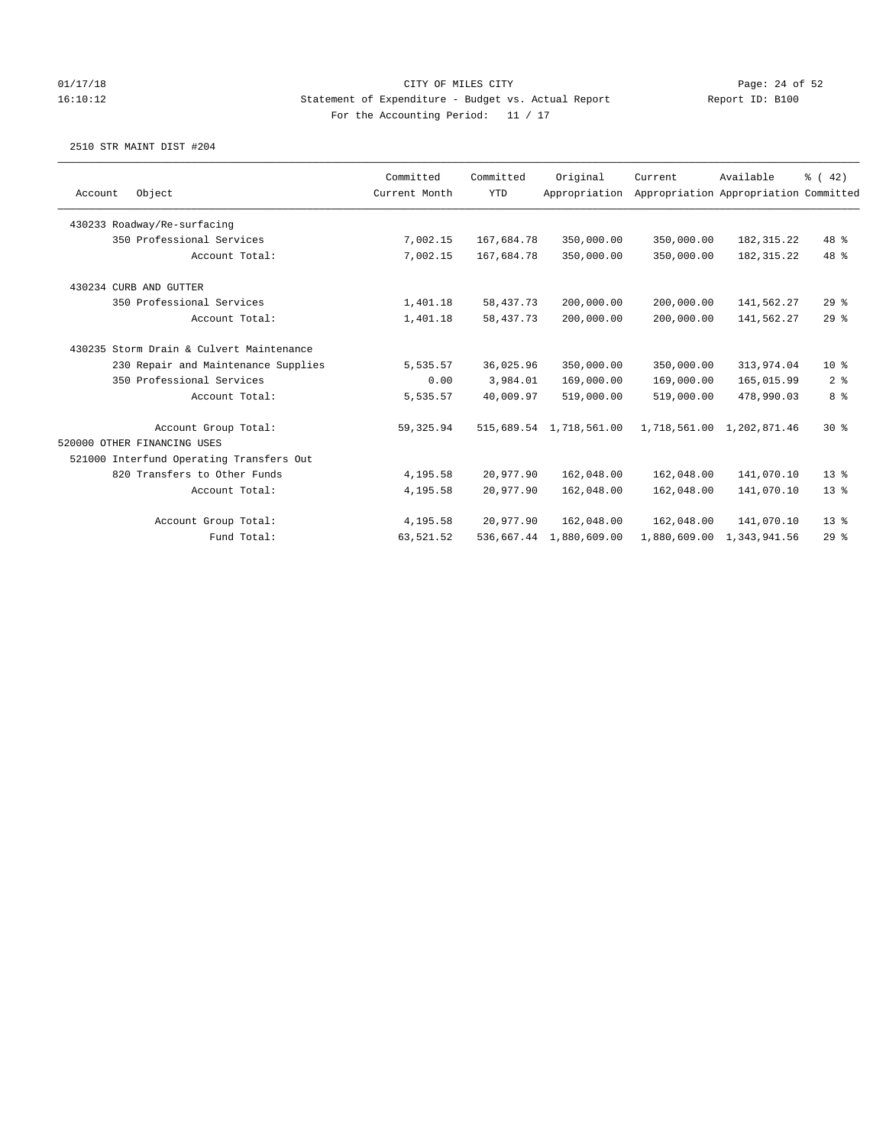## 01/17/18 Page: 24 of 52 16:10:12 Statement of Expenditure - Budget vs. Actual Report Report ID: B100 For the Accounting Period: 11 / 17

|         |                                          | Committed     | Committed   | Original                | Current    | Available                             | % (42)         |
|---------|------------------------------------------|---------------|-------------|-------------------------|------------|---------------------------------------|----------------|
| Account | Object                                   | Current Month | <b>YTD</b>  | Appropriation           |            | Appropriation Appropriation Committed |                |
|         | 430233 Roadway/Re-surfacing              |               |             |                         |            |                                       |                |
|         | 350 Professional Services                | 7,002.15      | 167,684.78  | 350,000.00              | 350,000.00 | 182, 315.22                           | 48 %           |
|         | Account Total:                           | 7,002.15      | 167,684.78  | 350,000.00              | 350,000.00 | 182, 315.22                           | 48 %           |
|         | 430234 CURB AND GUTTER                   |               |             |                         |            |                                       |                |
|         | 350 Professional Services                | 1,401.18      | 58, 437. 73 | 200,000.00              | 200,000.00 | 141,562.27                            | 29%            |
|         | Account Total:                           | 1,401.18      | 58, 437. 73 | 200,000.00              | 200,000.00 | 141,562.27                            | $29$ $%$       |
|         | 430235 Storm Drain & Culvert Maintenance |               |             |                         |            |                                       |                |
|         | 230 Repair and Maintenance Supplies      | 5,535.57      | 36,025.96   | 350,000.00              | 350,000.00 | 313,974.04                            | $10*$          |
|         | 350 Professional Services                | 0.00          | 3,984.01    | 169,000.00              | 169,000.00 | 165,015.99                            | 2 <sup>8</sup> |
|         | Account Total:                           | 5,535.57      | 40,009.97   | 519,000.00              | 519,000.00 | 478,990.03                            | 8 %            |
|         | Account Group Total:                     | 59,325.94     |             | 515,689.54 1,718,561.00 |            | 1,718,561.00 1,202,871.46             | $30*$          |
|         | 520000 OTHER FINANCING USES              |               |             |                         |            |                                       |                |
|         | 521000 Interfund Operating Transfers Out |               |             |                         |            |                                       |                |
|         | 820 Transfers to Other Funds             | 4,195.58      | 20,977.90   | 162,048.00              | 162,048.00 | 141,070.10                            | $13*$          |
|         | Account Total:                           | 4,195.58      | 20,977.90   | 162,048.00              | 162,048.00 | 141,070.10                            | $13*$          |
|         | Account Group Total:                     | 4,195.58      | 20,977.90   | 162,048.00              | 162,048.00 | 141,070.10                            | $13*$          |
|         | Fund Total:                              | 63,521.52     |             | 536,667.44 1,880,609.00 |            | 1,880,609.00 1,343,941.56             | 29%            |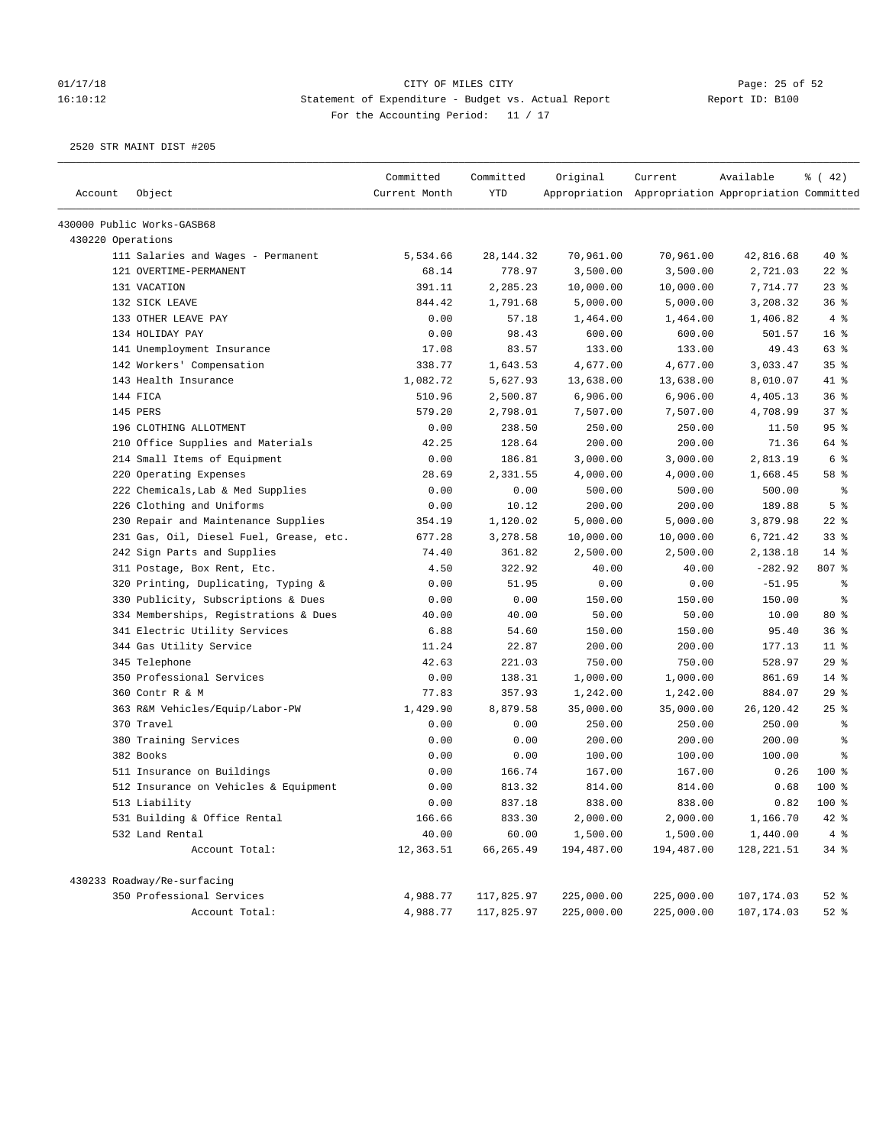# 01/17/18 Page: 25 of 52 16:10:12 Statement of Expenditure - Budget vs. Actual Report Report ID: B100 For the Accounting Period: 11 / 17

| Account           | Object                                  | Committed<br>Current Month | Committed<br><b>YTD</b> | Original   | Current<br>Appropriation Appropriation Appropriation Committed | Available  | $\frac{1}{6}$ ( 42) |
|-------------------|-----------------------------------------|----------------------------|-------------------------|------------|----------------------------------------------------------------|------------|---------------------|
|                   | 430000 Public Works-GASB68              |                            |                         |            |                                                                |            |                     |
| 430220 Operations |                                         |                            |                         |            |                                                                |            |                     |
|                   | 111 Salaries and Wages - Permanent      | 5,534.66                   | 28, 144. 32             | 70,961.00  | 70,961.00                                                      | 42,816.68  | 40 %                |
|                   | 121 OVERTIME-PERMANENT                  | 68.14                      | 778.97                  | 3,500.00   | 3,500.00                                                       | 2,721.03   | $22$ %              |
|                   | 131 VACATION                            | 391.11                     | 2,285.23                | 10,000.00  | 10,000.00                                                      | 7,714.77   | 23%                 |
|                   | 132 SICK LEAVE                          | 844.42                     | 1,791.68                | 5,000.00   | 5,000.00                                                       | 3,208.32   | 36%                 |
|                   | 133 OTHER LEAVE PAY                     | 0.00                       | 57.18                   | 1,464.00   | 1,464.00                                                       | 1,406.82   | 4%                  |
|                   | 134 HOLIDAY PAY                         | 0.00                       | 98.43                   | 600.00     | 600.00                                                         | 501.57     | 16 <sup>°</sup>     |
|                   | 141 Unemployment Insurance              | 17.08                      | 83.57                   | 133.00     | 133.00                                                         | 49.43      | 63 %                |
|                   | 142 Workers' Compensation               | 338.77                     | 1,643.53                | 4,677.00   | 4,677.00                                                       | 3,033.47   | 35%                 |
|                   | 143 Health Insurance                    | 1,082.72                   | 5,627.93                | 13,638.00  | 13,638.00                                                      | 8,010.07   | 41 %                |
|                   | 144 FICA                                | 510.96                     | 2,500.87                | 6,906.00   | 6,906.00                                                       | 4,405.13   | 36%                 |
|                   | 145 PERS                                | 579.20                     | 2,798.01                | 7,507.00   | 7,507.00                                                       | 4,708.99   | 37%                 |
|                   | 196 CLOTHING ALLOTMENT                  | 0.00                       | 238.50                  | 250.00     | 250.00                                                         | 11.50      | 95%                 |
|                   | 210 Office Supplies and Materials       | 42.25                      | 128.64                  | 200.00     | 200.00                                                         | 71.36      | 64 %                |
|                   | 214 Small Items of Equipment            | 0.00                       | 186.81                  | 3,000.00   | 3,000.00                                                       | 2,813.19   | 6 %                 |
|                   | 220 Operating Expenses                  | 28.69                      | 2,331.55                | 4,000.00   | 4,000.00                                                       | 1,668.45   | 58 %                |
|                   | 222 Chemicals, Lab & Med Supplies       | 0.00                       | 0.00                    | 500.00     | 500.00                                                         | 500.00     | $\epsilon$          |
|                   | 226 Clothing and Uniforms               | 0.00                       | 10.12                   | 200.00     | 200.00                                                         | 189.88     | 5 <sup>°</sup>      |
|                   | 230 Repair and Maintenance Supplies     | 354.19                     | 1,120.02                | 5,000.00   | 5,000.00                                                       | 3,879.98   | $22$ %              |
|                   | 231 Gas, Oil, Diesel Fuel, Grease, etc. | 677.28                     | 3,278.58                | 10,000.00  | 10,000.00                                                      | 6,721.42   | 33%                 |
|                   | 242 Sign Parts and Supplies             | 74.40                      | 361.82                  | 2,500.00   | 2,500.00                                                       | 2,138.18   | $14$ %              |
|                   | 311 Postage, Box Rent, Etc.             | 4.50                       | 322.92                  | 40.00      | 40.00                                                          | $-282.92$  | 807 %               |
|                   | 320 Printing, Duplicating, Typing &     | 0.00                       | 51.95                   | 0.00       | 0.00                                                           | $-51.95$   | နွ                  |
|                   | 330 Publicity, Subscriptions & Dues     | 0.00                       | 0.00                    | 150.00     | 150.00                                                         | 150.00     | $\epsilon$          |
|                   | 334 Memberships, Registrations & Dues   | 40.00                      | 40.00                   | 50.00      | 50.00                                                          | 10.00      | 80 %                |
|                   | 341 Electric Utility Services           | 6.88                       | 54.60                   | 150.00     | 150.00                                                         | 95.40      | 36%                 |
|                   | 344 Gas Utility Service                 | 11.24                      | 22.87                   | 200.00     | 200.00                                                         | 177.13     | $11$ %              |
|                   | 345 Telephone                           | 42.63                      | 221.03                  | 750.00     | 750.00                                                         | 528.97     | 29%                 |
|                   | 350 Professional Services               | 0.00                       | 138.31                  | 1,000.00   | 1,000.00                                                       | 861.69     | $14$ %              |
|                   | 360 Contr R & M                         | 77.83                      | 357.93                  | 1,242.00   | 1,242.00                                                       | 884.07     | 29%                 |
|                   | 363 R&M Vehicles/Equip/Labor-PW         | 1,429.90                   | 8,879.58                | 35,000.00  | 35,000.00                                                      | 26,120.42  | 25%                 |
|                   | 370 Travel                              | 0.00                       | 0.00                    | 250.00     | 250.00                                                         | 250.00     | နွ                  |
|                   | 380 Training Services                   | 0.00                       | 0.00                    | 200.00     | 200.00                                                         | 200.00     | る                   |
|                   | 382 Books                               | 0.00                       | 0.00                    | 100.00     | 100.00                                                         | 100.00     | နွ                  |
|                   | 511 Insurance on Buildings              | 0.00                       | 166.74                  | 167.00     | 167.00                                                         | 0.26       | $100$ %             |
|                   | 512 Insurance on Vehicles & Equipment   | 0.00                       | 813.32                  | 814.00     | 814.00                                                         | 0.68       | $100*$              |
|                   | 513 Liability                           | 0.00                       | 837.18                  | 838.00     | 838.00                                                         | 0.82       | $100*$              |
|                   | 531 Building & Office Rental            | 166.66                     | 833.30                  | 2,000.00   | 2,000.00                                                       | 1,166.70   | 42 %                |
|                   | 532 Land Rental                         | 40.00                      | 60.00                   | 1,500.00   | 1,500.00                                                       | 1,440.00   | 4%                  |
|                   | Account Total:                          | 12,363.51                  | 66,265.49               | 194,487.00 | 194,487.00                                                     | 128,221.51 | 34%                 |
|                   | 430233 Roadway/Re-surfacing             |                            |                         |            |                                                                |            |                     |
|                   | 350 Professional Services               | 4,988.77                   | 117,825.97              | 225,000.00 | 225,000.00                                                     | 107,174.03 | $52$ $%$            |
|                   | Account Total:                          | 4,988.77                   | 117,825.97              | 225,000.00 | 225,000.00                                                     | 107,174.03 | $52$ $%$            |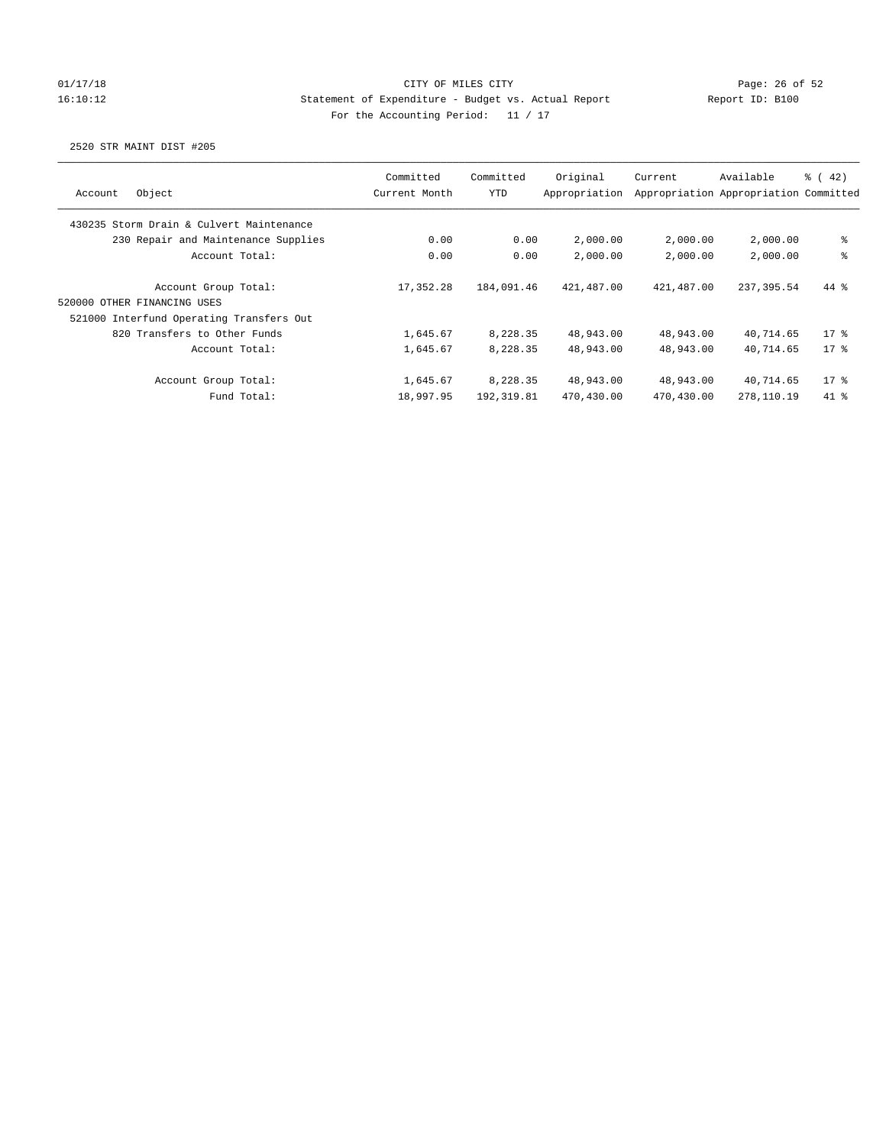## 01/17/18 Page: 26 of 52 16:10:12 Statement of Expenditure - Budget vs. Actual Report Report ID: B100 For the Accounting Period: 11 / 17

| Object<br>Account                                   | Committed<br>Current Month | Committed<br>YTD | Original<br>Appropriation | Current    | Available<br>Appropriation Appropriation Committed | $\frac{1}{6}$ (42) |
|-----------------------------------------------------|----------------------------|------------------|---------------------------|------------|----------------------------------------------------|--------------------|
| 430235 Storm Drain & Culvert Maintenance            |                            |                  |                           |            |                                                    |                    |
| 230 Repair and Maintenance Supplies                 | 0.00                       | 0.00             | 2,000.00                  | 2,000.00   | 2,000.00                                           | ి                  |
| Account Total:                                      | 0.00                       | 0.00             | 2,000.00                  | 2,000.00   | 2,000.00                                           | ి                  |
| Account Group Total:<br>520000 OTHER FINANCING USES | 17,352.28                  | 184,091.46       | 421,487.00                | 421,487.00 | 237,395.54                                         | 44 %               |
| 521000 Interfund Operating Transfers Out            |                            |                  |                           |            |                                                    |                    |
| 820 Transfers to Other Funds                        | 1,645.67                   | 8,228.35         | 48,943.00                 | 48,943.00  | 40,714.65                                          | $17*$              |
| Account Total:                                      | 1,645.67                   | 8,228.35         | 48,943.00                 | 48,943.00  | 40.714.65                                          | $17*$              |
| Account Group Total:                                | 1,645.67                   | 8,228.35         | 48,943.00                 | 48,943.00  | 40,714.65                                          | $17*$              |
| Fund Total:                                         | 18,997.95                  | 192, 319.81      | 470,430.00                | 470,430.00 | 278,110.19                                         | 41 %               |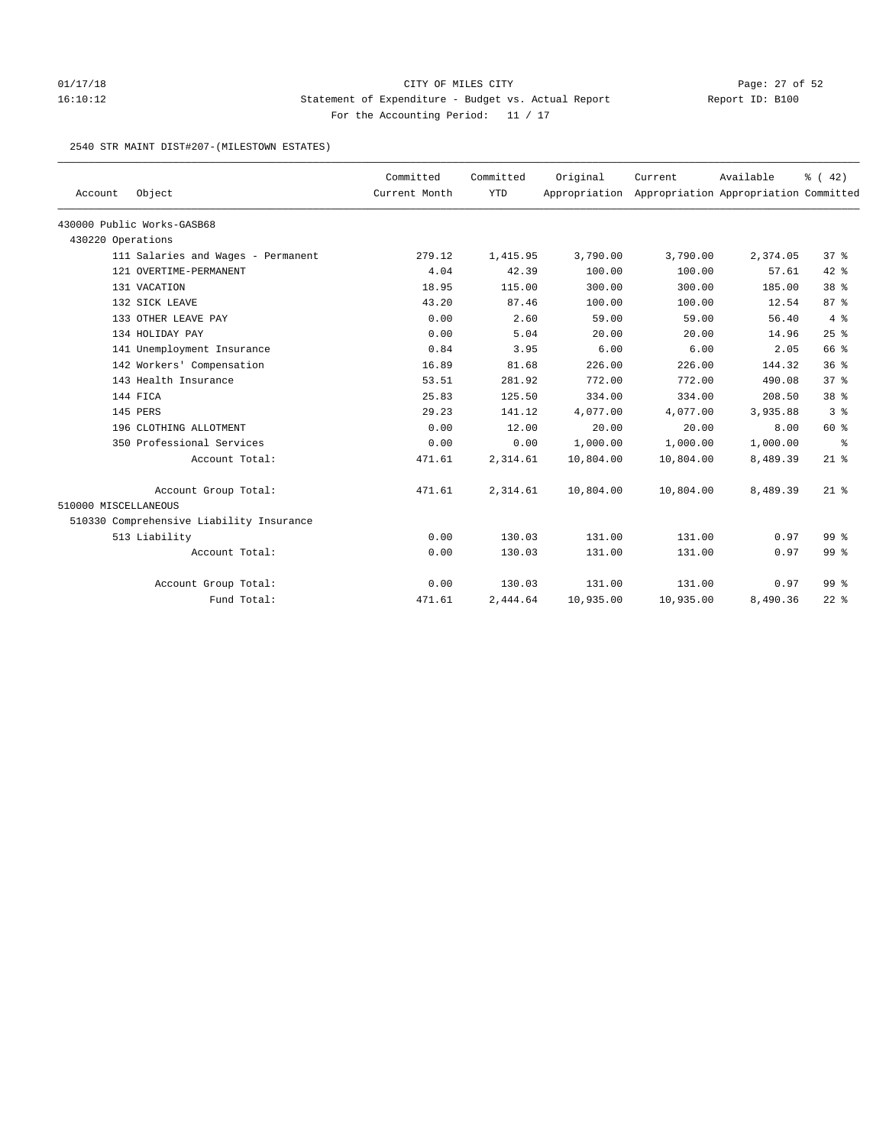## 01/17/18 Page: 27 of 52 16:10:12 Statement of Expenditure - Budget vs. Actual Report Report ID: B100 For the Accounting Period: 11 / 17

### 2540 STR MAINT DIST#207-(MILESTOWN ESTATES)

| Account              | Object                                   | Committed<br>Current Month | Committed<br><b>YTD</b> | Original  | Current<br>Appropriation Appropriation Appropriation Committed | Available | % (42)          |
|----------------------|------------------------------------------|----------------------------|-------------------------|-----------|----------------------------------------------------------------|-----------|-----------------|
|                      | 430000 Public Works-GASB68               |                            |                         |           |                                                                |           |                 |
| 430220 Operations    |                                          |                            |                         |           |                                                                |           |                 |
|                      | 111 Salaries and Wages - Permanent       | 279.12                     | 1,415.95                | 3,790.00  | 3,790.00                                                       | 2,374.05  | 37 <sup>8</sup> |
|                      | 121 OVERTIME-PERMANENT                   | 4.04                       | 42.39                   | 100.00    | 100.00                                                         | 57.61     | $42$ %          |
|                      | 131 VACATION                             | 18.95                      | 115.00                  | 300.00    | 300.00                                                         | 185.00    | 38 <sup>8</sup> |
|                      | 132 SICK LEAVE                           | 43.20                      | 87.46                   | 100.00    | 100.00                                                         | 12.54     | 87%             |
|                      | 133 OTHER LEAVE PAY                      | 0.00                       | 2.60                    | 59.00     | 59.00                                                          | 56.40     | 4%              |
|                      | 134 HOLIDAY PAY                          | 0.00                       | 5.04                    | 20.00     | 20.00                                                          | 14.96     | 25%             |
|                      | 141 Unemployment Insurance               | 0.84                       | 3.95                    | 6.00      | 6.00                                                           | 2.05      | 66 %            |
|                      | 142 Workers' Compensation                | 16.89                      | 81.68                   | 226.00    | 226.00                                                         | 144.32    | 36%             |
|                      | 143 Health Insurance                     | 53.51                      | 281.92                  | 772.00    | 772.00                                                         | 490.08    | 37 <sup>8</sup> |
|                      | 144 FICA                                 | 25.83                      | 125.50                  | 334.00    | 334.00                                                         | 208.50    | 38 <sup>8</sup> |
|                      | 145 PERS                                 | 29.23                      | 141.12                  | 4,077.00  | 4,077.00                                                       | 3,935.88  | 3 <sup>8</sup>  |
|                      | 196 CLOTHING ALLOTMENT                   | 0.00                       | 12.00                   | 20.00     | 20.00                                                          | 8.00      | 60 %            |
|                      | 350 Professional Services                | 0.00                       | 0.00                    | 1,000.00  | 1,000.00                                                       | 1,000.00  | နွ              |
|                      | Account Total:                           | 471.61                     | 2,314.61                | 10,804.00 | 10,804.00                                                      | 8,489.39  | $21$ %          |
|                      | Account Group Total:                     | 471.61                     | 2,314.61                | 10,804.00 | 10,804.00                                                      | 8,489.39  | $21$ %          |
| 510000 MISCELLANEOUS |                                          |                            |                         |           |                                                                |           |                 |
|                      | 510330 Comprehensive Liability Insurance |                            |                         |           |                                                                |           |                 |
|                      | 513 Liability                            | 0.00                       | 130.03                  | 131.00    | 131.00                                                         | 0.97      | 99 <sup>8</sup> |
|                      | Account Total:                           | 0.00                       | 130.03                  | 131.00    | 131.00                                                         | 0.97      | 99 %            |
|                      | Account Group Total:                     | 0.00                       | 130.03                  | 131.00    | 131.00                                                         | 0.97      | 99 <sup>8</sup> |
|                      | Fund Total:                              | 471.61                     | 2,444.64                | 10,935.00 | 10,935.00                                                      | 8,490.36  | $22$ $%$        |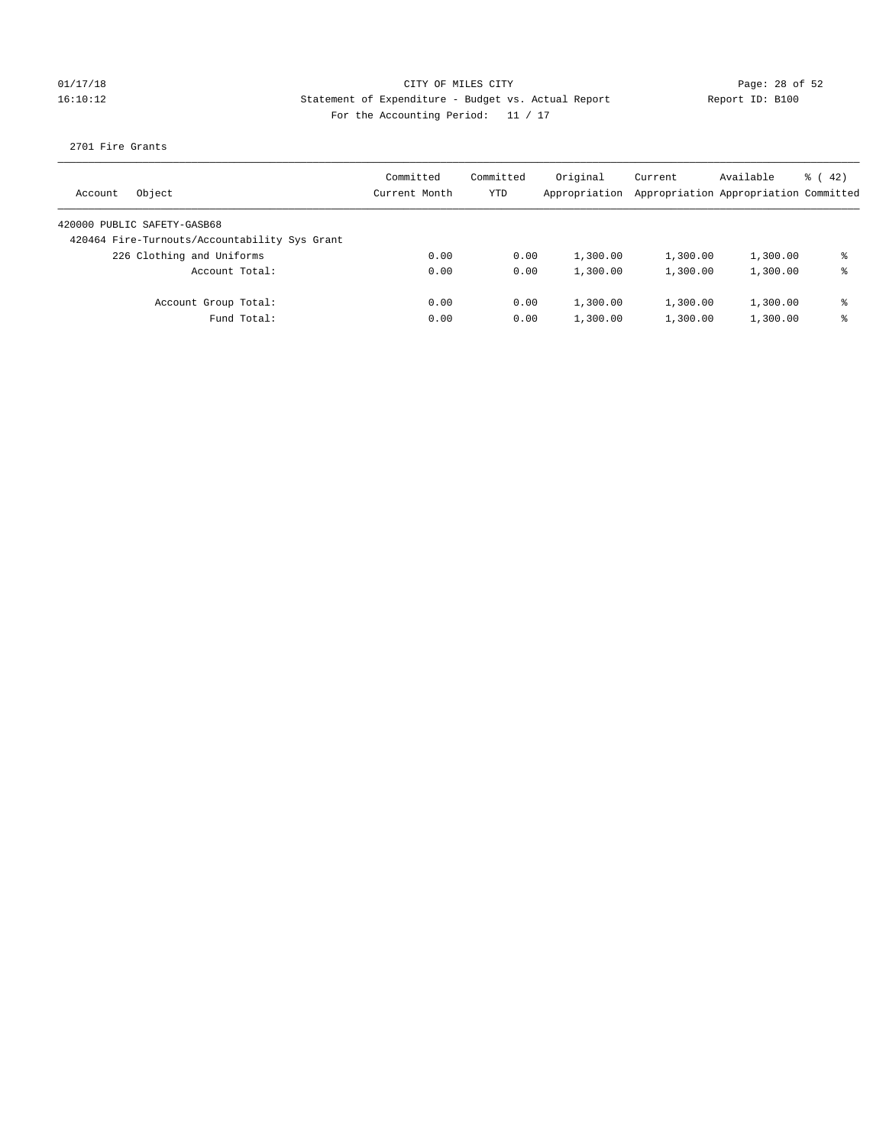## 01/17/18 Page: 28 of 52 16:10:12 Statement of Expenditure - Budget vs. Actual Report Report ID: B100 For the Accounting Period: 11 / 17

2701 Fire Grants

| Object<br>Account                             | Committed<br>Current Month | Committed<br>YTD | Original<br>Appropriation | Current<br>Appropriation Appropriation Committed | Available | $\frac{1}{6}$ ( 42) |
|-----------------------------------------------|----------------------------|------------------|---------------------------|--------------------------------------------------|-----------|---------------------|
| 420000 PUBLIC SAFETY-GASB68                   |                            |                  |                           |                                                  |           |                     |
| 420464 Fire-Turnouts/Accountability Sys Grant |                            |                  |                           |                                                  |           |                     |
| 226 Clothing and Uniforms                     | 0.00                       | 0.00             | 1,300.00                  | 1,300.00                                         | 1,300.00  | ⊱                   |
| Account Total:                                | 0.00                       | 0.00             | 1,300.00                  | 1,300.00                                         | 1,300.00  | ⊱                   |
| Account Group Total:                          | 0.00                       | 0.00             | 1,300.00                  | 1,300.00                                         | 1,300.00  | နွ                  |
| Fund Total:                                   | 0.00                       | 0.00             | 1,300.00                  | 1,300.00                                         | 1,300.00  | ⊱                   |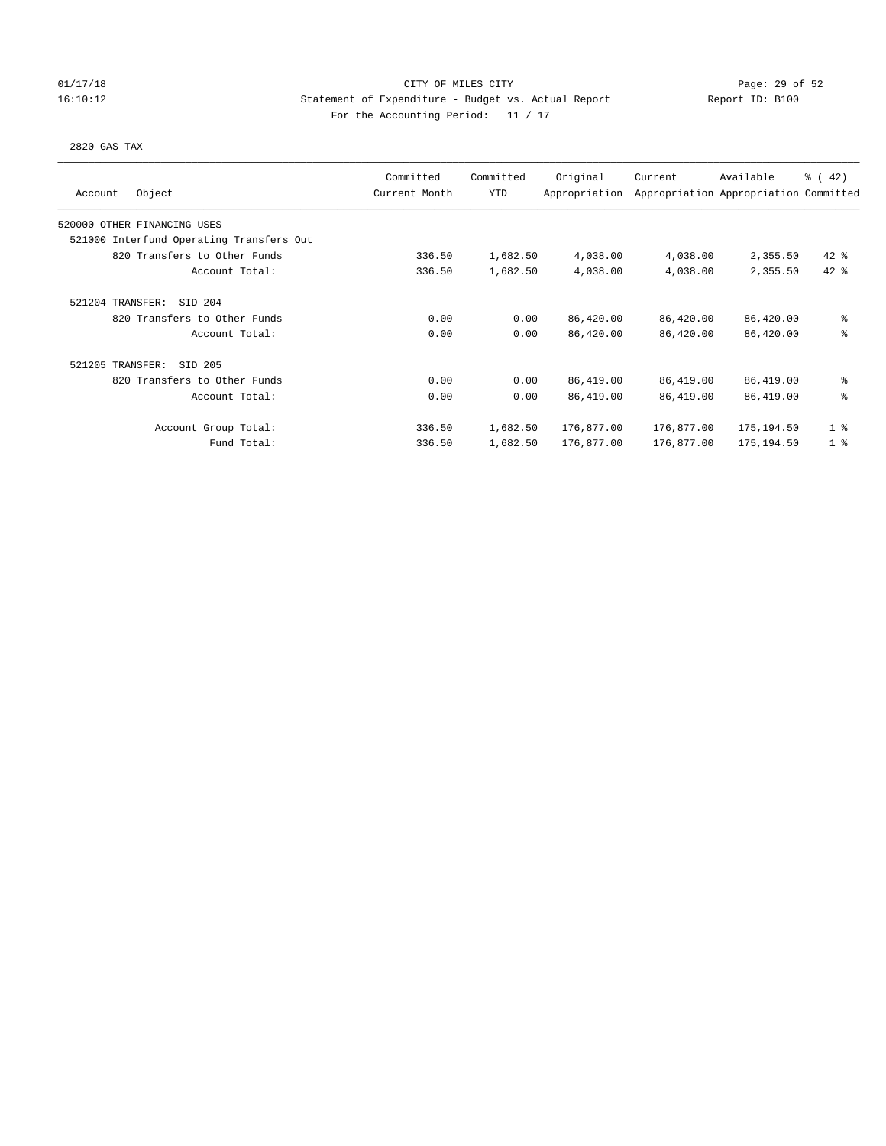### 01/17/18 Page: 29 of 52 16:10:12 Statement of Expenditure - Budget vs. Actual Report Report ID: B100 For the Accounting Period: 11 / 17

### 2820 GAS TAX

| Object<br>Account                        | Committed<br>Current Month | Committed<br>YTD | Original<br>Appropriation | Current    | Available<br>Appropriation Appropriation Committed | $\frac{1}{6}$ ( 42) |
|------------------------------------------|----------------------------|------------------|---------------------------|------------|----------------------------------------------------|---------------------|
| 520000 OTHER FINANCING USES              |                            |                  |                           |            |                                                    |                     |
| 521000 Interfund Operating Transfers Out |                            |                  |                           |            |                                                    |                     |
| 820 Transfers to Other Funds             | 336.50                     | 1,682.50         | 4,038.00                  | 4,038.00   | 2,355.50                                           | $42$ %              |
| Account Total:                           | 336.50                     | 1,682.50         | 4,038.00                  | 4,038.00   | 2,355.50                                           | $42$ %              |
| 521204 TRANSFER:<br>SID 204              |                            |                  |                           |            |                                                    |                     |
| 820 Transfers to Other Funds             | 0.00                       | 0.00             | 86,420.00                 | 86,420.00  | 86,420.00                                          | ి                   |
| Account Total:                           | 0.00                       | 0.00             | 86,420.00                 | 86,420.00  | 86,420.00                                          | ి                   |
| 521205 TRANSFER:<br>SID 205              |                            |                  |                           |            |                                                    |                     |
| 820 Transfers to Other Funds             | 0.00                       | 0.00             | 86,419.00                 | 86,419.00  | 86,419.00                                          | ి                   |
| Account Total:                           | 0.00                       | 0.00             | 86,419.00                 | 86,419.00  | 86,419.00                                          | る                   |
| Account Group Total:                     | 336.50                     | 1,682.50         | 176,877.00                | 176,877.00 | 175,194.50                                         | 1 <sup>8</sup>      |
| Fund Total:                              | 336.50                     | 1,682.50         | 176,877.00                | 176,877.00 | 175,194.50                                         | 1 <sup>8</sup>      |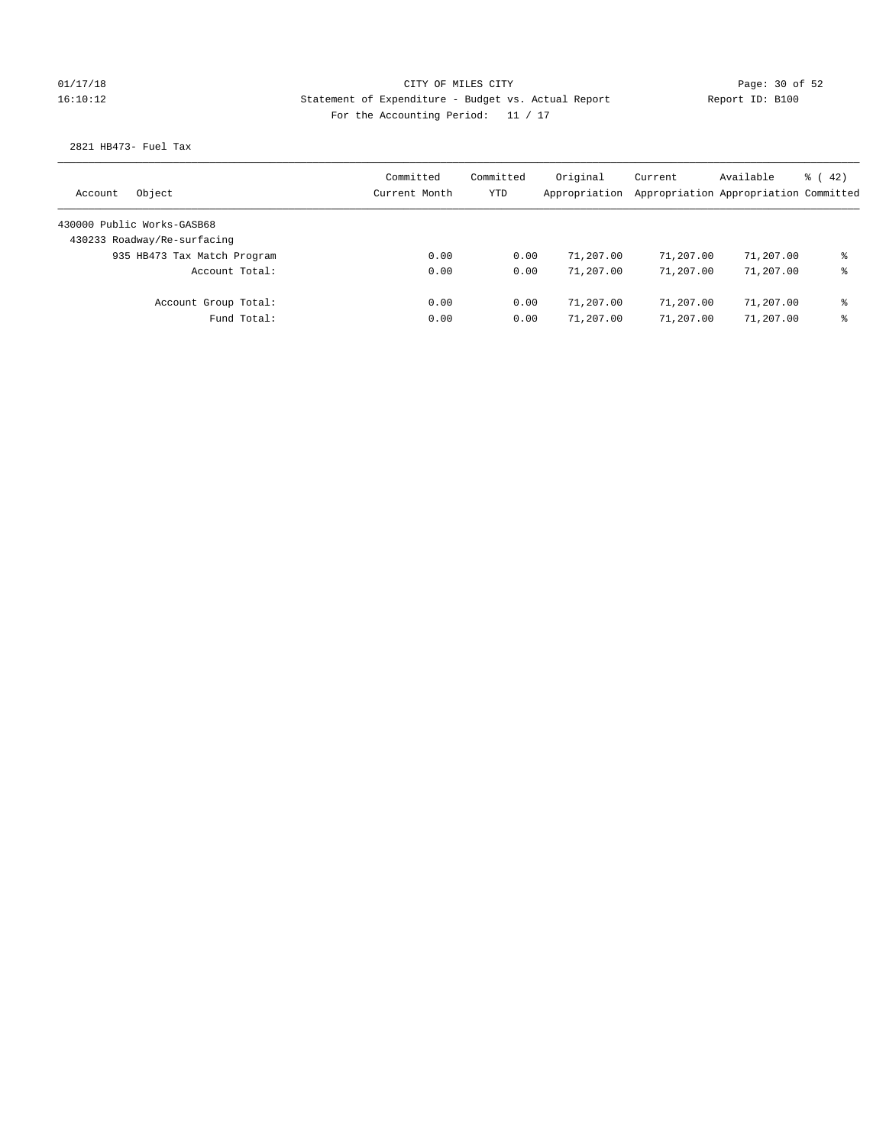## 01/17/18 Page: 30 of 52 16:10:12 Statement of Expenditure - Budget vs. Actual Report Report ID: B100 For the Accounting Period: 11 / 17

2821 HB473- Fuel Tax

| Object<br>Account           | Committed<br>Current Month | Committed<br><b>YTD</b> | Original<br>Appropriation | Current<br>Appropriation Appropriation Committed | Available | $\frac{1}{6}$ ( 42) |
|-----------------------------|----------------------------|-------------------------|---------------------------|--------------------------------------------------|-----------|---------------------|
| 430000 Public Works-GASB68  |                            |                         |                           |                                                  |           |                     |
| 430233 Roadway/Re-surfacing |                            |                         |                           |                                                  |           |                     |
| 935 HB473 Tax Match Program | 0.00                       | 0.00                    | 71,207.00                 | 71,207.00                                        | 71,207.00 | နွ                  |
| Account Total:              | 0.00                       | 0.00                    | 71,207.00                 | 71,207.00                                        | 71,207.00 | နွ                  |
| Account Group Total:        | 0.00                       | 0.00                    | 71,207.00                 | 71,207.00                                        | 71,207.00 | နွ                  |
| Fund Total:                 | 0.00                       | 0.00                    | 71,207.00                 | 71,207.00                                        | 71,207.00 | နွ                  |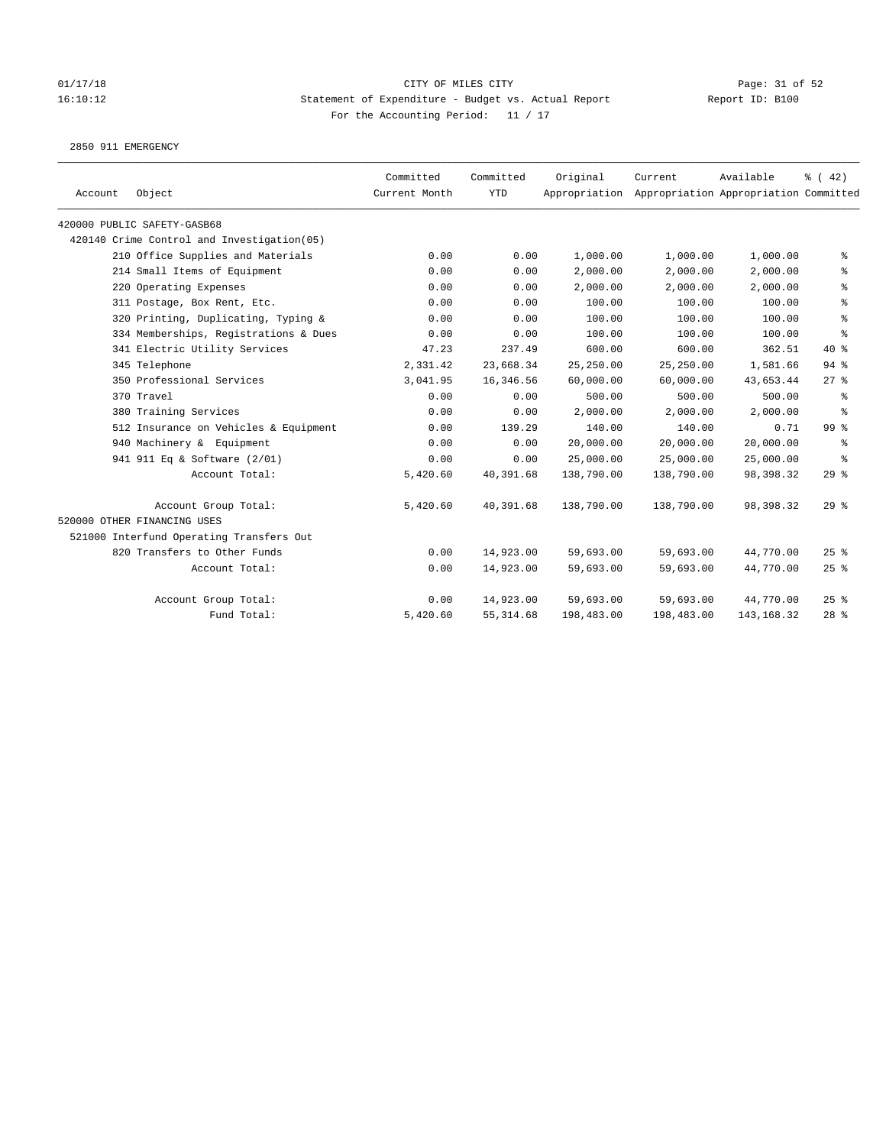## 01/17/18 Page: 31 of 52 16:10:12 Statement of Expenditure - Budget vs. Actual Report Report ID: B100 For the Accounting Period: 11 / 17

2850 911 EMERGENCY

| Account | Object                                      | Committed<br>Current Month | Committed<br><b>YTD</b> | Original   | Current<br>Appropriation Appropriation Appropriation Committed | Available   | $\frac{1}{6}$ ( 42) |
|---------|---------------------------------------------|----------------------------|-------------------------|------------|----------------------------------------------------------------|-------------|---------------------|
|         | 420000 PUBLIC SAFETY-GASB68                 |                            |                         |            |                                                                |             |                     |
|         | 420140 Crime Control and Investigation (05) |                            |                         |            |                                                                |             |                     |
|         | 210 Office Supplies and Materials           | 0.00                       | 0.00                    | 1,000.00   | 1,000.00                                                       | 1,000.00    | နွ                  |
|         | 214 Small Items of Equipment                | 0.00                       | 0.00                    | 2,000.00   | 2,000.00                                                       | 2,000.00    | နွ                  |
|         | 220 Operating Expenses                      | 0.00                       | 0.00                    | 2,000.00   | 2,000.00                                                       | 2,000.00    | နွ                  |
|         | 311 Postage, Box Rent, Etc.                 | 0.00                       | 0.00                    | 100.00     | 100.00                                                         | 100.00      | ి                   |
|         | 320 Printing, Duplicating, Typing &         | 0.00                       | 0.00                    | 100.00     | 100.00                                                         | 100.00      | ៖                   |
|         | 334 Memberships, Registrations & Dues       | 0.00                       | 0.00                    | 100.00     | 100.00                                                         | 100.00      | န္                  |
|         | 341 Electric Utility Services               | 47.23                      | 237.49                  | 600.00     | 600.00                                                         | 362.51      | $40*$               |
|         | 345 Telephone                               | 2,331.42                   | 23,668.34               | 25,250.00  | 25,250.00                                                      | 1,581.66    | $94$ %              |
|         | 350 Professional Services                   | 3,041.95                   | 16,346.56               | 60,000.00  | 60,000.00                                                      | 43,653.44   | $27$ %              |
|         | 370 Travel                                  | 0.00                       | 0.00                    | 500.00     | 500.00                                                         | 500.00      | နွ                  |
|         | 380 Training Services                       | 0.00                       | 0.00                    | 2,000.00   | 2,000.00                                                       | 2,000.00    | ి                   |
|         | 512 Insurance on Vehicles & Equipment       | 0.00                       | 139.29                  | 140.00     | 140.00                                                         | 0.71        | 99 %                |
|         | 940 Machinery & Equipment                   | 0.00                       | 0.00                    | 20,000.00  | 20,000.00                                                      | 20,000.00   | ႜ                   |
|         | 941 911 Eq & Software (2/01)                | 0.00                       | 0.00                    | 25,000.00  | 25,000.00                                                      | 25,000.00   | ి                   |
|         | Account Total:                              | 5,420.60                   | 40,391.68               | 138,790.00 | 138,790.00                                                     | 98,398.32   | $29$ %              |
|         | Account Group Total:                        | 5,420.60                   | 40,391.68               | 138,790.00 | 138,790.00                                                     | 98,398.32   | 29%                 |
|         | 520000 OTHER FINANCING USES                 |                            |                         |            |                                                                |             |                     |
|         | 521000 Interfund Operating Transfers Out    |                            |                         |            |                                                                |             |                     |
|         | 820 Transfers to Other Funds                | 0.00                       | 14,923.00               | 59,693.00  | 59,693.00                                                      | 44,770.00   | 25%                 |
|         | Account Total:                              | 0.00                       | 14,923.00               | 59,693.00  | 59,693.00                                                      | 44,770.00   | 25%                 |
|         | Account Group Total:                        | 0.00                       | 14,923.00               | 59,693.00  | 59,693.00                                                      | 44,770.00   | $25$ %              |
|         | Fund Total:                                 | 5,420.60                   | 55, 314.68              | 198,483.00 | 198,483.00                                                     | 143, 168.32 | $28$ %              |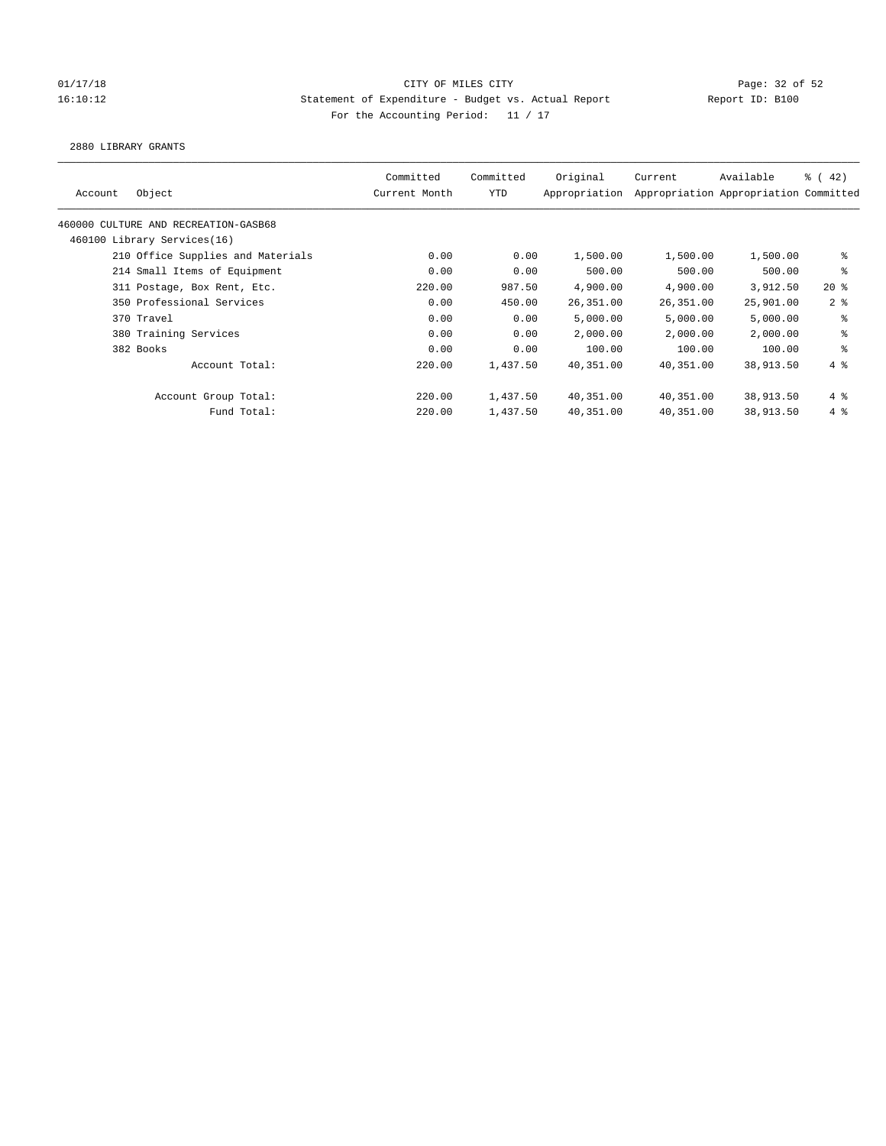### 01/17/18 Page: 32 of 52 Page: 32 of 52 16:10:12 Statement of Expenditure - Budget vs. Actual Report Report ID: B100 For the Accounting Period: 11 / 17

2880 LIBRARY GRANTS

| Object<br>Account                    | Committed<br>Current Month | Committed<br>YTD | Original<br>Appropriation | Current   | Available<br>Appropriation Appropriation Committed | $\frac{6}{6}$ ( 42) |
|--------------------------------------|----------------------------|------------------|---------------------------|-----------|----------------------------------------------------|---------------------|
| 460000 CULTURE AND RECREATION-GASB68 |                            |                  |                           |           |                                                    |                     |
| 460100 Library Services(16)          |                            |                  |                           |           |                                                    |                     |
| 210 Office Supplies and Materials    | 0.00                       | 0.00             | 1,500.00                  | 1,500.00  | 1,500.00                                           | နွ                  |
| 214 Small Items of Equipment         | 0.00                       | 0.00             | 500.00                    | 500.00    | 500.00                                             | နွ                  |
| 311 Postage, Box Rent, Etc.          | 220.00                     | 987.50           | 4,900.00                  | 4,900.00  | 3,912.50                                           | $20*$               |
| 350 Professional Services            | 0.00                       | 450.00           | 26,351.00                 | 26,351.00 | 25,901.00                                          | 2 <sub>8</sub>      |
| 370 Travel                           | 0.00                       | 0.00             | 5,000.00                  | 5,000.00  | 5,000.00                                           | နွ                  |
| 380 Training Services                | 0.00                       | 0.00             | 2,000.00                  | 2,000.00  | 2,000.00                                           | နွ                  |
| 382 Books                            | 0.00                       | 0.00             | 100.00                    | 100.00    | 100.00                                             | နွ                  |
| Account Total:                       | 220.00                     | 1,437.50         | 40,351.00                 | 40,351.00 | 38,913.50                                          | $4\degree$          |
| Account Group Total:                 | 220.00                     | 1,437.50         | 40,351.00                 | 40,351.00 | 38,913.50                                          | 4%                  |
| Fund Total:                          | 220.00                     | 1,437.50         | 40,351.00                 | 40,351.00 | 38,913.50                                          | $4\degree$          |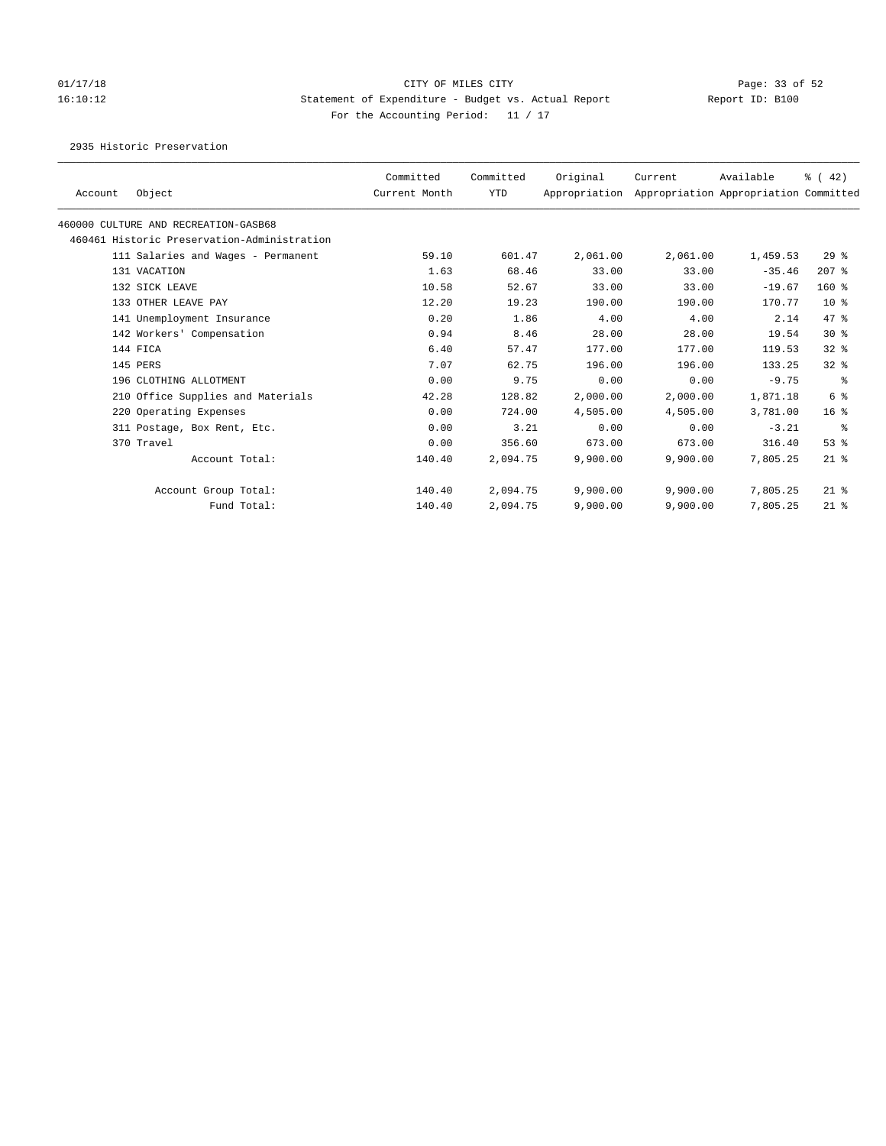# 01/17/18 Page: 33 of 52 16:10:12 Statement of Expenditure - Budget vs. Actual Report Report ID: B100 For the Accounting Period: 11 / 17

2935 Historic Preservation

| Account | Object                                      | Committed<br>Current Month | Committed<br><b>YTD</b> | Original<br>Appropriation | Current  | Available<br>Appropriation Appropriation Committed | % (42)          |
|---------|---------------------------------------------|----------------------------|-------------------------|---------------------------|----------|----------------------------------------------------|-----------------|
|         | 460000 CULTURE AND RECREATION-GASB68        |                            |                         |                           |          |                                                    |                 |
|         | 460461 Historic Preservation-Administration |                            |                         |                           |          |                                                    |                 |
|         | 111 Salaries and Wages - Permanent          | 59.10                      | 601.47                  | 2,061.00                  | 2,061.00 | 1,459.53                                           | $29*$           |
|         | 131 VACATION                                | 1.63                       | 68.46                   | 33.00                     | 33.00    | $-35.46$                                           | $207$ %         |
|         | 132 SICK LEAVE                              | 10.58                      | 52.67                   | 33.00                     | 33.00    | $-19.67$                                           | $160*$          |
|         | 133 OTHER LEAVE PAY                         | 12.20                      | 19.23                   | 190.00                    | 190.00   | 170.77                                             | 10 <sup>8</sup> |
|         | 141 Unemployment Insurance                  | 0.20                       | 1.86                    | 4.00                      | 4.00     | 2.14                                               | 47.8            |
|         | 142 Workers' Compensation                   | 0.94                       | 8.46                    | 28.00                     | 28.00    | 19.54                                              | $30*$           |
|         | 144 FICA                                    | 6.40                       | 57.47                   | 177.00                    | 177.00   | 119.53                                             | $32$ $%$        |
|         | 145 PERS                                    | 7.07                       | 62.75                   | 196.00                    | 196.00   | 133.25                                             | 32%             |
|         | 196 CLOTHING ALLOTMENT                      | 0.00                       | 9.75                    | 0.00                      | 0.00     | $-9.75$                                            | ႜ               |
|         | 210 Office Supplies and Materials           | 42.28                      | 128.82                  | 2,000.00                  | 2,000.00 | 1,871.18                                           | 6 %             |
|         | 220 Operating Expenses                      | 0.00                       | 724.00                  | 4,505.00                  | 4,505.00 | 3,781.00                                           | 16 <sup>8</sup> |
|         | 311 Postage, Box Rent, Etc.                 | 0.00                       | 3.21                    | 0.00                      | 0.00     | $-3.21$                                            | ႜ               |
|         | 370 Travel                                  | 0.00                       | 356.60                  | 673.00                    | 673.00   | 316.40                                             | $53$ $%$        |
|         | Account Total:                              | 140.40                     | 2,094.75                | 9,900.00                  | 9,900.00 | 7,805.25                                           | $21$ %          |
|         | Account Group Total:                        | 140.40                     | 2,094.75                | 9,900.00                  | 9,900.00 | 7,805.25                                           | $21$ %          |
|         | Fund Total:                                 | 140.40                     | 2,094.75                | 9,900.00                  | 9,900.00 | 7,805.25                                           | $21$ %          |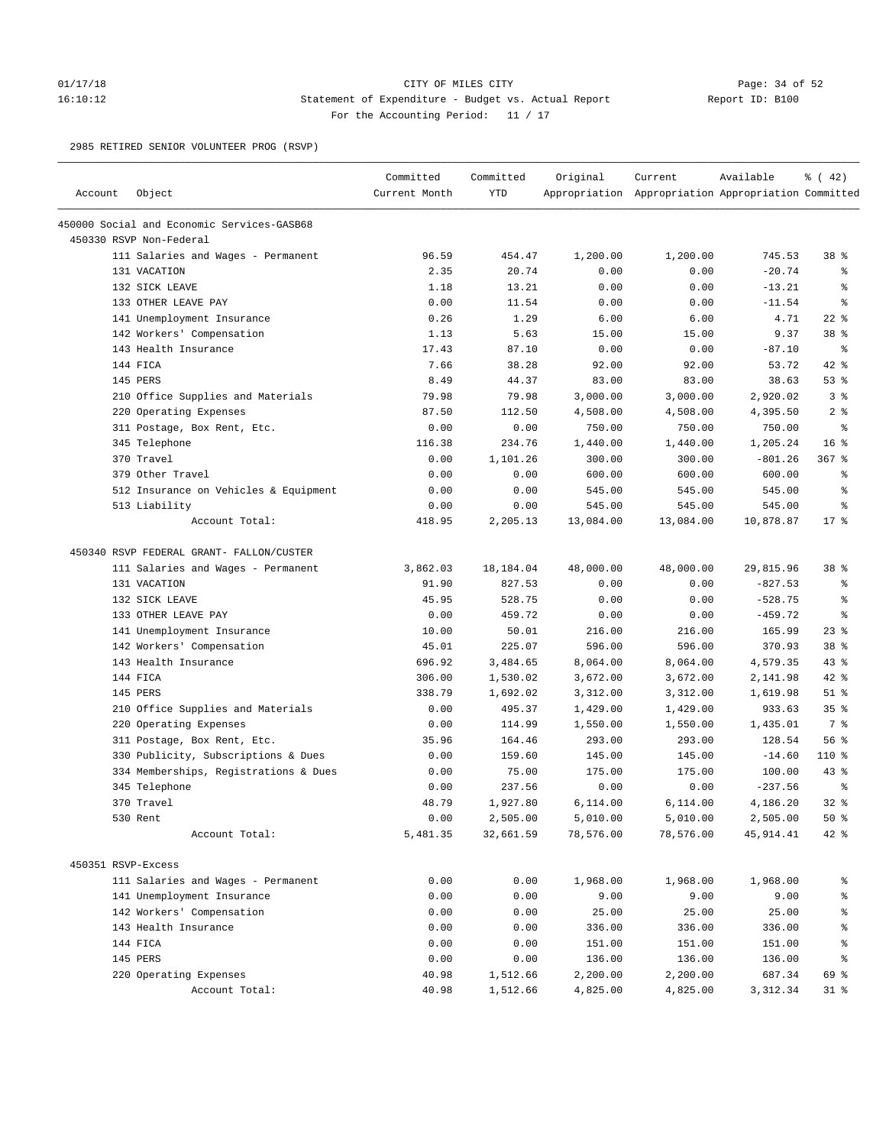### 01/17/18 Page: 34 of 52 16:10:12 Statement of Expenditure - Budget vs. Actual Report Report ID: B100 For the Accounting Period: 11 / 17

2985 RETIRED SENIOR VOLUNTEER PROG (RSVP)

| Account            | Object                                     | Committed<br>Current Month | Committed<br><b>YTD</b> | Original  | Current<br>Appropriation Appropriation Appropriation Committed | Available | $\frac{3}{6}$ ( 42) |
|--------------------|--------------------------------------------|----------------------------|-------------------------|-----------|----------------------------------------------------------------|-----------|---------------------|
|                    |                                            |                            |                         |           |                                                                |           |                     |
|                    | 450000 Social and Economic Services-GASB68 |                            |                         |           |                                                                |           |                     |
|                    | 450330 RSVP Non-Federal                    |                            |                         |           |                                                                |           |                     |
|                    | 111 Salaries and Wages - Permanent         | 96.59                      | 454.47                  | 1,200.00  | 1,200.00                                                       | 745.53    | 38 %                |
|                    | 131 VACATION                               | 2.35                       | 20.74                   | 0.00      | 0.00                                                           | $-20.74$  | နွ                  |
|                    | 132 SICK LEAVE                             | 1.18                       | 13.21                   | 0.00      | 0.00                                                           | $-13.21$  | る                   |
|                    | 133 OTHER LEAVE PAY                        | 0.00                       | 11.54                   | 0.00      | 0.00                                                           | $-11.54$  | နွ                  |
|                    | 141 Unemployment Insurance                 | 0.26                       | 1.29                    | 6.00      | 6.00                                                           | 4.71      | $22$ %              |
|                    | 142 Workers' Compensation                  | 1.13                       | 5.63                    | 15.00     | 15.00                                                          | 9.37      | 38 %                |
|                    | 143 Health Insurance                       | 17.43                      | 87.10                   | 0.00      | 0.00                                                           | $-87.10$  | နွ                  |
|                    | 144 FICA                                   | 7.66                       | 38.28                   | 92.00     | 92.00                                                          | 53.72     | 42 %                |
|                    | 145 PERS                                   | 8.49                       | 44.37                   | 83.00     | 83.00                                                          | 38.63     | 53%                 |
|                    | 210 Office Supplies and Materials          | 79.98                      | 79.98                   | 3,000.00  | 3,000.00                                                       | 2,920.02  | 3%                  |
|                    | 220 Operating Expenses                     | 87.50                      | 112.50                  | 4,508.00  | 4,508.00                                                       | 4,395.50  | 2 <sup>8</sup>      |
|                    | 311 Postage, Box Rent, Etc.                | 0.00                       | 0.00                    | 750.00    | 750.00                                                         | 750.00    | နွ                  |
|                    | 345 Telephone                              | 116.38                     | 234.76                  | 1,440.00  | 1,440.00                                                       | 1,205.24  | 16 <sup>°</sup>     |
|                    | 370 Travel                                 | 0.00                       | 1,101.26                | 300.00    | 300.00                                                         | $-801.26$ | $367$ $%$           |
|                    | 379 Other Travel                           | 0.00                       | 0.00                    | 600.00    | 600.00                                                         | 600.00    | る                   |
|                    | 512 Insurance on Vehicles & Equipment      | 0.00                       | 0.00                    | 545.00    | 545.00                                                         | 545.00    | ి                   |
|                    | 513 Liability                              | 0.00                       | 0.00                    | 545.00    | 545.00                                                         | 545.00    | ್ಠಿ                 |
|                    | Account Total:                             | 418.95                     | 2,205.13                | 13,084.00 | 13,084.00                                                      | 10,878.87 | $17*$               |
|                    | 450340 RSVP FEDERAL GRANT- FALLON/CUSTER   |                            |                         |           |                                                                |           |                     |
|                    | 111 Salaries and Wages - Permanent         | 3,862.03                   | 18,184.04               | 48,000.00 | 48,000.00                                                      | 29,815.96 | 38 %                |
|                    | 131 VACATION                               | 91.90                      | 827.53                  | 0.00      | 0.00                                                           | $-827.53$ | နွ                  |
|                    | 132 SICK LEAVE                             | 45.95                      | 528.75                  | 0.00      | 0.00                                                           | $-528.75$ | る                   |
|                    | 133 OTHER LEAVE PAY                        | 0.00                       | 459.72                  | 0.00      | 0.00                                                           | $-459.72$ | る                   |
|                    | 141 Unemployment Insurance                 | 10.00                      | 50.01                   | 216.00    | 216.00                                                         | 165.99    | $23$ $%$            |
|                    | 142 Workers' Compensation                  | 45.01                      | 225.07                  | 596.00    | 596.00                                                         | 370.93    | 38 %                |
|                    | 143 Health Insurance                       | 696.92                     | 3,484.65                | 8,064.00  | 8,064.00                                                       | 4,579.35  | 43%                 |
|                    | 144 FICA                                   | 306.00                     | 1,530.02                | 3,672.00  | 3,672.00                                                       | 2,141.98  | $42$ %              |
|                    | 145 PERS                                   | 338.79                     | 1,692.02                | 3,312.00  | 3,312.00                                                       | 1,619.98  | $51$ %              |
|                    | 210 Office Supplies and Materials          | 0.00                       | 495.37                  | 1,429.00  | 1,429.00                                                       | 933.63    | 35%                 |
|                    | 220 Operating Expenses                     | 0.00                       | 114.99                  | 1,550.00  | 1,550.00                                                       | 1,435.01  | 7 %                 |
|                    | 311 Postage, Box Rent, Etc.                | 35.96                      | 164.46                  | 293.00    | 293.00                                                         | 128.54    | 56%                 |
|                    | 330 Publicity, Subscriptions & Dues        | 0.00                       | 159.60                  | 145.00    | 145.00                                                         | $-14.60$  | 110 %               |
|                    | 334 Memberships, Registrations & Dues      | 0.00                       | 75.00                   | 175.00    | 175.00                                                         | 100.00    | $43$ %              |
|                    | 345 Telephone                              | 0.00                       | 237.56                  | 0.00      | 0.00                                                           | $-237.56$ | る                   |
|                    | 370 Travel                                 | 48.79                      | 1,927.80                | 6,114.00  | 6,114.00                                                       | 4,186.20  | 32%                 |
|                    | 530 Rent                                   | 0.00                       | 2,505.00                | 5,010.00  | 5,010.00                                                       | 2,505.00  | $50*$               |
|                    | Account Total:                             | 5,481.35                   | 32,661.59               | 78,576.00 | 78,576.00                                                      | 45,914.41 | $42$ %              |
| 450351 RSVP-Excess |                                            |                            |                         |           |                                                                |           |                     |
|                    | 111 Salaries and Wages - Permanent         | 0.00                       | 0.00                    | 1,968.00  | 1,968.00                                                       | 1,968.00  | နွ                  |
|                    | 141 Unemployment Insurance                 | 0.00                       | 0.00                    | 9.00      | 9.00                                                           | 9.00      | ್ಠಿ                 |
|                    | 142 Workers' Compensation                  | 0.00                       | 0.00                    | 25.00     | 25.00                                                          | 25.00     | ್ಠಿ                 |
|                    | 143 Health Insurance                       | 0.00                       | 0.00                    | 336.00    | 336.00                                                         | 336.00    | ್ಠಿ                 |
|                    | 144 FICA                                   | 0.00                       | 0.00                    | 151.00    | 151.00                                                         | 151.00    | ್ಠಿ                 |
|                    | 145 PERS                                   | 0.00                       | 0.00                    | 136.00    | 136.00                                                         | 136.00    | န့                  |
|                    | 220 Operating Expenses                     | 40.98                      | 1,512.66                | 2,200.00  | 2,200.00                                                       | 687.34    | 69 %                |
|                    | Account Total:                             | 40.98                      | 1,512.66                | 4,825.00  | 4,825.00                                                       | 3,312.34  | $31$ %              |
|                    |                                            |                            |                         |           |                                                                |           |                     |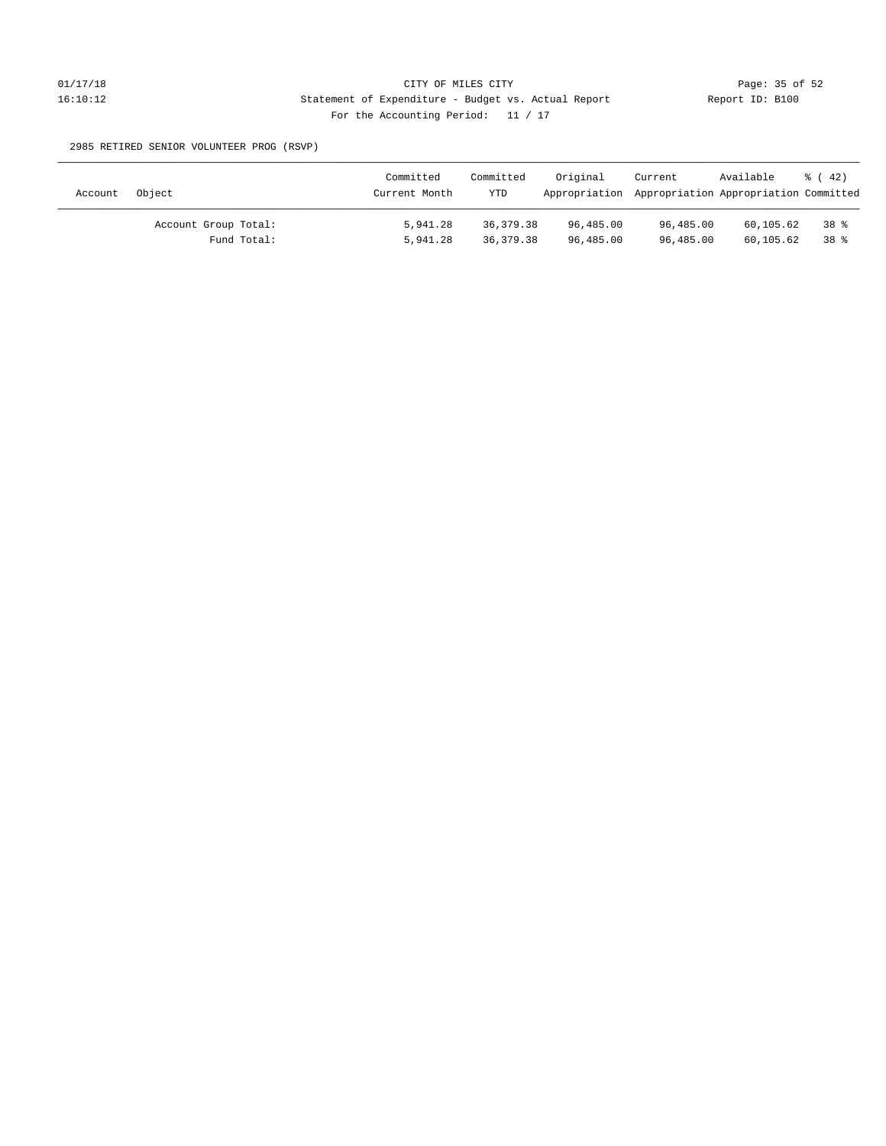2985 RETIRED SENIOR VOLUNTEER PROG (RSVP)

| Account | Object               | Committed<br>Current Month | Committed<br><b>YTD</b> | Original<br>Appropriation Appropriation Appropriation Committed | Current   | Available | $\frac{1}{6}$ ( 42) |
|---------|----------------------|----------------------------|-------------------------|-----------------------------------------------------------------|-----------|-----------|---------------------|
|         | Account Group Total: | 5,941.28                   | 36, 379, 38             | 96,485.00                                                       | 96,485.00 | 60,105.62 | 38 %                |
|         | Fund Total:          | 5,941.28                   | 36,379.38               | 96,485.00                                                       | 96,485.00 | 60,105.62 | 38 %                |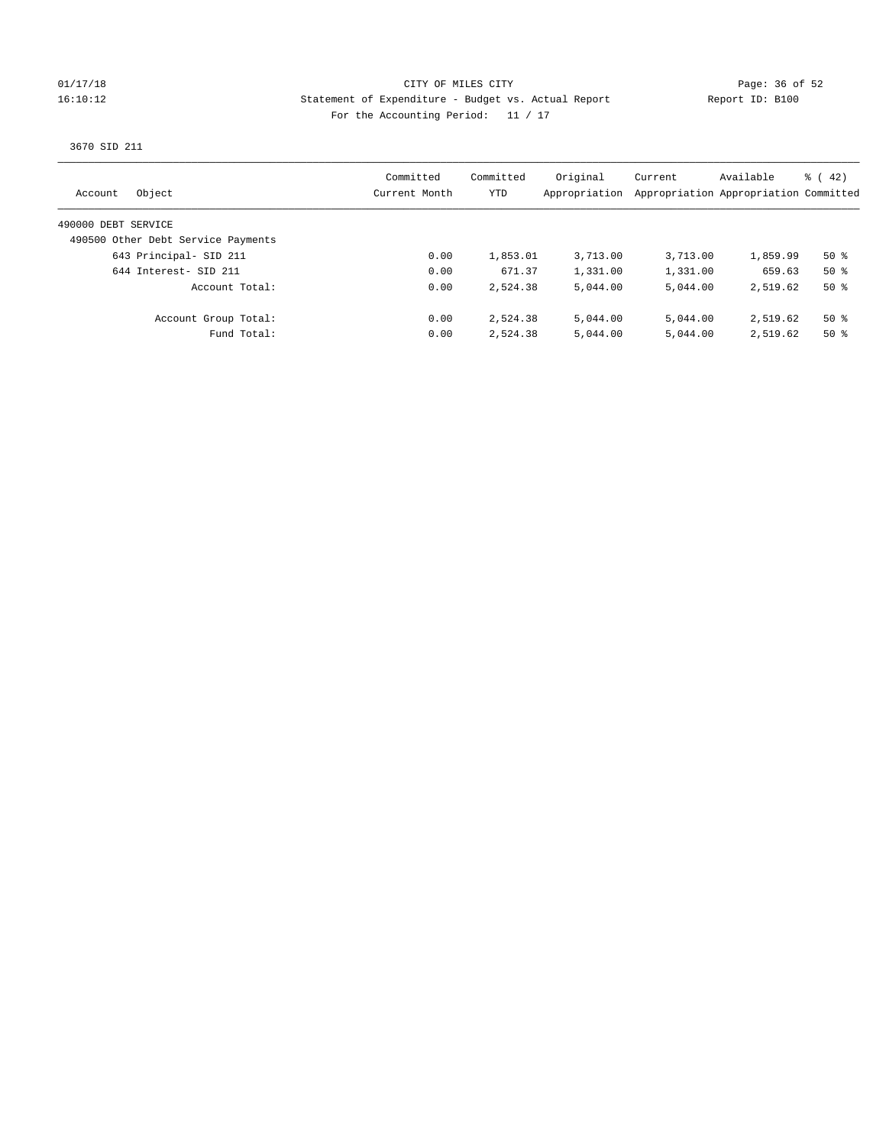### 01/17/18 Page: 36 of 52 16:10:12 Statement of Expenditure - Budget vs. Actual Report Report ID: B100 For the Accounting Period: 11 / 17

3670 SID 211

| Object<br>Account                  | Committed<br>Current Month | Committed<br>YTD | Original<br>Appropriation | Current  | Available<br>Appropriation Appropriation Committed | $\frac{1}{6}$ ( 42) |
|------------------------------------|----------------------------|------------------|---------------------------|----------|----------------------------------------------------|---------------------|
| 490000 DEBT SERVICE                |                            |                  |                           |          |                                                    |                     |
| 490500 Other Debt Service Payments |                            |                  |                           |          |                                                    |                     |
| 643 Principal- SID 211             | 0.00                       | 1,853.01         | 3,713.00                  | 3,713.00 | 1,859.99                                           | $50*$               |
| 644 Interest- SID 211              | 0.00                       | 671.37           | 1,331.00                  | 1,331.00 | 659.63                                             | $50*$               |
| Account Total:                     | 0.00                       | 2,524.38         | 5,044.00                  | 5,044.00 | 2,519.62                                           | $50*$               |
| Account Group Total:               | 0.00                       | 2,524.38         | 5,044.00                  | 5,044.00 | 2,519.62                                           | $50*$               |
| Fund Total:                        | 0.00                       | 2,524.38         | 5,044.00                  | 5,044.00 | 2,519.62                                           | $50*$               |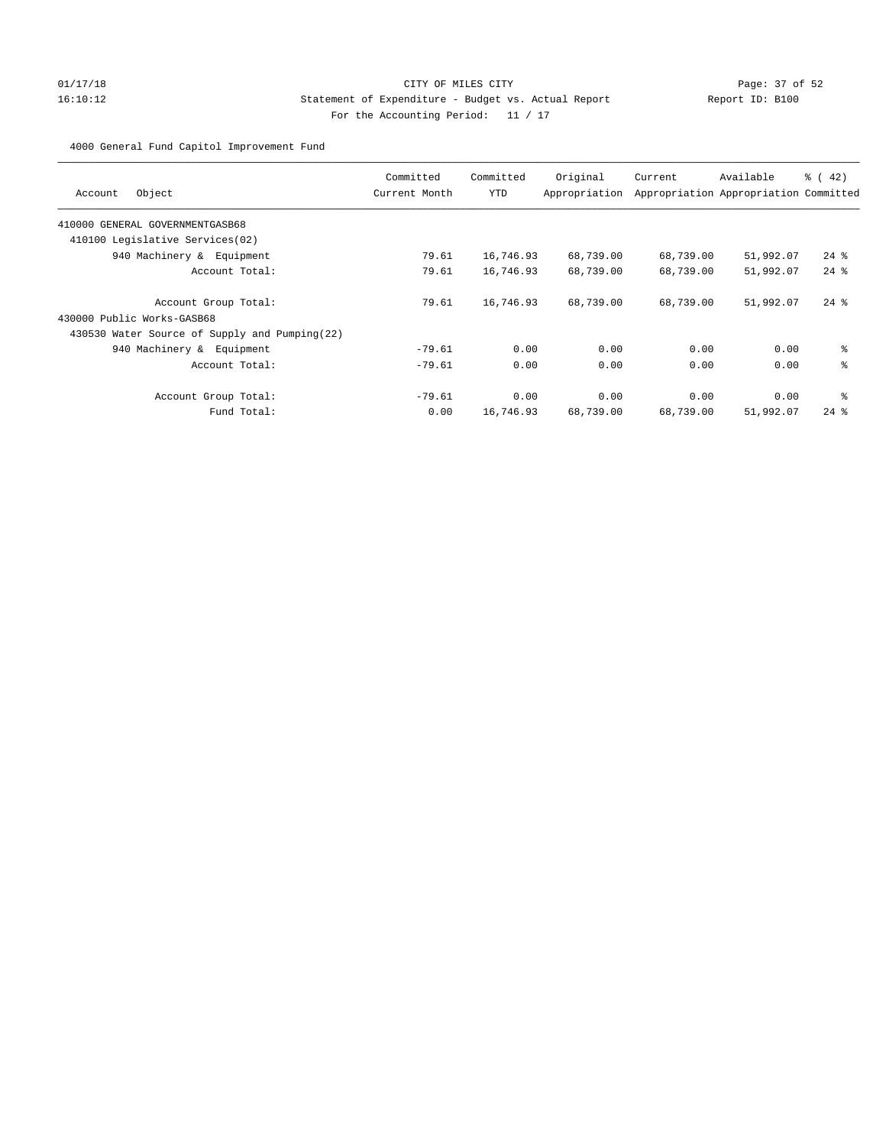# 01/17/18 Page: 37 of 52 16:10:12 Statement of Expenditure - Budget vs. Actual Report Report ID: B100 For the Accounting Period: 11 / 17

4000 General Fund Capitol Improvement Fund

| Object<br>Account                             | Committed<br>Current Month | Committed<br><b>YTD</b> | Original<br>Appropriation | Current   | Available<br>Appropriation Appropriation Committed | $\frac{1}{6}$ (42) |
|-----------------------------------------------|----------------------------|-------------------------|---------------------------|-----------|----------------------------------------------------|--------------------|
| 410000 GENERAL GOVERNMENTGASB68               |                            |                         |                           |           |                                                    |                    |
| 410100 Legislative Services(02)               |                            |                         |                           |           |                                                    |                    |
| 940 Machinery & Equipment                     | 79.61                      | 16,746.93               | 68,739.00                 | 68,739.00 | 51,992.07                                          | $24$ %             |
| Account Total:                                | 79.61                      | 16,746.93               | 68,739.00                 | 68,739.00 | 51,992.07                                          | $24$ $%$           |
| Account Group Total:                          | 79.61                      | 16,746.93               | 68,739.00                 | 68,739.00 | 51,992.07                                          | $24$ $%$           |
| 430000 Public Works-GASB68                    |                            |                         |                           |           |                                                    |                    |
| 430530 Water Source of Supply and Pumping(22) |                            |                         |                           |           |                                                    |                    |
| 940 Machinery & Equipment                     | $-79.61$                   | 0.00                    | 0.00                      | 0.00      | 0.00                                               | နွ                 |
| Account Total:                                | $-79.61$                   | 0.00                    | 0.00                      | 0.00      | 0.00                                               | ి                  |
| Account Group Total:                          | $-79.61$                   | 0.00                    | 0.00                      | 0.00      | 0.00                                               | ి                  |
| Fund Total:                                   | 0.00                       | 16,746.93               | 68,739.00                 | 68,739.00 | 51,992.07                                          | $24$ $%$           |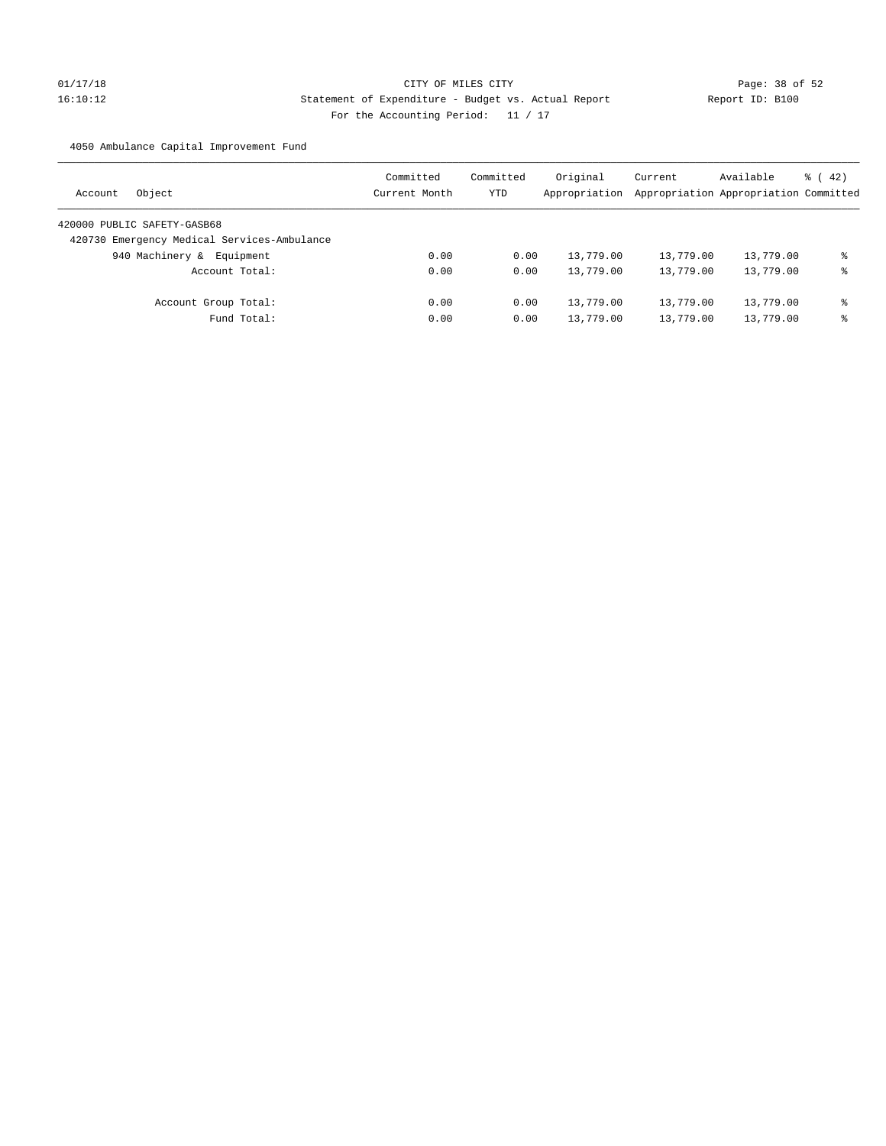# 01/17/18 Page: 38 of 52 16:10:12 Statement of Expenditure - Budget vs. Actual Report Report ID: B100 For the Accounting Period: 11 / 17

4050 Ambulance Capital Improvement Fund

| Object<br>Account                           | Committed<br>Current Month | Committed<br>YTD | Original<br>Appropriation | Current<br>Appropriation Appropriation Committed | Available | $\frac{1}{6}$ ( 42) |
|---------------------------------------------|----------------------------|------------------|---------------------------|--------------------------------------------------|-----------|---------------------|
| 420000 PUBLIC SAFETY-GASB68                 |                            |                  |                           |                                                  |           |                     |
| 420730 Emergency Medical Services-Ambulance |                            |                  |                           |                                                  |           |                     |
| Equipment<br>940 Machinery &                | 0.00                       | 0.00             | 13,779.00                 | 13,779.00                                        | 13,779.00 | ⊱                   |
| Account Total:                              | 0.00                       | 0.00             | 13,779.00                 | 13,779.00                                        | 13,779.00 | နွ                  |
| Account Group Total:                        | 0.00                       | 0.00             | 13,779.00                 | 13,779.00                                        | 13,779.00 | နွ                  |
| Fund Total:                                 | 0.00                       | 0.00             | 13,779.00                 | 13,779.00                                        | 13,779.00 | ⊱                   |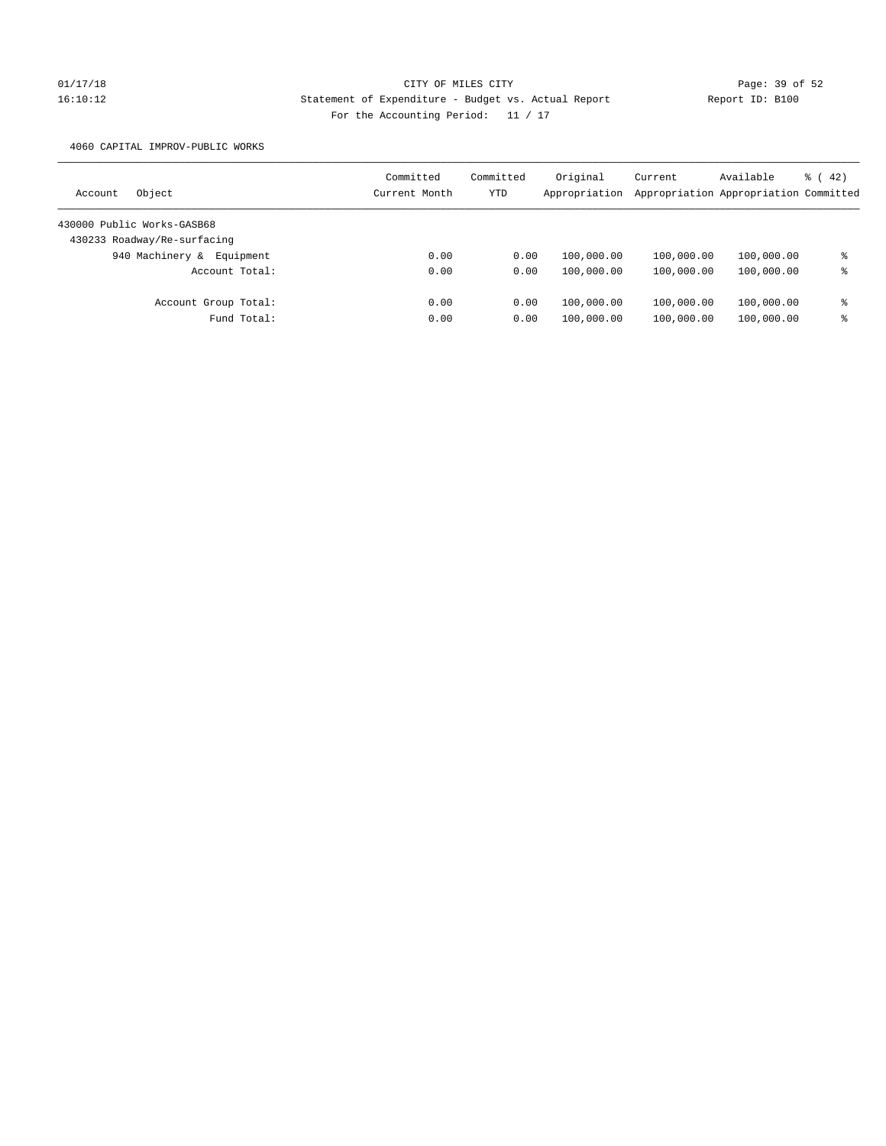# 01/17/18 Page: 39 of 52 16:10:12 Statement of Expenditure - Budget vs. Actual Report Report ID: B100 For the Accounting Period: 11 / 17

4060 CAPITAL IMPROV-PUBLIC WORKS

| Object<br>Account            | Committed<br>Current Month | Committed<br>YTD | Original<br>Appropriation | Current    | Available<br>Appropriation Appropriation Committed | $\frac{1}{6}$ (42) |
|------------------------------|----------------------------|------------------|---------------------------|------------|----------------------------------------------------|--------------------|
| 430000 Public Works-GASB68   |                            |                  |                           |            |                                                    |                    |
| 430233 Roadway/Re-surfacing  |                            |                  |                           |            |                                                    |                    |
| 940 Machinery &<br>Equipment | 0.00                       | 0.00             | 100,000.00                | 100,000.00 | 100,000.00                                         | နွ                 |
| Account Total:               | 0.00                       | 0.00             | 100,000.00                | 100,000.00 | 100,000.00                                         | နွ                 |
| Account Group Total:         | 0.00                       | 0.00             | 100,000.00                | 100,000.00 | 100,000.00                                         | နွ                 |
| Fund Total:                  | 0.00                       | 0.00             | 100,000.00                | 100,000.00 | 100,000.00                                         | နွ                 |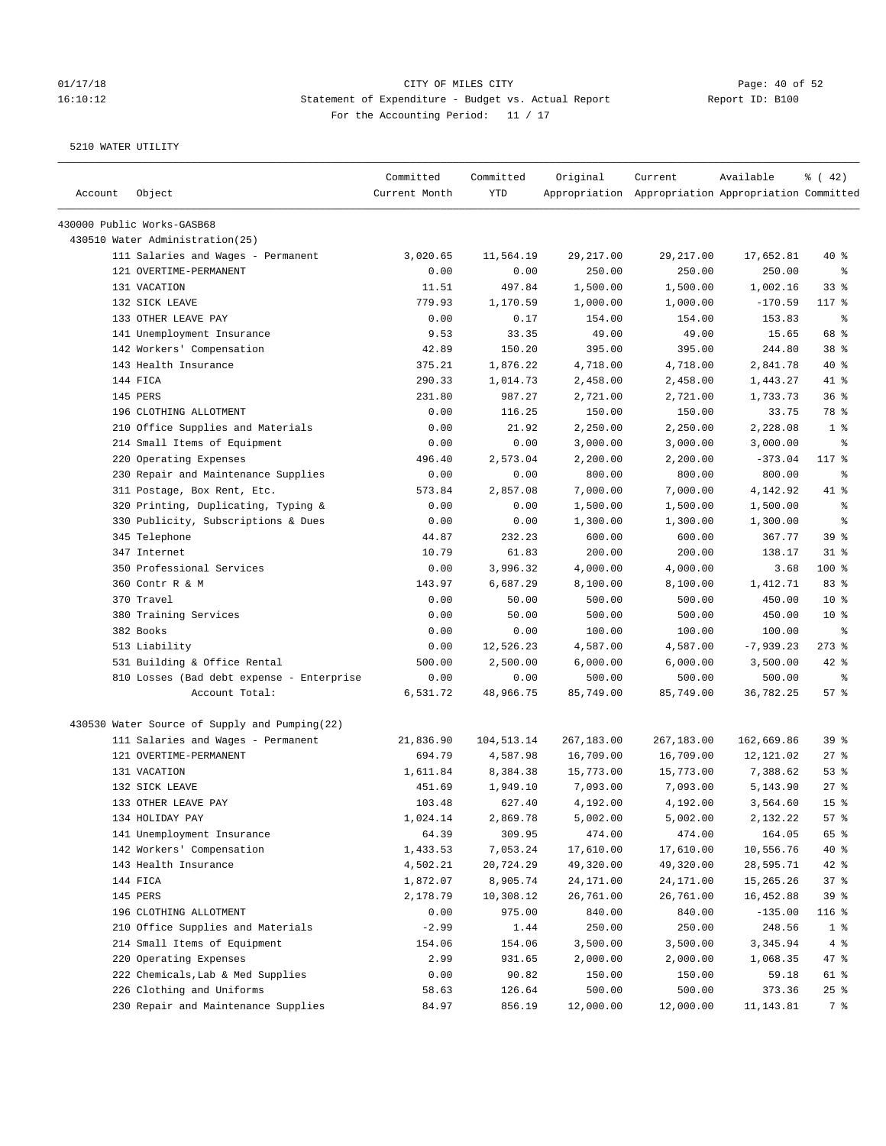## 01/17/18 Page: 40 of 52 16:10:12 Statement of Expenditure - Budget vs. Actual Report Report ID: B100 For the Accounting Period: 11 / 17

| Account | Object                                        | Committed<br>Current Month | Committed<br>YTD | Original   | Current<br>Appropriation Appropriation Appropriation Committed | Available   | $\frac{1}{6}$ ( 42)      |
|---------|-----------------------------------------------|----------------------------|------------------|------------|----------------------------------------------------------------|-------------|--------------------------|
|         | 430000 Public Works-GASB68                    |                            |                  |            |                                                                |             |                          |
|         | 430510 Water Administration(25)               |                            |                  |            |                                                                |             |                          |
|         | 111 Salaries and Wages - Permanent            | 3,020.65                   | 11,564.19        | 29, 217.00 | 29, 217.00                                                     | 17,652.81   | 40 %                     |
|         | 121 OVERTIME-PERMANENT                        | 0.00                       | 0.00             | 250.00     | 250.00                                                         | 250.00      | နွ                       |
|         | 131 VACATION                                  | 11.51                      | 497.84           | 1,500.00   | 1,500.00                                                       | 1,002.16    | 33%                      |
|         | 132 SICK LEAVE                                | 779.93                     | 1,170.59         | 1,000.00   | 1,000.00                                                       | $-170.59$   | 117 %                    |
|         | 133 OTHER LEAVE PAY                           | 0.00                       | 0.17             | 154.00     | 154.00                                                         | 153.83      | $\epsilon$               |
|         | 141 Unemployment Insurance                    | 9.53                       | 33.35            | 49.00      | 49.00                                                          | 15.65       | 68 %                     |
|         | 142 Workers' Compensation                     | 42.89                      | 150.20           | 395.00     | 395.00                                                         | 244.80      | 38 <sup>8</sup>          |
|         | 143 Health Insurance                          | 375.21                     | 1,876.22         | 4,718.00   | 4,718.00                                                       | 2,841.78    | 40 %                     |
|         | 144 FICA                                      | 290.33                     | 1,014.73         | 2,458.00   | 2,458.00                                                       | 1,443.27    | 41 %                     |
|         | 145 PERS                                      | 231.80                     | 987.27           | 2,721.00   | 2,721.00                                                       | 1,733.73    | 36%                      |
|         | 196 CLOTHING ALLOTMENT                        | 0.00                       | 116.25           | 150.00     | 150.00                                                         | 33.75       | 78 %                     |
|         | 210 Office Supplies and Materials             | 0.00                       | 21.92            | 2,250.00   | 2,250.00                                                       | 2,228.08    | 1 <sup>8</sup>           |
|         | 214 Small Items of Equipment                  | 0.00                       | 0.00             | 3,000.00   | 3,000.00                                                       | 3,000.00    | ႜ                        |
|         | 220 Operating Expenses                        | 496.40                     | 2,573.04         | 2,200.00   | 2,200.00                                                       | $-373.04$   | 117 %                    |
|         | 230 Repair and Maintenance Supplies           | 0.00                       | 0.00             | 800.00     | 800.00                                                         | 800.00      | နွ                       |
|         | 311 Postage, Box Rent, Etc.                   | 573.84                     | 2,857.08         | 7,000.00   | 7,000.00                                                       | 4,142.92    | 41 %                     |
|         | 320 Printing, Duplicating, Typing &           | 0.00                       | 0.00             | 1,500.00   | 1,500.00                                                       | 1,500.00    | $\epsilon$               |
|         | 330 Publicity, Subscriptions & Dues           | 0.00                       | 0.00             | 1,300.00   | 1,300.00                                                       | 1,300.00    | $\,{}^{\circ}\!\!\delta$ |
|         | 345 Telephone                                 | 44.87                      | 232.23           | 600.00     | 600.00                                                         | 367.77      | 39%                      |
|         | 347 Internet                                  | 10.79                      | 61.83            | 200.00     | 200.00                                                         | 138.17      | $31$ %                   |
|         | 350 Professional Services                     | 0.00                       | 3,996.32         | 4,000.00   | 4,000.00                                                       | 3.68        | 100 %                    |
|         | 360 Contr R & M                               | 143.97                     | 6,687.29         | 8,100.00   | 8,100.00                                                       | 1,412.71    | 83%                      |
|         | 370 Travel                                    | 0.00                       | 50.00            | 500.00     | 500.00                                                         | 450.00      | $10*$                    |
|         | 380 Training Services                         | 0.00                       | 50.00            | 500.00     | 500.00                                                         | 450.00      | $10*$                    |
|         | 382 Books                                     | 0.00                       | 0.00             | 100.00     | 100.00                                                         | 100.00      | နွ                       |
|         | 513 Liability                                 | 0.00                       | 12,526.23        | 4,587.00   | 4,587.00                                                       | $-7,939.23$ | $273$ $%$                |
|         | 531 Building & Office Rental                  | 500.00                     | 2,500.00         | 6,000.00   | 6,000.00                                                       | 3,500.00    | 42 %                     |
|         | 810 Losses (Bad debt expense - Enterprise     | 0.00                       | 0.00             | 500.00     | 500.00                                                         | 500.00      | ႜ                        |
|         | Account Total:                                | 6,531.72                   | 48,966.75        | 85,749.00  | 85,749.00                                                      | 36,782.25   | 57%                      |
|         | 430530 Water Source of Supply and Pumping(22) |                            |                  |            |                                                                |             |                          |
|         | 111 Salaries and Wages - Permanent            | 21,836.90                  | 104,513.14       | 267,183.00 | 267,183.00                                                     | 162,669.86  | 39%                      |
|         | 121 OVERTIME-PERMANENT                        | 694.79                     | 4,587.98         | 16,709.00  | 16,709.00                                                      | 12,121.02   | $27$ %                   |
|         | 131 VACATION                                  | 1,611.84                   | 8,384.38         | 15,773.00  | 15,773.00                                                      | 7,388.62    | 53%                      |
|         | 132 SICK LEAVE                                | 451.69                     | 1,949.10         | 7,093.00   | 7,093.00                                                       | 5,143.90    | 27%                      |
|         | 133 OTHER LEAVE PAY                           | 103.48                     | 627.40           | 4,192.00   | 4,192.00                                                       | 3,564.60    | 15 <sup>°</sup>          |
|         | 134 HOLIDAY PAY                               | 1,024.14                   | 2,869.78         | 5,002.00   | 5,002.00                                                       | 2,132.22    | 57%                      |
|         | 141 Unemployment Insurance                    | 64.39                      | 309.95           | 474.00     | 474.00                                                         | 164.05      | 65 %                     |
|         | 142 Workers' Compensation                     | 1,433.53                   | 7,053.24         | 17,610.00  | 17,610.00                                                      | 10,556.76   | $40*$                    |
|         | 143 Health Insurance                          | 4,502.21                   | 20,724.29        | 49,320.00  | 49,320.00                                                      | 28,595.71   | 42 %                     |
|         | 144 FICA                                      | 1,872.07                   | 8,905.74         | 24,171.00  | 24,171.00                                                      | 15,265.26   | 37%                      |
|         | 145 PERS                                      | 2,178.79                   | 10,308.12        | 26,761.00  | 26,761.00                                                      | 16,452.88   | 39 %                     |
|         | 196 CLOTHING ALLOTMENT                        | 0.00                       | 975.00           | 840.00     | 840.00                                                         | $-135.00$   | 116 %                    |
|         | 210 Office Supplies and Materials             | $-2.99$                    | 1.44             | 250.00     | 250.00                                                         | 248.56      | 1 <sup>8</sup>           |
|         | 214 Small Items of Equipment                  | 154.06                     | 154.06           | 3,500.00   | 3,500.00                                                       | 3,345.94    | 4%                       |
|         | 220 Operating Expenses                        | 2.99                       | 931.65           | 2,000.00   | 2,000.00                                                       | 1,068.35    | 47 %                     |
|         | 222 Chemicals, Lab & Med Supplies             | 0.00                       | 90.82            | 150.00     | 150.00                                                         | 59.18       | 61 %                     |
|         | 226 Clothing and Uniforms                     | 58.63                      | 126.64           | 500.00     | 500.00                                                         | 373.36      | $25$ %                   |
|         | 230 Repair and Maintenance Supplies           | 84.97                      | 856.19           | 12,000.00  | 12,000.00                                                      | 11,143.81   | 7 %                      |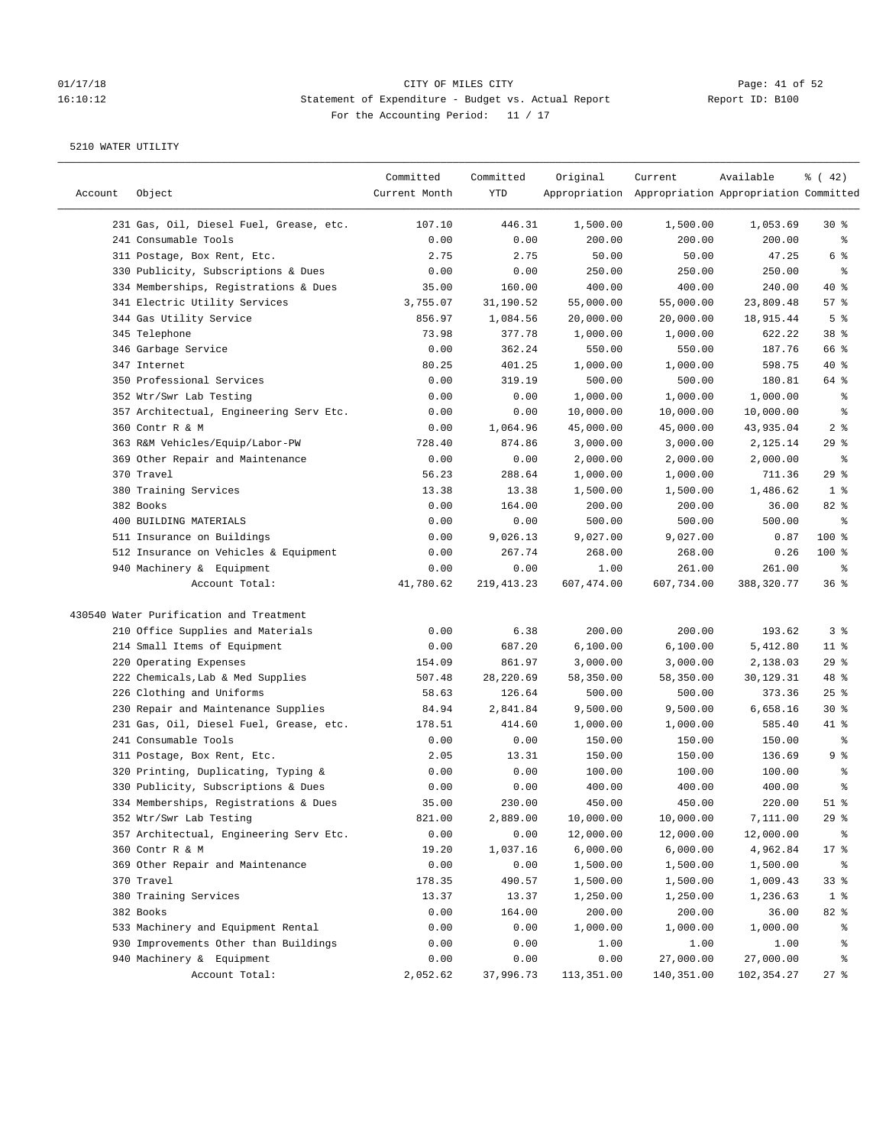# 01/17/18 Page: 41 of 52 16:10:12 Statement of Expenditure - Budget vs. Actual Report Report ID: B100 For the Accounting Period: 11 / 17

| Account | Object                                  | Committed<br>Current Month | Committed<br>YTD | Original   | Current<br>Appropriation Appropriation Appropriation Committed | Available  | % (42)          |
|---------|-----------------------------------------|----------------------------|------------------|------------|----------------------------------------------------------------|------------|-----------------|
|         | 231 Gas, Oil, Diesel Fuel, Grease, etc. | 107.10                     | 446.31           | 1,500.00   | 1,500.00                                                       | 1,053.69   | 30%             |
|         | 241 Consumable Tools                    | 0.00                       | 0.00             | 200.00     | 200.00                                                         | 200.00     | ್ಠಿ             |
|         | 311 Postage, Box Rent, Etc.             | 2.75                       | 2.75             | 50.00      | 50.00                                                          | 47.25      | 6 %             |
|         | 330 Publicity, Subscriptions & Dues     | 0.00                       | 0.00             | 250.00     | 250.00                                                         | 250.00     | ್ಠಿ             |
|         | 334 Memberships, Registrations & Dues   | 35.00                      | 160.00           | 400.00     | 400.00                                                         | 240.00     | $40*$           |
|         | 341 Electric Utility Services           | 3,755.07                   | 31,190.52        | 55,000.00  | 55,000.00                                                      | 23,809.48  | 57%             |
|         | 344 Gas Utility Service                 | 856.97                     | 1,084.56         | 20,000.00  | 20,000.00                                                      | 18,915.44  | 5 <sup>8</sup>  |
|         | 345 Telephone                           | 73.98                      | 377.78           | 1,000.00   | 1,000.00                                                       | 622.22     | 38 <sup>8</sup> |
|         | 346 Garbage Service                     | 0.00                       | 362.24           | 550.00     | 550.00                                                         | 187.76     | 66 %            |
|         | 347 Internet                            | 80.25                      | 401.25           | 1,000.00   | 1,000.00                                                       | 598.75     | $40*$           |
|         | 350 Professional Services               | 0.00                       | 319.19           | 500.00     | 500.00                                                         | 180.81     | 64 %            |
|         | 352 Wtr/Swr Lab Testing                 | 0.00                       | 0.00             | 1,000.00   | 1,000.00                                                       | 1,000.00   | ್ಠಿ             |
|         | 357 Architectual, Engineering Serv Etc. | 0.00                       | 0.00             | 10,000.00  | 10,000.00                                                      | 10,000.00  | ್ಠಿ             |
|         | 360 Contr R & M                         | 0.00                       | 1,064.96         | 45,000.00  | 45,000.00                                                      | 43,935.04  | 2%              |
|         | 363 R&M Vehicles/Equip/Labor-PW         | 728.40                     | 874.86           | 3,000.00   | 3,000.00                                                       | 2,125.14   | 29%             |
|         | 369 Other Repair and Maintenance        | 0.00                       | 0.00             | 2,000.00   | 2,000.00                                                       | 2,000.00   | နွ              |
|         | 370 Travel                              | 56.23                      | 288.64           | 1,000.00   | 1,000.00                                                       | 711.36     | 29%             |
|         | 380 Training Services                   | 13.38                      | 13.38            | 1,500.00   | 1,500.00                                                       | 1,486.62   | 1 <sup>8</sup>  |
|         | 382 Books                               | 0.00                       | 164.00           | 200.00     | 200.00                                                         | 36.00      | 82 %            |
|         | 400 BUILDING MATERIALS                  | 0.00                       | 0.00             | 500.00     | 500.00                                                         | 500.00     | နွ              |
|         | 511 Insurance on Buildings              | 0.00                       | 9,026.13         | 9,027.00   | 9,027.00                                                       | 0.87       | $100$ %         |
|         | 512 Insurance on Vehicles & Equipment   | 0.00                       | 267.74           | 268.00     | 268.00                                                         | 0.26       | 100 %           |
|         | 940 Machinery & Equipment               | 0.00                       | 0.00             | 1.00       | 261.00                                                         | 261.00     | နွ              |
|         | Account Total:                          | 41,780.62                  | 219, 413. 23     | 607,474.00 | 607,734.00                                                     | 388,320.77 | 36%             |
|         | 430540 Water Purification and Treatment |                            |                  |            |                                                                |            |                 |
|         | 210 Office Supplies and Materials       | 0.00                       | 6.38             | 200.00     | 200.00                                                         | 193.62     | 3%              |
|         | 214 Small Items of Equipment            | 0.00                       | 687.20           | 6,100.00   | 6,100.00                                                       | 5,412.80   | $11$ %          |
|         | 220 Operating Expenses                  | 154.09                     | 861.97           | 3,000.00   | 3,000.00                                                       | 2,138.03   | 29%             |
|         | 222 Chemicals, Lab & Med Supplies       | 507.48                     | 28,220.69        | 58,350.00  | 58,350.00                                                      | 30,129.31  | 48 %            |
|         | 226 Clothing and Uniforms               | 58.63                      | 126.64           | 500.00     | 500.00                                                         | 373.36     | $25$ %          |
|         | 230 Repair and Maintenance Supplies     | 84.94                      | 2,841.84         | 9,500.00   | 9,500.00                                                       | 6,658.16   | $30*$           |
|         | 231 Gas, Oil, Diesel Fuel, Grease, etc. | 178.51                     | 414.60           | 1,000.00   | 1,000.00                                                       | 585.40     | 41 %            |
|         | 241 Consumable Tools                    | 0.00                       | 0.00             | 150.00     | 150.00                                                         | 150.00     | နွ              |
|         | 311 Postage, Box Rent, Etc.             | 2.05                       | 13.31            | 150.00     | 150.00                                                         | 136.69     | 9%              |
|         | 320 Printing, Duplicating, Typing &     | 0.00                       | 0.00             | 100.00     | 100.00                                                         | 100.00     | ್ಠಿ             |
|         | 330 Publicity, Subscriptions & Dues     | 0.00                       | 0.00             | 400.00     | 400.00                                                         | 400.00     | ್ಠಿ             |
|         | 334 Memberships, Registrations & Dues   | 35.00                      | 230.00           | 450.00     | 450.00                                                         | 220.00     | $51$ %          |
|         | 352 Wtr/Swr Lab Testing                 | 821.00                     | 2,889.00         | 10,000.00  | 10,000.00                                                      | 7,111.00   | 29%             |
|         | 357 Architectual, Engineering Serv Etc. | 0.00                       | 0.00             | 12,000.00  | 12,000.00                                                      | 12,000.00  | ್ಠಿ             |
|         | 360 Contr R & M                         | 19.20                      | 1,037.16         | 6,000.00   | 6,000.00                                                       | 4,962.84   | 17 <sub>8</sub> |
|         | 369 Other Repair and Maintenance        | 0.00                       | 0.00             | 1,500.00   | 1,500.00                                                       | 1,500.00   | ್ಠಿ             |
|         | 370 Travel                              | 178.35                     | 490.57           | 1,500.00   | 1,500.00                                                       | 1,009.43   | 33 %            |
|         | 380 Training Services                   | 13.37                      | 13.37            | 1,250.00   | 1,250.00                                                       | 1,236.63   | 1 <sup>8</sup>  |
|         | 382 Books                               | 0.00                       | 164.00           | 200.00     | 200.00                                                         | 36.00      | 82 %            |
|         | 533 Machinery and Equipment Rental      | 0.00                       | 0.00             | 1,000.00   | 1,000.00                                                       | 1,000.00   | ိစ              |
|         | 930 Improvements Other than Buildings   | 0.00                       | 0.00             | 1.00       | 1.00                                                           | 1.00       | ႜ               |
|         | 940 Machinery & Equipment               | 0.00                       | 0.00             | 0.00       | 27,000.00                                                      | 27,000.00  | ိစ              |
|         | Account Total:                          | 2,052.62                   | 37,996.73        | 113,351.00 | 140,351.00                                                     | 102,354.27 | $27$ %          |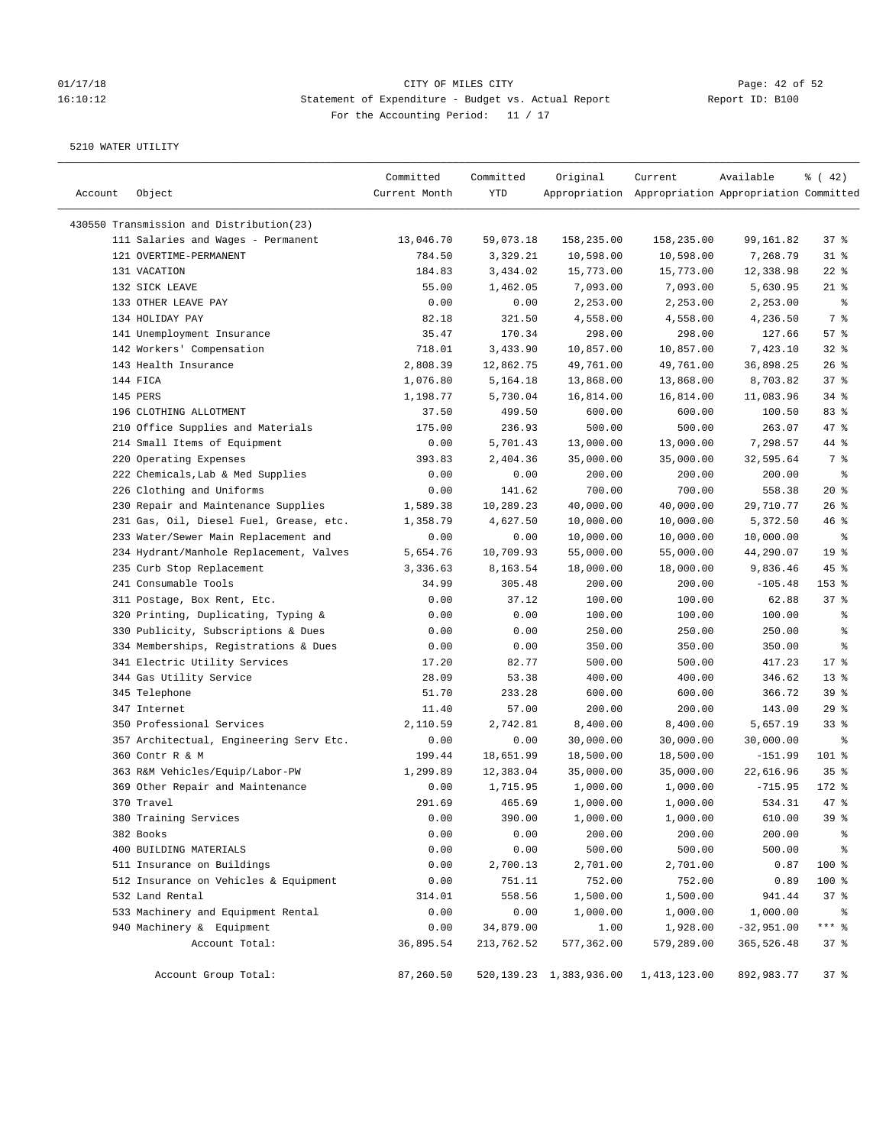# 01/17/18 Page: 42 of 52 16:10:12 Statement of Expenditure - Budget vs. Actual Report Report ID: B100 For the Accounting Period: 11 / 17

| Account | Object                                   | Committed<br>Current Month | Committed<br>YTD      | Original                     | Current<br>Appropriation Appropriation Appropriation Committed | Available              | $\frac{1}{6}$ ( 42)      |
|---------|------------------------------------------|----------------------------|-----------------------|------------------------------|----------------------------------------------------------------|------------------------|--------------------------|
|         |                                          |                            |                       |                              |                                                                |                        |                          |
|         | 430550 Transmission and Distribution(23) |                            |                       |                              |                                                                |                        |                          |
|         | 111 Salaries and Wages - Permanent       | 13,046.70                  | 59,073.18             | 158,235.00                   | 158,235.00                                                     | 99,161.82              | 37%                      |
|         | 121 OVERTIME-PERMANENT                   | 784.50                     | 3,329.21              | 10,598.00                    | 10,598.00                                                      | 7,268.79               | $31$ %                   |
|         | 131 VACATION                             | 184.83                     | 3,434.02              | 15,773.00                    | 15,773.00                                                      | 12,338.98              | $22$ %                   |
|         | 132 SICK LEAVE                           | 55.00                      | 1,462.05              | 7,093.00                     | 7,093.00                                                       | 5,630.95               | $21$ %                   |
|         | 133 OTHER LEAVE PAY                      | 0.00                       | 0.00                  | 2,253.00                     | 2,253.00                                                       | 2,253.00               | နွ                       |
|         | 134 HOLIDAY PAY                          | 82.18                      | 321.50                | 4,558.00                     | 4,558.00                                                       | 4,236.50               | 7 %                      |
|         | 141 Unemployment Insurance               | 35.47                      | 170.34                | 298.00                       | 298.00                                                         | 127.66                 | 57%                      |
|         | 142 Workers' Compensation                | 718.01                     | 3,433.90              | 10,857.00                    | 10,857.00                                                      | 7,423.10               | $32$ $%$                 |
|         | 143 Health Insurance                     | 2,808.39                   | 12,862.75             | 49,761.00                    | 49,761.00                                                      | 36,898.25              | $26$ %                   |
|         | 144 FICA                                 | 1,076.80                   | 5,164.18              | 13,868.00                    | 13,868.00                                                      | 8,703.82               | 37%                      |
|         | 145 PERS                                 | 1,198.77                   | 5,730.04              | 16,814.00                    | 16,814.00                                                      | 11,083.96              | 34%                      |
|         | 196 CLOTHING ALLOTMENT                   | 37.50                      | 499.50                | 600.00                       | 600.00                                                         | 100.50                 | 83%                      |
|         | 210 Office Supplies and Materials        | 175.00                     | 236.93                | 500.00                       | 500.00                                                         | 263.07                 | 47 %                     |
|         | 214 Small Items of Equipment             | 0.00                       | 5,701.43              | 13,000.00                    | 13,000.00                                                      | 7,298.57               | 44 %                     |
|         | 220 Operating Expenses                   | 393.83                     | 2,404.36              | 35,000.00                    | 35,000.00                                                      | 32,595.64              | 7 %                      |
|         | 222 Chemicals, Lab & Med Supplies        | 0.00                       | 0.00                  | 200.00                       | 200.00                                                         | 200.00                 | $\,{}^{\circ}\!\!\delta$ |
|         | 226 Clothing and Uniforms                | 0.00                       | 141.62                | 700.00                       | 700.00                                                         | 558.38                 | $20*$                    |
|         | 230 Repair and Maintenance Supplies      | 1,589.38                   | 10,289.23             | 40,000.00                    | 40,000.00                                                      | 29,710.77              | $26$ %                   |
|         | 231 Gas, Oil, Diesel Fuel, Grease, etc.  | 1,358.79                   | 4,627.50              | 10,000.00                    | 10,000.00                                                      | 5,372.50               | $46$ %                   |
|         | 233 Water/Sewer Main Replacement and     | 0.00                       | 0.00                  | 10,000.00                    | 10,000.00                                                      | 10,000.00              | နွ                       |
|         | 234 Hydrant/Manhole Replacement, Valves  | 5,654.76                   | 10,709.93             | 55,000.00                    | 55,000.00                                                      | 44,290.07              | 19 <sup>°</sup>          |
|         | 235 Curb Stop Replacement                | 3,336.63                   | 8,163.54              | 18,000.00                    | 18,000.00                                                      | 9,836.46               | $45$ %                   |
|         | 241 Consumable Tools                     | 34.99                      | 305.48                | 200.00                       | 200.00                                                         | $-105.48$              | 153 %                    |
|         | 311 Postage, Box Rent, Etc.              | 0.00                       | 37.12                 | 100.00                       | 100.00                                                         | 62.88                  | 37%                      |
|         | 320 Printing, Duplicating, Typing &      | 0.00                       | 0.00                  | 100.00                       | 100.00                                                         | 100.00                 | ి                        |
|         | 330 Publicity, Subscriptions & Dues      | 0.00                       | 0.00                  | 250.00                       | 250.00                                                         | 250.00                 | န့                       |
|         | 334 Memberships, Registrations & Dues    | 0.00                       | 0.00                  | 350.00                       | 350.00                                                         | 350.00                 | န္                       |
|         | 341 Electric Utility Services            | 17.20                      | 82.77                 | 500.00                       | 500.00                                                         | 417.23                 | $17*$                    |
|         | 344 Gas Utility Service                  | 28.09                      | 53.38                 | 400.00                       | 400.00                                                         | 346.62                 | $13*$                    |
|         | 345 Telephone                            | 51.70                      | 233.28                | 600.00                       | 600.00                                                         | 366.72                 | 39%                      |
|         | 347 Internet                             | 11.40                      | 57.00                 | 200.00                       | 200.00                                                         | 143.00                 | 29%                      |
|         | 350 Professional Services                | 2,110.59                   | 2,742.81              | 8,400.00                     | 8,400.00                                                       | 5,657.19               | $33$ %                   |
|         | 357 Architectual, Engineering Serv Etc.  | 0.00                       | 0.00                  | 30,000.00                    | 30,000.00                                                      | 30,000.00              | ႜ                        |
|         | 360 Contr R & M                          | 199.44                     | 18,651.99             | 18,500.00                    |                                                                | $-151.99$              | 101 %                    |
|         | 363 R&M Vehicles/Equip/Labor-PW          |                            |                       |                              | 18,500.00                                                      |                        |                          |
|         |                                          | 1,299.89                   | 12,383.04<br>1,715.95 | 35,000.00                    | 35,000.00<br>1,000.00                                          | 22,616.96<br>$-715.95$ | 35%                      |
|         | 369 Other Repair and Maintenance         | 0.00                       |                       | 1,000.00                     |                                                                |                        | 172 %                    |
|         | 370 Travel                               | 291.69                     | 465.69                | 1,000.00                     | 1,000.00                                                       | 534.31                 | 47 %                     |
|         | 380 Training Services                    | 0.00                       | 390.00                | 1,000.00                     | 1,000.00                                                       | 610.00                 | 39%                      |
|         | 382 Books                                | 0.00                       | 0.00                  | 200.00                       | 200.00                                                         | 200.00                 | ್ಠಿ                      |
|         | 400 BUILDING MATERIALS                   | 0.00                       | 0.00                  | 500.00                       | 500.00                                                         | 500.00                 | ್ಠಿ                      |
|         | 511 Insurance on Buildings               | 0.00                       | 2,700.13              | 2,701.00                     | 2,701.00                                                       | 0.87                   | 100 %                    |
|         | 512 Insurance on Vehicles & Equipment    | 0.00                       | 751.11                | 752.00                       | 752.00                                                         | 0.89                   | 100 %                    |
|         | 532 Land Rental                          | 314.01                     | 558.56                | 1,500.00                     | 1,500.00                                                       | 941.44                 | 37%                      |
|         | 533 Machinery and Equipment Rental       | 0.00                       | 0.00                  | 1,000.00                     | 1,000.00                                                       | 1,000.00               | ್ಠಿ                      |
|         | 940 Machinery & Equipment                | 0.00                       | 34,879.00             | 1.00                         | 1,928.00                                                       | $-32,951.00$           | $***$ $_{8}$             |
|         | Account Total:                           | 36,895.54                  | 213,762.52            | 577,362.00                   | 579,289.00                                                     | 365,526.48             | 37%                      |
|         | Account Group Total:                     | 87,260.50                  |                       | 520, 139. 23 1, 383, 936. 00 | 1,413,123.00                                                   | 892,983.77             | 37%                      |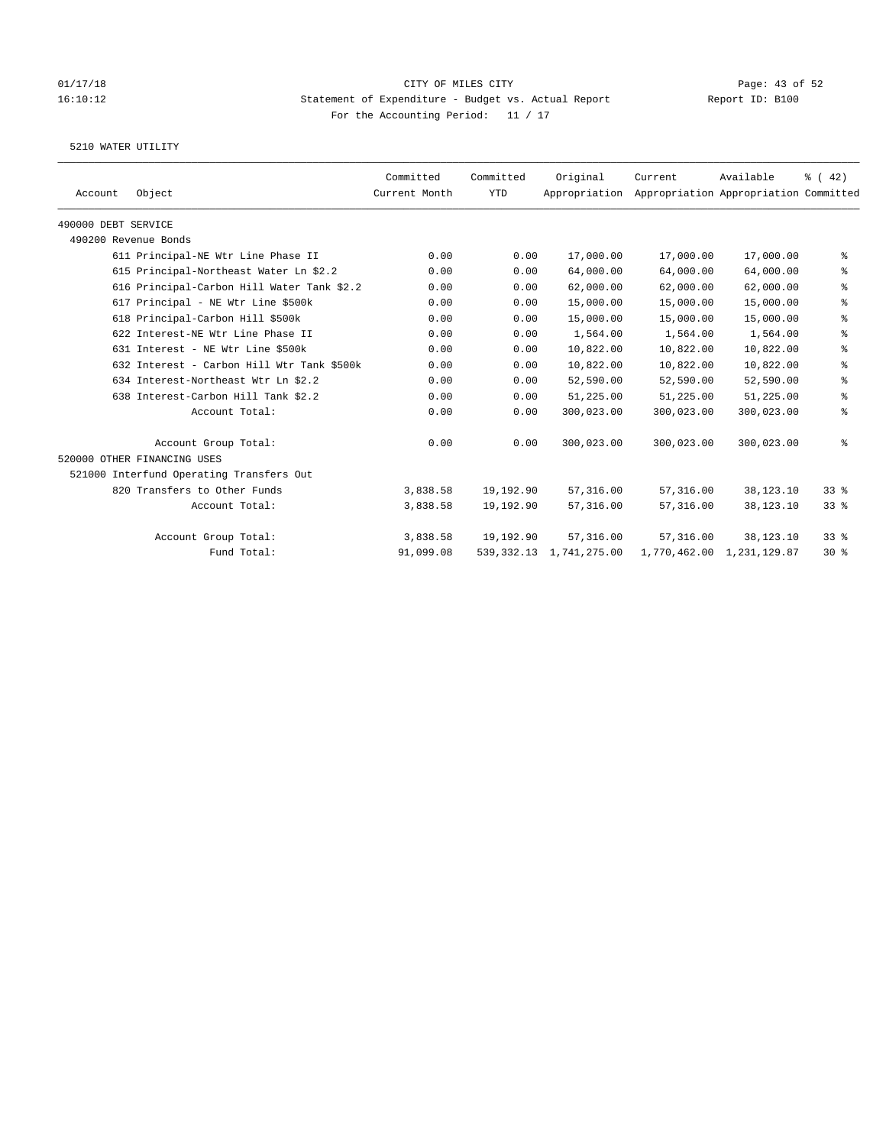### 01/17/18 Page: 43 of 52 16:10:12 Statement of Expenditure - Budget vs. Actual Report Report ID: B100 For the Accounting Period: 11 / 17

|                     |                                            | Committed     | Committed  | Original      | Current    | Available                             | % (42)     |
|---------------------|--------------------------------------------|---------------|------------|---------------|------------|---------------------------------------|------------|
| Account             | Object                                     | Current Month | <b>YTD</b> | Appropriation |            | Appropriation Appropriation Committed |            |
| 490000 DEBT SERVICE |                                            |               |            |               |            |                                       |            |
|                     | 490200 Revenue Bonds                       |               |            |               |            |                                       |            |
|                     | 611 Principal-NE Wtr Line Phase II         | 0.00          | 0.00       | 17,000.00     | 17,000.00  | 17,000.00                             | နွ         |
|                     | 615 Principal-Northeast Water Ln \$2.2     | 0.00          | 0.00       | 64,000.00     | 64,000.00  | 64,000.00                             | နွ         |
|                     | 616 Principal-Carbon Hill Water Tank \$2.2 | 0.00          | 0.00       | 62,000.00     | 62,000.00  | 62,000.00                             | $\epsilon$ |
|                     | 617 Principal - NE Wtr Line \$500k         | 0.00          | 0.00       | 15,000.00     | 15,000.00  | 15,000.00                             | နွ         |
|                     | 618 Principal-Carbon Hill \$500k           | 0.00          | 0.00       | 15,000.00     | 15,000.00  | 15,000.00                             | $\epsilon$ |
|                     | 622 Interest-NE Wtr Line Phase II          | 0.00          | 0.00       | 1,564.00      | 1,564.00   | 1,564.00                              | နွ         |
|                     | 631 Interest - NE Wtr Line \$500k          | 0.00          | 0.00       | 10,822.00     | 10,822.00  | 10,822.00                             | နွ         |
|                     | 632 Interest - Carbon Hill Wtr Tank \$500k | 0.00          | 0.00       | 10,822.00     | 10,822.00  | 10,822.00                             | နွ         |
|                     | 634 Interest-Northeast Wtr Ln \$2.2        | 0.00          | 0.00       | 52,590.00     | 52,590.00  | 52,590.00                             | နွ         |
|                     | 638 Interest-Carbon Hill Tank \$2.2        | 0.00          | 0.00       | 51,225.00     | 51,225.00  | 51,225.00                             | ್ಠಿ        |
|                     | Account Total:                             | 0.00          | 0.00       | 300,023.00    | 300,023.00 | 300,023.00                            | နွ         |
|                     | Account Group Total:                       | 0.00          | 0.00       | 300,023.00    | 300,023.00 | 300,023.00                            | နွ         |
|                     | 520000 OTHER FINANCING USES                |               |            |               |            |                                       |            |
|                     | 521000 Interfund Operating Transfers Out   |               |            |               |            |                                       |            |
|                     | 820 Transfers to Other Funds               | 3,838.58      | 19,192.90  | 57, 316.00    | 57,316.00  | 38,123.10                             | 338        |
|                     | Account Total:                             | 3,838.58      | 19,192.90  | 57,316.00     | 57,316.00  | 38,123.10                             | $33$ $%$   |
|                     | Account Group Total:                       | 3,838.58      | 19,192.90  | 57,316.00     | 57,316.00  | 38,123.10                             | 338        |
|                     | Fund Total:                                | 91,099.08     | 539,332.13 | 1,741,275.00  |            | 1,770,462.00 1,231,129.87             | $30*$      |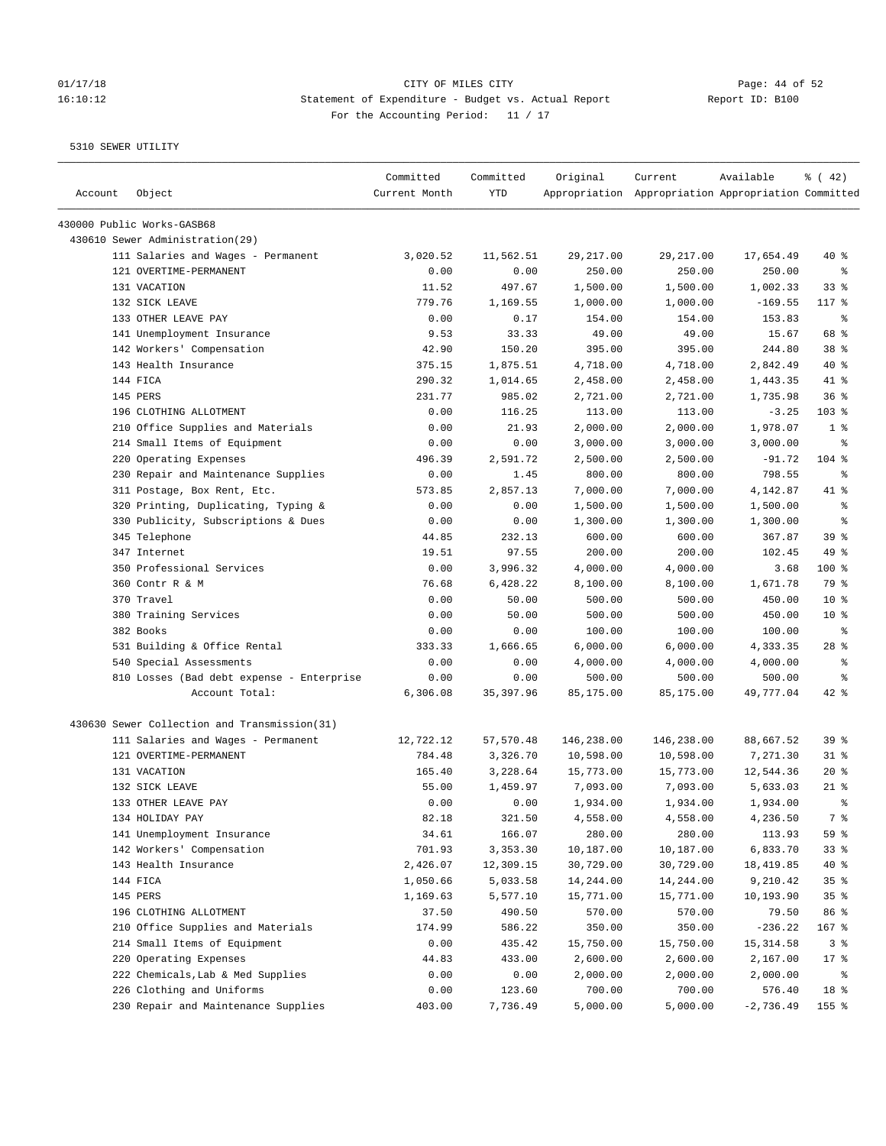## 01/17/18 Page: 44 of 52 16:10:12 Statement of Expenditure - Budget vs. Actual Report Report ID: B100 For the Accounting Period: 11 / 17

| Account | Object                                       | Committed<br>Current Month | Committed<br>YTD | Original   | Current<br>Appropriation Appropriation Appropriation Committed | Available   | $\frac{1}{6}$ ( 42) |
|---------|----------------------------------------------|----------------------------|------------------|------------|----------------------------------------------------------------|-------------|---------------------|
|         | 430000 Public Works-GASB68                   |                            |                  |            |                                                                |             |                     |
|         | 430610 Sewer Administration(29)              |                            |                  |            |                                                                |             |                     |
|         | 111 Salaries and Wages - Permanent           | 3,020.52                   | 11,562.51        | 29, 217.00 | 29, 217.00                                                     | 17,654.49   | 40 %                |
|         | 121 OVERTIME-PERMANENT                       | 0.00                       | 0.00             | 250.00     | 250.00                                                         | 250.00      | ႜ                   |
|         | 131 VACATION                                 | 11.52                      | 497.67           | 1,500.00   | 1,500.00                                                       | 1,002.33    | 33%                 |
|         | 132 SICK LEAVE                               | 779.76                     | 1,169.55         | 1,000.00   | 1,000.00                                                       | $-169.55$   | $117$ %             |
|         | 133 OTHER LEAVE PAY                          | 0.00                       | 0.17             | 154.00     | 154.00                                                         | 153.83      | $\epsilon$          |
|         | 141 Unemployment Insurance                   | 9.53                       | 33.33            | 49.00      | 49.00                                                          | 15.67       | 68 %                |
|         | 142 Workers' Compensation                    | 42.90                      | 150.20           | 395.00     | 395.00                                                         | 244.80      | 38 <sup>8</sup>     |
|         | 143 Health Insurance                         | 375.15                     | 1,875.51         | 4,718.00   | 4,718.00                                                       | 2,842.49    | $40*$               |
|         | 144 FICA                                     | 290.32                     | 1,014.65         | 2,458.00   | 2,458.00                                                       | 1,443.35    | 41 %                |
|         | 145 PERS                                     | 231.77                     | 985.02           | 2,721.00   | 2,721.00                                                       | 1,735.98    | 36%                 |
|         | 196 CLOTHING ALLOTMENT                       | 0.00                       | 116.25           | 113.00     | 113.00                                                         | $-3.25$     | $103$ %             |
|         | 210 Office Supplies and Materials            | 0.00                       | 21.93            | 2,000.00   | 2,000.00                                                       | 1,978.07    | 1 <sup>8</sup>      |
|         | 214 Small Items of Equipment                 | 0.00                       | 0.00             | 3,000.00   | 3,000.00                                                       | 3,000.00    | ႜ                   |
|         | 220 Operating Expenses                       | 496.39                     | 2,591.72         | 2,500.00   | 2,500.00                                                       | $-91.72$    | $104$ %             |
|         | 230 Repair and Maintenance Supplies          | 0.00                       | 1.45             | 800.00     | 800.00                                                         | 798.55      | နွ                  |
|         | 311 Postage, Box Rent, Etc.                  | 573.85                     | 2,857.13         | 7,000.00   | 7,000.00                                                       | 4,142.87    | 41 %                |
|         | 320 Printing, Duplicating, Typing &          | 0.00                       | 0.00             | 1,500.00   | 1,500.00                                                       | 1,500.00    | $\epsilon$          |
|         | 330 Publicity, Subscriptions & Dues          | 0.00                       | 0.00             | 1,300.00   | 1,300.00                                                       | 1,300.00    | ి                   |
|         | 345 Telephone                                | 44.85                      | 232.13           | 600.00     | 600.00                                                         | 367.87      | 39%                 |
|         | 347 Internet                                 | 19.51                      | 97.55            | 200.00     | 200.00                                                         | 102.45      | 49 %                |
|         | 350 Professional Services                    | 0.00                       | 3,996.32         | 4,000.00   | 4,000.00                                                       | 3.68        | 100 %               |
|         | 360 Contr R & M                              | 76.68                      | 6,428.22         | 8,100.00   | 8,100.00                                                       | 1,671.78    | 79 %                |
|         | 370 Travel                                   | 0.00                       | 50.00            | 500.00     | 500.00                                                         | 450.00      | $10*$               |
|         | 380 Training Services                        | 0.00                       | 50.00            | 500.00     | 500.00                                                         | 450.00      | $10*$               |
|         | 382 Books                                    | 0.00                       | 0.00             | 100.00     | 100.00                                                         | 100.00      | နွ                  |
|         | 531 Building & Office Rental                 | 333.33                     | 1,666.65         | 6,000.00   | 6,000.00                                                       | 4,333.35    | $28$ %              |
|         | 540 Special Assessments                      | 0.00                       | 0.00             | 4,000.00   | 4,000.00                                                       | 4,000.00    | နွ                  |
|         | 810 Losses (Bad debt expense - Enterprise    | 0.00                       | 0.00             | 500.00     | 500.00                                                         | 500.00      | ి                   |
|         | Account Total:                               | 6,306.08                   | 35,397.96        | 85,175.00  | 85,175.00                                                      | 49,777.04   | $42$ %              |
|         | 430630 Sewer Collection and Transmission(31) |                            |                  |            |                                                                |             |                     |
|         | 111 Salaries and Wages - Permanent           | 12,722.12                  | 57,570.48        | 146,238.00 | 146,238.00                                                     | 88,667.52   | 39%                 |
|         | 121 OVERTIME-PERMANENT                       | 784.48                     | 3,326.70         | 10,598.00  | 10,598.00                                                      | 7,271.30    | $31$ %              |
|         | 131 VACATION                                 | 165.40                     | 3,228.64         | 15,773.00  | 15,773.00                                                      | 12,544.36   | $20*$               |
|         | 132 SICK LEAVE                               | 55.00                      | 1,459.97         | 7,093.00   | 7,093.00                                                       | 5,633.03    | $21$ %              |
|         | 133 OTHER LEAVE PAY                          | 0.00                       | 0.00             | 1,934.00   | 1,934.00                                                       | 1,934.00    | န္                  |
|         | 134 HOLIDAY PAY                              | 82.18                      | 321.50           | 4,558.00   | 4,558.00                                                       | 4,236.50    | 7 %                 |
|         | 141 Unemployment Insurance                   | 34.61                      | 166.07           | 280.00     | 280.00                                                         | 113.93      | 59 %                |
|         | 142 Workers' Compensation                    | 701.93                     | 3,353.30         | 10,187.00  | 10,187.00                                                      | 6,833.70    | 33%                 |
|         | 143 Health Insurance                         | 2,426.07                   | 12,309.15        | 30,729.00  | 30,729.00                                                      | 18,419.85   | 40 %                |
|         | 144 FICA                                     | 1,050.66                   | 5,033.58         | 14,244.00  | 14,244.00                                                      | 9,210.42    | 35%                 |
|         | 145 PERS                                     | 1,169.63                   | 5,577.10         | 15,771.00  | 15,771.00                                                      | 10,193.90   | 35%                 |
|         | 196 CLOTHING ALLOTMENT                       | 37.50                      | 490.50           | 570.00     | 570.00                                                         | 79.50       | 86 %                |
|         | 210 Office Supplies and Materials            | 174.99                     | 586.22           | 350.00     | 350.00                                                         | $-236.22$   | 167 %               |
|         | 214 Small Items of Equipment                 | 0.00                       | 435.42           | 15,750.00  | 15,750.00                                                      | 15, 314.58  | 3 <sup>8</sup>      |
|         | 220 Operating Expenses                       | 44.83                      | 433.00           | 2,600.00   | 2,600.00                                                       | 2,167.00    | $17$ %              |
|         | 222 Chemicals, Lab & Med Supplies            | 0.00                       | 0.00             | 2,000.00   | 2,000.00                                                       | 2,000.00    | ႜ                   |
|         | 226 Clothing and Uniforms                    | 0.00                       | 123.60           | 700.00     | 700.00                                                         | 576.40      | 18 %                |
|         | 230 Repair and Maintenance Supplies          | 403.00                     | 7,736.49         | 5,000.00   | 5,000.00                                                       | $-2,736.49$ | 155 %               |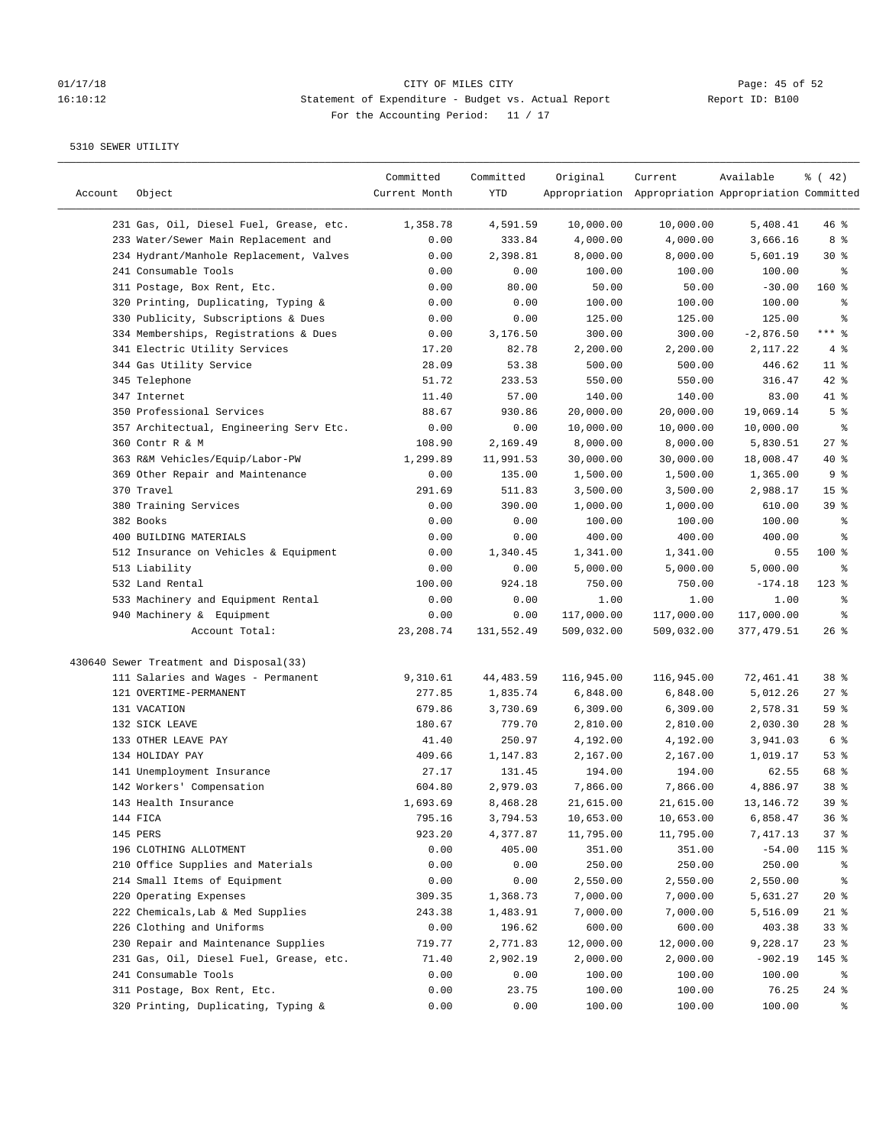# 01/17/18 CITY OF MILES CITY CONTRIBED CONTRIBUTE CONTRIBUTE CONTRIBUTE CONTRIBUTE CONTRIBUTE CONTRIBUTE CONTRI<br>16:10:12 16:10:12 Statement of Expenditure - Budget vs. Actual Report 16:10:12 Statement of Expenditure - Budget vs. Actual Report Report ID: B100 For the Accounting Period: 11 / 17

| Account | Object                                  | Committed<br>Current Month | Committed<br>YTD | Original   | Current<br>Appropriation Appropriation Appropriation Committed | Available   | % (42)                       |
|---------|-----------------------------------------|----------------------------|------------------|------------|----------------------------------------------------------------|-------------|------------------------------|
|         | 231 Gas, Oil, Diesel Fuel, Grease, etc. | 1,358.78                   | 4,591.59         | 10,000.00  | 10,000.00                                                      | 5,408.41    | $46$ %                       |
|         | 233 Water/Sewer Main Replacement and    | 0.00                       | 333.84           | 4,000.00   | 4,000.00                                                       | 3,666.16    | 8 %                          |
|         | 234 Hydrant/Manhole Replacement, Valves | 0.00                       | 2,398.81         | 8,000.00   | 8,000.00                                                       | 5,601.19    | $30*$                        |
|         | 241 Consumable Tools                    | 0.00                       | 0.00             | 100.00     | 100.00                                                         | 100.00      | နွ                           |
|         | 311 Postage, Box Rent, Etc.             | 0.00                       | 80.00            | 50.00      | 50.00                                                          | $-30.00$    | $160*$                       |
|         | 320 Printing, Duplicating, Typing &     | 0.00                       | 0.00             | 100.00     | 100.00                                                         | 100.00      | ್ಠಿ                          |
|         | 330 Publicity, Subscriptions & Dues     | 0.00                       | 0.00             | 125.00     | 125.00                                                         | 125.00      | ి                            |
|         | 334 Memberships, Registrations & Dues   | 0.00                       | 3,176.50         | 300.00     | 300.00                                                         | $-2,876.50$ | $***$ $-$                    |
|         | 341 Electric Utility Services           | 17.20                      | 82.78            | 2,200.00   | 2,200.00                                                       | 2,117.22    | 4%                           |
|         | 344 Gas Utility Service                 | 28.09                      | 53.38            | 500.00     | 500.00                                                         | 446.62      | $11$ %                       |
|         | 345 Telephone                           | 51.72                      | 233.53           | 550.00     | 550.00                                                         | 316.47      | $42$ %                       |
|         | 347 Internet                            |                            | 57.00            |            |                                                                | 83.00       | 41 %                         |
|         |                                         | 11.40                      |                  | 140.00     | 140.00                                                         |             |                              |
|         | 350 Professional Services               | 88.67                      | 930.86           | 20,000.00  | 20,000.00                                                      | 19,069.14   | 5 <sup>8</sup><br>$\epsilon$ |
|         | 357 Architectual, Engineering Serv Etc. | 0.00                       | 0.00             | 10,000.00  | 10,000.00                                                      | 10,000.00   |                              |
|         | 360 Contr R & M                         | 108.90                     | 2,169.49         | 8,000.00   | 8,000.00                                                       | 5,830.51    | 27%                          |
|         | 363 R&M Vehicles/Equip/Labor-PW         | 1,299.89                   | 11,991.53        | 30,000.00  | 30,000.00                                                      | 18,008.47   | $40*$                        |
|         | 369 Other Repair and Maintenance        | 0.00                       | 135.00           | 1,500.00   | 1,500.00                                                       | 1,365.00    | 9%                           |
|         | 370 Travel                              | 291.69                     | 511.83           | 3,500.00   | 3,500.00                                                       | 2,988.17    | 15 <sup>°</sup>              |
|         | 380 Training Services                   | 0.00                       | 390.00           | 1,000.00   | 1,000.00                                                       | 610.00      | 39%                          |
|         | 382 Books                               | 0.00                       | 0.00             | 100.00     | 100.00                                                         | 100.00      | နွ                           |
|         | 400 BUILDING MATERIALS                  | 0.00                       | 0.00             | 400.00     | 400.00                                                         | 400.00      | ి                            |
|         | 512 Insurance on Vehicles & Equipment   | 0.00                       | 1,340.45         | 1,341.00   | 1,341.00                                                       | 0.55        | $100$ %                      |
|         | 513 Liability                           | 0.00                       | 0.00             | 5,000.00   | 5,000.00                                                       | 5,000.00    | နွ                           |
|         | 532 Land Rental                         | 100.00                     | 924.18           | 750.00     | 750.00                                                         | $-174.18$   | $123$ %                      |
|         | 533 Machinery and Equipment Rental      | 0.00                       | 0.00             | 1.00       | 1.00                                                           | 1.00        | ್ಠಿ                          |
|         | 940 Machinery & Equipment               | 0.00                       | 0.00             | 117,000.00 | 117,000.00                                                     | 117,000.00  | ႜ                            |
|         | Account Total:                          | 23, 208.74                 | 131,552.49       | 509,032.00 | 509,032.00                                                     | 377,479.51  | 26%                          |
|         | 430640 Sewer Treatment and Disposal(33) |                            |                  |            |                                                                |             |                              |
|         | 111 Salaries and Wages - Permanent      | 9,310.61                   | 44, 483.59       | 116,945.00 | 116,945.00                                                     | 72,461.41   | 38 <sup>8</sup>              |
|         | 121 OVERTIME-PERMANENT                  | 277.85                     | 1,835.74         | 6,848.00   | 6,848.00                                                       | 5,012.26    | $27$ %                       |
|         | 131 VACATION                            | 679.86                     | 3,730.69         | 6,309.00   | 6,309.00                                                       | 2,578.31    | 59 %                         |
|         | 132 SICK LEAVE                          | 180.67                     | 779.70           | 2,810.00   | 2,810.00                                                       | 2,030.30    | $28$ %                       |
|         | 133 OTHER LEAVE PAY                     | 41.40                      | 250.97           | 4,192.00   | 4,192.00                                                       | 3,941.03    | 6 %                          |
|         | 134 HOLIDAY PAY                         | 409.66                     | 1,147.83         | 2,167.00   | 2,167.00                                                       | 1,019.17    | 53%                          |
|         | 141 Unemployment Insurance              | 27.17                      | 131.45           | 194.00     | 194.00                                                         | 62.55       | 68 %                         |
|         | 142 Workers' Compensation               | 604.80                     | 2,979.03         | 7,866.00   | 7,866.00                                                       | 4,886.97    | 38 %                         |
|         | 143 Health Insurance                    | 1,693.69                   | 8,468.28         | 21,615.00  | 21,615.00                                                      | 13, 146. 72 | 39 %                         |
|         | 144 FICA                                | 795.16                     | 3,794.53         | 10,653.00  | 10,653.00                                                      | 6,858.47    | 36%                          |
|         | 145 PERS                                | 923.20                     | 4,377.87         | 11,795.00  | 11,795.00                                                      | 7,417.13    | 37%                          |
|         | 196 CLOTHING ALLOTMENT                  | 0.00                       | 405.00           | 351.00     | 351.00                                                         | $-54.00$    | 115 %                        |
|         | 210 Office Supplies and Materials       | 0.00                       | 0.00             | 250.00     | 250.00                                                         | 250.00      | ိစ                           |
|         | 214 Small Items of Equipment            | 0.00                       | 0.00             | 2,550.00   | 2,550.00                                                       | 2,550.00    | ိစ                           |
|         | 220 Operating Expenses                  | 309.35                     | 1,368.73         | 7,000.00   | 7,000.00                                                       | 5,631.27    | 20%                          |
|         | 222 Chemicals, Lab & Med Supplies       | 243.38                     | 1,483.91         | 7,000.00   | 7,000.00                                                       | 5,516.09    | $21$ %                       |
|         | 226 Clothing and Uniforms               | 0.00                       | 196.62           | 600.00     | 600.00                                                         | 403.38      | 33%                          |
|         | 230 Repair and Maintenance Supplies     | 719.77                     | 2,771.83         | 12,000.00  | 12,000.00                                                      | 9,228.17    | $23$ %                       |
|         | 231 Gas, Oil, Diesel Fuel, Grease, etc. | 71.40                      | 2,902.19         | 2,000.00   | 2,000.00                                                       | $-902.19$   | 145 %                        |
|         | 241 Consumable Tools                    | 0.00                       | 0.00             | 100.00     | 100.00                                                         | 100.00      | ႜ                            |
|         | 311 Postage, Box Rent, Etc.             | 0.00                       | 23.75            | 100.00     | 100.00                                                         | 76.25       | $24$ %                       |
|         | 320 Printing, Duplicating, Typing &     | 0.00                       | 0.00             | 100.00     | 100.00                                                         | 100.00      | ိ                            |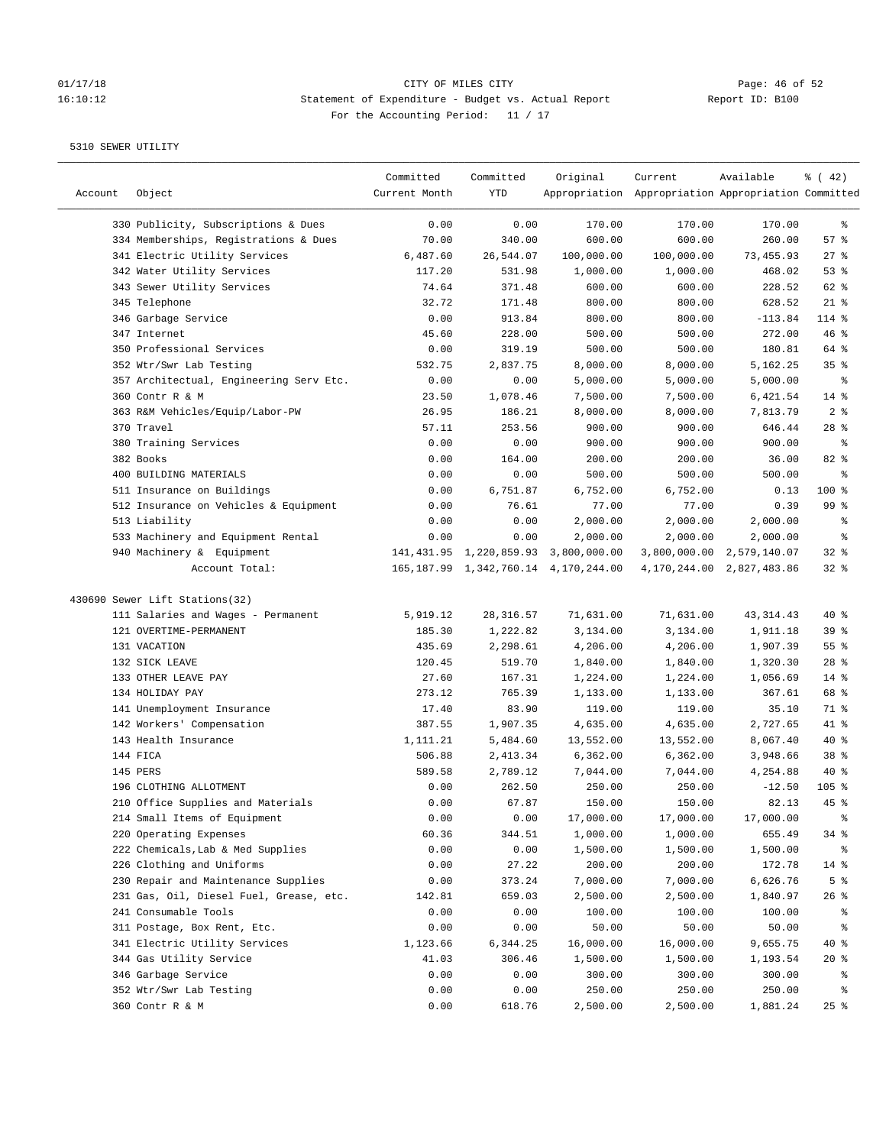# 01/17/18 CITY OF MILES CITY CONTRIBED CONTRIBUTE CONTRIBUTE CONTRIBUTE CONTRIBUTE CONTRIBUTE CONTRIBUTE CONTRI<br>16:10:12 16:10:12 Statement of Expenditure - Budget vs. Actual Report 16:10:12 Statement of Expenditure - Budget vs. Actual Report Report ID: B100 For the Accounting Period: 11 / 17

————————————————————————————————————————————————————————————————————————————————————————————————————————————————————————————————————

|         |                                         | Committed     | Committed  | Original                                  | Current                                             | Available                     | $\frac{1}{6}$ ( 42) |
|---------|-----------------------------------------|---------------|------------|-------------------------------------------|-----------------------------------------------------|-------------------------------|---------------------|
| Account | Object                                  | Current Month | YTD        |                                           | Appropriation Appropriation Appropriation Committed |                               |                     |
|         | 330 Publicity, Subscriptions & Dues     | 0.00          | 0.00       | 170.00                                    | 170.00                                              | 170.00                        | ್ಠಿ                 |
|         | 334 Memberships, Registrations & Dues   | 70.00         | 340.00     | 600.00                                    | 600.00                                              | 260.00                        | 57%                 |
|         | 341 Electric Utility Services           | 6,487.60      | 26,544.07  | 100,000.00                                | 100,000.00                                          | 73,455.93                     | $27$ %              |
|         | 342 Water Utility Services              | 117.20        | 531.98     | 1,000.00                                  | 1,000.00                                            | 468.02                        | 53%                 |
|         | 343 Sewer Utility Services              | 74.64         | 371.48     | 600.00                                    | 600.00                                              | 228.52                        | 62 %                |
|         | 345 Telephone                           | 32.72         | 171.48     | 800.00                                    | 800.00                                              | 628.52                        | $21$ %              |
|         | 346 Garbage Service                     | 0.00          | 913.84     | 800.00                                    | 800.00                                              | $-113.84$                     | 114 %               |
|         | 347 Internet                            | 45.60         | 228.00     | 500.00                                    | 500.00                                              | 272.00                        | 46%                 |
|         | 350 Professional Services               | 0.00          | 319.19     | 500.00                                    | 500.00                                              | 180.81                        | 64 %                |
|         | 352 Wtr/Swr Lab Testing                 | 532.75        | 2,837.75   | 8,000.00                                  | 8,000.00                                            | 5,162.25                      | 35%                 |
|         | 357 Architectual, Engineering Serv Etc. | 0.00          | 0.00       | 5,000.00                                  | 5,000.00                                            | 5,000.00                      | နွ                  |
|         | 360 Contr R & M                         | 23.50         | 1,078.46   | 7,500.00                                  | 7,500.00                                            | 6,421.54                      | $14*$               |
|         | 363 R&M Vehicles/Equip/Labor-PW         | 26.95         | 186.21     | 8,000.00                                  | 8,000.00                                            | 7,813.79                      | 2 <sup>8</sup>      |
|         | 370 Travel                              | 57.11         | 253.56     | 900.00                                    | 900.00                                              | 646.44                        | $28$ %              |
|         | 380 Training Services                   | 0.00          | 0.00       | 900.00                                    | 900.00                                              | 900.00                        | နွ                  |
|         | 382 Books                               | 0.00          | 164.00     | 200.00                                    | 200.00                                              | 36.00                         | 82%                 |
|         | 400 BUILDING MATERIALS                  | 0.00          | 0.00       | 500.00                                    | 500.00                                              | 500.00                        | နွ                  |
|         | 511 Insurance on Buildings              | 0.00          | 6,751.87   | 6,752.00                                  | 6,752.00                                            | 0.13                          | 100 %               |
|         | 512 Insurance on Vehicles & Equipment   | 0.00          | 76.61      | 77.00                                     | 77.00                                               | 0.39                          | 99 <sup>8</sup>     |
|         | 513 Liability                           | 0.00          | 0.00       | 2,000.00                                  | 2,000.00                                            | 2,000.00                      | နွ                  |
|         | 533 Machinery and Equipment Rental      | 0.00          | 0.00       | 2,000.00                                  | 2,000.00                                            | 2,000.00                      | နွ                  |
|         | 940 Machinery & Equipment               |               |            | 141, 431.95 1, 220, 859.93 3, 800, 000.00 |                                                     | 3,800,000.00 2,579,140.07     | 32%                 |
|         | Account Total:                          |               |            | 165, 187.99 1, 342, 760.14 4, 170, 244.00 |                                                     | 4, 170, 244.00 2, 827, 483.86 | 32%                 |
|         |                                         |               |            |                                           |                                                     |                               |                     |
|         | 430690 Sewer Lift Stations(32)          |               |            |                                           |                                                     |                               |                     |
|         | 111 Salaries and Wages - Permanent      | 5,919.12      | 28, 316.57 | 71,631.00                                 | 71,631.00                                           | 43, 314.43                    | $40*$               |
|         | 121 OVERTIME-PERMANENT                  | 185.30        | 1,222.82   | 3,134.00                                  | 3,134.00                                            | 1,911.18                      | 39%                 |
|         | 131 VACATION                            | 435.69        | 2,298.61   | 4,206.00                                  | 4,206.00                                            | 1,907.39                      | 55%                 |
|         | 132 SICK LEAVE                          | 120.45        | 519.70     | 1,840.00                                  | 1,840.00                                            | 1,320.30                      | $28$ %              |
|         | 133 OTHER LEAVE PAY                     | 27.60         | 167.31     | 1,224.00                                  | 1,224.00                                            | 1,056.69                      | $14$ %              |
|         | 134 HOLIDAY PAY                         | 273.12        | 765.39     | 1,133.00                                  | 1,133.00                                            | 367.61                        | 68 %                |
|         | 141 Unemployment Insurance              | 17.40         | 83.90      | 119.00                                    | 119.00                                              | 35.10                         | 71 %                |
|         | 142 Workers' Compensation               | 387.55        | 1,907.35   | 4,635.00                                  | 4,635.00                                            | 2,727.65                      | 41 %                |
|         | 143 Health Insurance                    | 1,111.21      | 5,484.60   | 13,552.00                                 | 13,552.00                                           | 8,067.40                      | $40*$               |
|         | 144 FICA                                | 506.88        | 2,413.34   | 6,362.00                                  | 6,362.00                                            | 3,948.66                      | 38 %                |
|         | 145 PERS                                | 589.58        | 2,789.12   | 7,044.00                                  | 7,044.00                                            | 4,254.88                      | $40*$               |
|         | 196 CLOTHING ALLOTMENT                  | 0.00          | 262.50     | 250.00                                    | 250.00                                              | $-12.50$                      | $105$ %             |
|         | 210 Office Supplies and Materials       | 0.00          | 67.87      | 150.00                                    | 150.00                                              | 82.13                         | $45$ %              |
|         | 214 Small Items of Equipment            | 0.00          | 0.00       | 17,000.00                                 | 17,000.00                                           | 17,000.00                     |                     |
|         | 220 Operating Expenses                  | 60.36         | 344.51     | 1,000.00                                  | 1,000.00                                            | 655.49                        | 34 %                |
|         | 222 Chemicals, Lab & Med Supplies       | 0.00          | 0.00       | 1,500.00                                  | 1,500.00                                            | 1,500.00                      | ိစ                  |
|         | 226 Clothing and Uniforms               | 0.00          | 27.22      | 200.00                                    | 200.00                                              | 172.78                        | $14$ %              |
|         | 230 Repair and Maintenance Supplies     | 0.00          | 373.24     | 7,000.00                                  | 7,000.00                                            | 6,626.76                      | 5 <sup>°</sup>      |
|         | 231 Gas, Oil, Diesel Fuel, Grease, etc. | 142.81        | 659.03     | 2,500.00                                  | 2,500.00                                            | 1,840.97                      | 26%                 |
|         | 241 Consumable Tools                    | 0.00          | 0.00       | 100.00                                    | 100.00                                              | 100.00                        | ိင                  |
|         | 311 Postage, Box Rent, Etc.             | 0.00          | 0.00       | 50.00                                     | 50.00                                               | 50.00                         |                     |
|         | 341 Electric Utility Services           | 1,123.66      | 6,344.25   | 16,000.00                                 | 16,000.00                                           | 9,655.75                      | $40*$               |
|         | 344 Gas Utility Service                 | 41.03         | 306.46     | 1,500.00                                  | 1,500.00                                            | 1,193.54                      | 20%                 |
|         | 346 Garbage Service                     | 0.00          | 0.00       | 300.00                                    | 300.00                                              | 300.00                        | ိစ                  |
|         | 352 Wtr/Swr Lab Testing                 | 0.00          | 0.00       | 250.00                                    | 250.00                                              | 250.00                        | ိစ                  |
|         | 360 Contr R & M                         | 0.00          | 618.76     | 2,500.00                                  | 2,500.00                                            | 1,881.24                      | $25$ %              |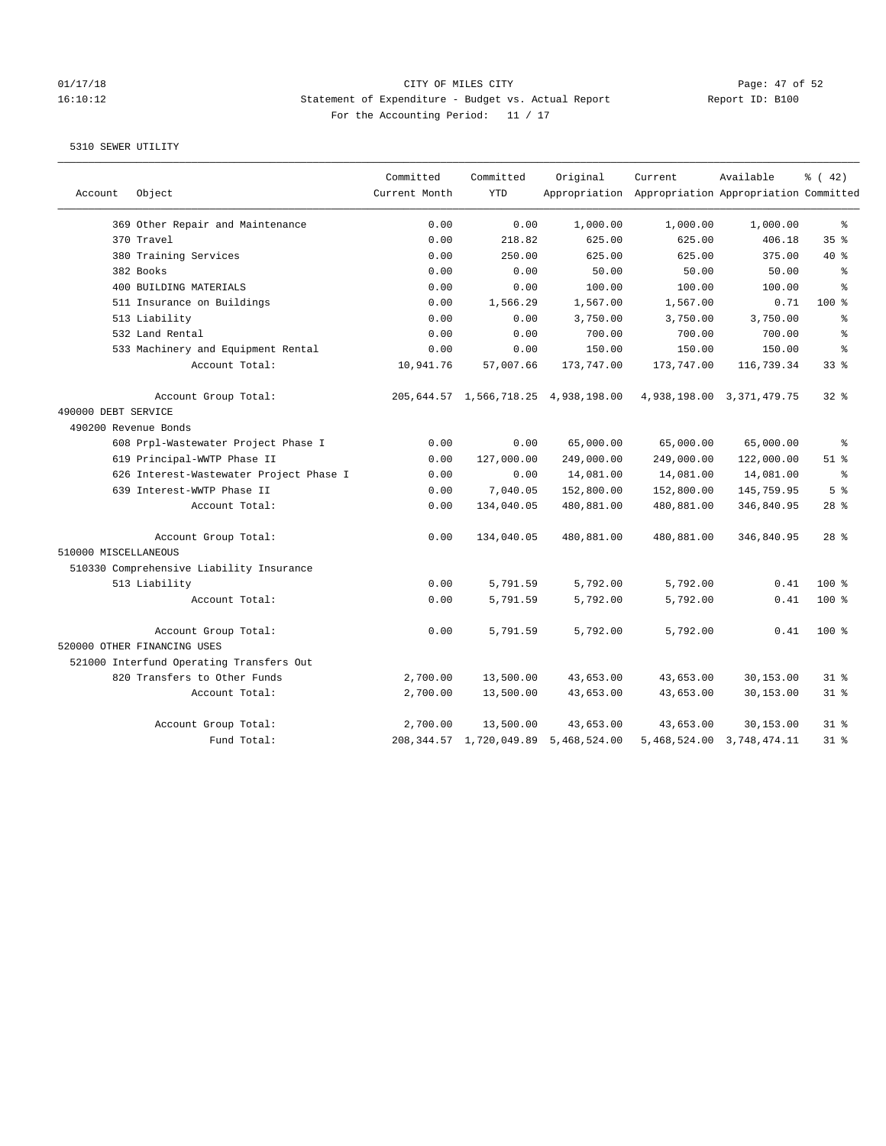# 01/17/18 Page: 47 of 52 16:10:12 Statement of Expenditure - Budget vs. Actual Report Report ID: B100 For the Accounting Period: 11 / 17

| Account              | Object                                   | Committed<br>Current Month | Committed<br><b>YTD</b>    | Original                             | Current<br>Appropriation Appropriation Appropriation Committed | Available                     | $*(42)$        |
|----------------------|------------------------------------------|----------------------------|----------------------------|--------------------------------------|----------------------------------------------------------------|-------------------------------|----------------|
|                      |                                          |                            |                            |                                      |                                                                |                               |                |
|                      | 369 Other Repair and Maintenance         | 0.00                       | 0.00                       | 1,000.00                             | 1,000.00                                                       | 1,000.00                      | နွ             |
|                      | 370 Travel                               | 0.00                       | 218.82                     | 625.00                               | 625.00                                                         | 406.18                        | 35%            |
|                      | 380 Training Services                    | 0.00                       | 250.00                     | 625.00                               | 625.00                                                         | 375.00                        | $40*$          |
|                      | 382 Books                                | 0.00                       | 0.00                       | 50.00                                | 50.00                                                          | 50.00                         | န္             |
|                      | 400 BUILDING MATERIALS                   | 0.00                       | 0.00                       | 100.00                               | 100.00                                                         | 100.00                        | န္             |
|                      | 511 Insurance on Buildings               | 0.00                       | 1,566.29                   | 1,567.00                             | 1,567.00                                                       | 0.71                          | 100 %          |
|                      | 513 Liability                            | 0.00                       | 0.00                       | 3,750.00                             | 3,750.00                                                       | 3,750.00                      | န္             |
|                      | 532 Land Rental                          | 0.00                       | 0.00                       | 700.00                               | 700.00                                                         | 700.00                        | န့             |
|                      | 533 Machinery and Equipment Rental       | 0.00                       | 0.00                       | 150.00                               | 150.00                                                         | 150.00                        | န့             |
|                      | Account Total:                           | 10,941.76                  | 57,007.66                  | 173,747.00                           | 173,747.00                                                     | 116,739.34                    | 33%            |
|                      | Account Group Total:                     |                            |                            | 205,644.57 1,566,718.25 4,938,198.00 |                                                                | 4,938,198.00 3,371,479.75     | $32*$          |
| 490000 DEBT SERVICE  |                                          |                            |                            |                                      |                                                                |                               |                |
| 490200 Revenue Bonds |                                          |                            |                            |                                      |                                                                |                               |                |
|                      | 608 Prpl-Wastewater Project Phase I      | 0.00                       | 0.00                       | 65,000.00                            | 65,000.00                                                      | 65,000.00                     | န္             |
|                      | 619 Principal-WWTP Phase II              | 0.00                       | 127,000.00                 | 249,000.00                           | 249,000.00                                                     | 122,000.00                    | $51$ %         |
|                      | 626 Interest-Wastewater Project Phase I  | 0.00                       | 0.00                       | 14,081.00                            | 14,081.00                                                      | 14,081.00                     | နွ             |
|                      | 639 Interest-WWTP Phase II               | 0.00                       | 7,040.05                   | 152,800.00                           | 152,800.00                                                     | 145,759.95                    | 5 <sup>8</sup> |
|                      | Account Total:                           | 0.00                       | 134,040.05                 | 480,881.00                           | 480,881.00                                                     | 346,840.95                    | $28$ %         |
|                      | Account Group Total:                     | 0.00                       | 134,040.05                 | 480,881.00                           | 480,881.00                                                     | 346,840.95                    | $28$ $%$       |
| 510000 MISCELLANEOUS |                                          |                            |                            |                                      |                                                                |                               |                |
|                      | 510330 Comprehensive Liability Insurance |                            |                            |                                      |                                                                |                               |                |
|                      | 513 Liability                            | 0.00                       | 5,791.59                   | 5,792.00                             | 5,792.00                                                       | 0.41                          | $100*$         |
|                      | Account Total:                           | 0.00                       | 5,791.59                   | 5,792.00                             | 5,792.00                                                       | 0.41                          | 100%           |
|                      | Account Group Total:                     | 0.00                       | 5,791.59                   | 5,792.00                             | 5,792.00                                                       | 0.41                          | $100*$         |
|                      | 520000 OTHER FINANCING USES              |                            |                            |                                      |                                                                |                               |                |
|                      | 521000 Interfund Operating Transfers Out |                            |                            |                                      |                                                                |                               |                |
|                      | 820 Transfers to Other Funds             | 2,700.00                   | 13,500.00                  | 43,653.00                            | 43,653.00                                                      | 30,153.00                     | $31$ $8$       |
|                      | Account Total:                           | 2,700.00                   | 13,500.00                  | 43,653.00                            | 43,653.00                                                      | 30,153.00                     | 318            |
|                      | Account Group Total:                     | 2,700.00                   | 13,500.00                  | 43,653.00                            | 43,653.00                                                      | 30,153.00                     | $31$ $%$       |
|                      | Fund Total:                              |                            | 208, 344.57 1, 720, 049.89 | 5,468,524.00                         |                                                                | 5, 468, 524.00 3, 748, 474.11 | 31.8           |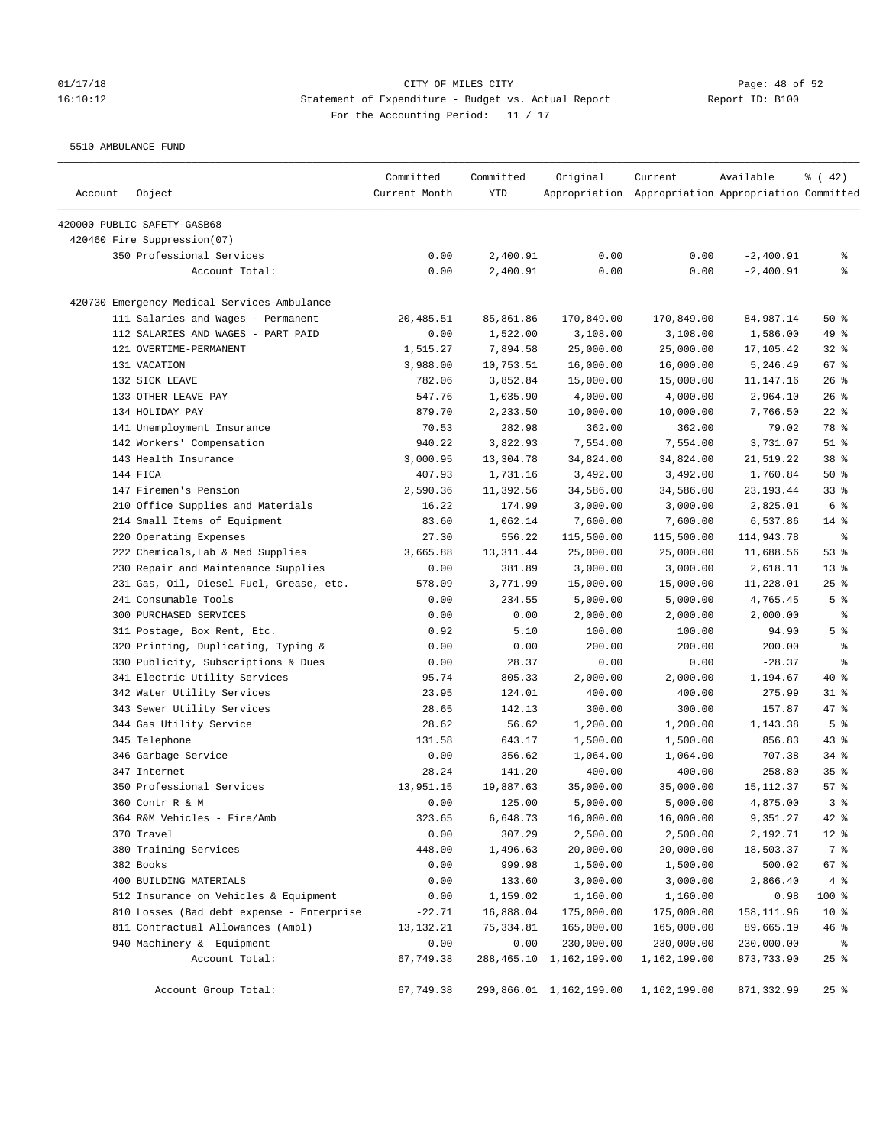### 01/17/18 Page: 48 of 52 16:10:12 Statement of Expenditure - Budget vs. Actual Report Report ID: B100 For the Accounting Period: 11 / 17

5510 AMBULANCE FUND

| Account | Object                                      | Committed<br>Current Month | Committed<br>YTD | Original                | Current<br>Appropriation Appropriation Appropriation Committed | Available   | % (42)             |
|---------|---------------------------------------------|----------------------------|------------------|-------------------------|----------------------------------------------------------------|-------------|--------------------|
|         | 420000 PUBLIC SAFETY-GASB68                 |                            |                  |                         |                                                                |             |                    |
|         | 420460 Fire Suppression(07)                 |                            |                  |                         |                                                                |             |                    |
|         | 350 Professional Services                   | 0.00                       | 2,400.91         | 0.00                    | 0.00                                                           | $-2,400.91$ | ႜ                  |
|         | Account Total:                              | 0.00                       | 2,400.91         | 0.00                    | 0.00                                                           | $-2,400.91$ | ి                  |
|         | 420730 Emergency Medical Services-Ambulance |                            |                  |                         |                                                                |             |                    |
|         | 111 Salaries and Wages - Permanent          | 20,485.51                  | 85,861.86        | 170,849.00              | 170,849.00                                                     | 84,987.14   | 50%                |
|         | 112 SALARIES AND WAGES - PART PAID          | 0.00                       | 1,522.00         | 3,108.00                | 3,108.00                                                       | 1,586.00    | 49 %               |
|         | 121 OVERTIME-PERMANENT                      | 1,515.27                   | 7,894.58         | 25,000.00               | 25,000.00                                                      | 17,105.42   | $32$ $%$           |
|         | 131 VACATION                                | 3,988.00                   | 10,753.51        | 16,000.00               | 16,000.00                                                      | 5,246.49    | 67%                |
|         | 132 SICK LEAVE                              | 782.06                     | 3,852.84         | 15,000.00               | 15,000.00                                                      | 11,147.16   | $26$ %             |
|         | 133 OTHER LEAVE PAY                         | 547.76                     | 1,035.90         | 4,000.00                | 4,000.00                                                       | 2,964.10    | $26$ %             |
|         | 134 HOLIDAY PAY                             | 879.70                     | 2,233.50         | 10,000.00               | 10,000.00                                                      | 7,766.50    | $22$ %             |
|         | 141 Unemployment Insurance                  | 70.53                      | 282.98           | 362.00                  | 362.00                                                         | 79.02       | 78 %               |
|         | 142 Workers' Compensation                   | 940.22                     | 3,822.93         | 7,554.00                | 7,554.00                                                       | 3,731.07    | $51$ %             |
|         | 143 Health Insurance                        | 3,000.95                   | 13,304.78        | 34,824.00               | 34,824.00                                                      | 21,519.22   | 38 <sup>8</sup>    |
|         | 144 FICA                                    | 407.93                     | 1,731.16         | 3,492.00                | 3,492.00                                                       | 1,760.84    | 50%                |
|         | 147 Firemen's Pension                       | 2,590.36                   | 11,392.56        | 34,586.00               | 34,586.00                                                      | 23, 193.44  | 33%                |
|         | 210 Office Supplies and Materials           | 16.22                      | 174.99           | 3,000.00                | 3,000.00                                                       | 2,825.01    | 6 %                |
|         | 214 Small Items of Equipment                | 83.60                      | 1,062.14         | 7,600.00                | 7,600.00                                                       | 6,537.86    | $14*$              |
|         | 220 Operating Expenses                      | 27.30                      | 556.22           | 115,500.00              | 115,500.00                                                     | 114,943.78  | နွ                 |
|         | 222 Chemicals, Lab & Med Supplies           | 3,665.88                   | 13, 311.44       | 25,000.00               | 25,000.00                                                      | 11,688.56   | 53%                |
|         | 230 Repair and Maintenance Supplies         | 0.00                       | 381.89           | 3,000.00                | 3,000.00                                                       | 2,618.11    | 13 <sup>°</sup>    |
|         | 231 Gas, Oil, Diesel Fuel, Grease, etc.     | 578.09                     | 3,771.99         | 15,000.00               | 15,000.00                                                      | 11,228.01   | $25$ %             |
|         | 241 Consumable Tools                        | 0.00                       | 234.55           | 5,000.00                | 5,000.00                                                       | 4,765.45    | 5 <sup>8</sup>     |
|         | 300 PURCHASED SERVICES                      | 0.00                       | 0.00             | 2,000.00                | 2,000.00                                                       | 2,000.00    | ್ಠಿ                |
|         | 311 Postage, Box Rent, Etc.                 | 0.92                       | 5.10             | 100.00                  | 100.00                                                         | 94.90       | 5 <sup>8</sup>     |
|         | 320 Printing, Duplicating, Typing &         | 0.00                       | 0.00             | 200.00                  | 200.00                                                         | 200.00      | ್ಠಿ                |
|         | 330 Publicity, Subscriptions & Dues         | 0.00                       | 28.37            | 0.00                    | 0.00                                                           | $-28.37$    | ್ಠಿ                |
|         | 341 Electric Utility Services               | 95.74                      | 805.33           | 2,000.00                | 2,000.00                                                       | 1,194.67    | $40*$              |
|         | 342 Water Utility Services                  | 23.95                      | 124.01           | 400.00                  | 400.00                                                         | 275.99      | $31$ $\frac{6}{3}$ |
|         | 343 Sewer Utility Services                  | 28.65                      | 142.13           | 300.00                  | 300.00                                                         | 157.87      | 47 %               |
|         | 344 Gas Utility Service                     | 28.62                      | 56.62            | 1,200.00                | 1,200.00                                                       | 1,143.38    | 5 <sup>8</sup>     |
|         | 345 Telephone                               | 131.58                     | 643.17           | 1,500.00                | 1,500.00                                                       | 856.83      | $43$ %             |
|         | 346 Garbage Service                         | 0.00                       | 356.62           | 1,064.00                | 1,064.00                                                       | 707.38      | $34$ $%$           |
|         | 347 Internet                                | 28.24                      | 141.20           | 400.00                  | 400.00                                                         | 258.80      | 35%                |
|         | 350 Professional Services                   | 13,951.15                  | 19,887.63        | 35,000.00               | 35,000.00                                                      | 15, 112.37  | 57%                |
|         | 360 Contr R & M                             | 0.00                       | 125.00           | 5,000.00                | 5,000.00                                                       | 4,875.00    | 3 %                |
|         | 364 R&M Vehicles - Fire/Amb                 | 323.65                     | 6,648.73         | 16,000.00               | 16,000.00                                                      | 9,351.27    | $42$ %             |
|         | 370 Travel                                  | 0.00                       | 307.29           | 2,500.00                | 2,500.00                                                       | 2,192.71    | $12$ %             |
|         | 380 Training Services                       | 448.00                     | 1,496.63         | 20,000.00               | 20,000.00                                                      | 18,503.37   | 7 %                |
|         | 382 Books                                   | 0.00                       | 999.98           | 1,500.00                | 1,500.00                                                       | 500.02      | 67%                |
|         | 400 BUILDING MATERIALS                      | 0.00                       | 133.60           | 3,000.00                | 3,000.00                                                       | 2,866.40    | 4%                 |
|         | 512 Insurance on Vehicles & Equipment       | 0.00                       | 1,159.02         | 1,160.00                | 1,160.00                                                       | 0.98        | 100 %              |
|         | 810 Losses (Bad debt expense - Enterprise   | $-22.71$                   | 16,888.04        | 175,000.00              | 175,000.00                                                     | 158,111.96  | $10*$              |
|         | 811 Contractual Allowances (Ambl)           | 13, 132. 21                | 75,334.81        | 165,000.00              | 165,000.00                                                     | 89,665.19   | 46%                |
|         | 940 Machinery & Equipment                   | 0.00                       | 0.00             | 230,000.00              | 230,000.00                                                     | 230,000.00  | ಿ                  |
|         | Account Total:                              | 67,749.38                  |                  | 288,465.10 1,162,199.00 | 1,162,199.00                                                   | 873,733.90  | $25$ $%$           |
|         | Account Group Total:                        | 67,749.38                  |                  | 290,866.01 1,162,199.00 | 1,162,199.00                                                   | 871,332.99  | $25$ $%$           |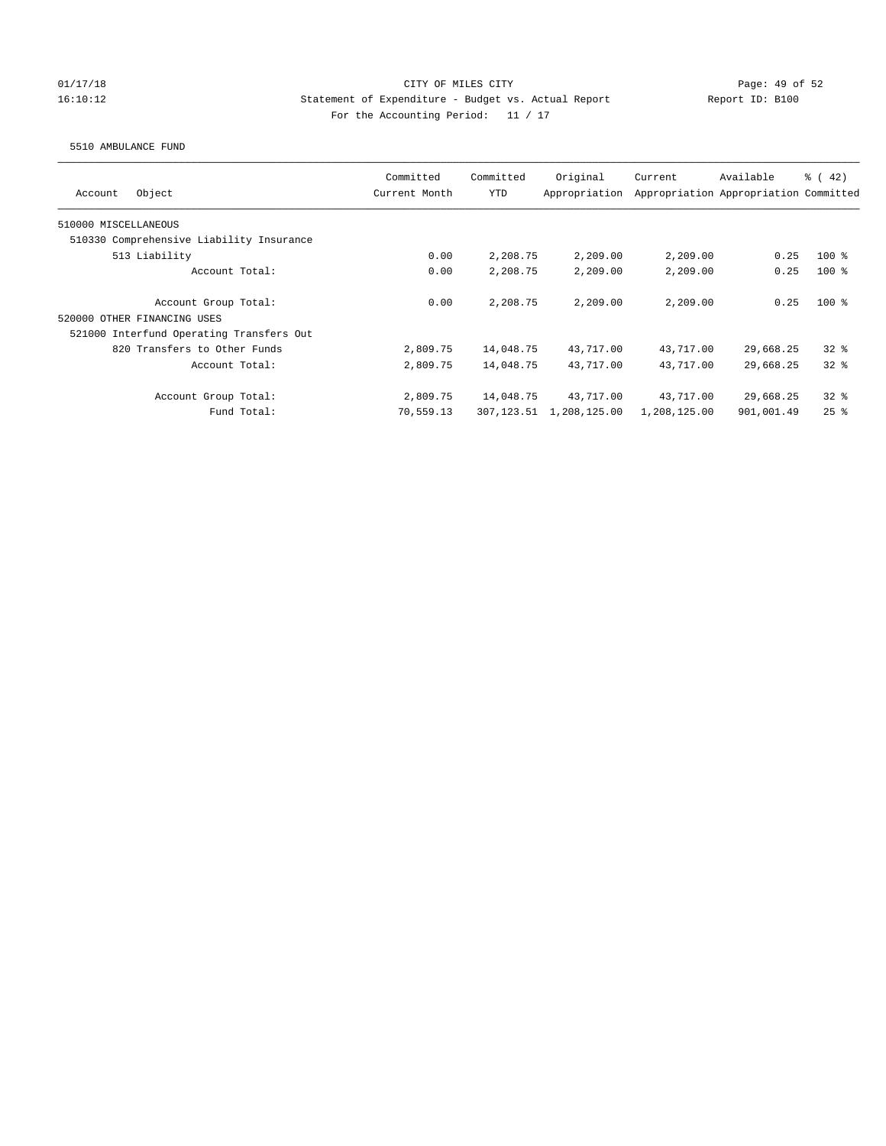## 01/17/18 Page: 49 of 52 16:10:12 Statement of Expenditure - Budget vs. Actual Report Report ID: B100 For the Accounting Period: 11 / 17

### 5510 AMBULANCE FUND

| Object<br>Account                        | Committed<br>Current Month | Committed<br><b>YTD</b> | Original<br>Appropriation | Current      | Available<br>Appropriation Appropriation Committed | $\frac{1}{6}$ ( 42) |
|------------------------------------------|----------------------------|-------------------------|---------------------------|--------------|----------------------------------------------------|---------------------|
| 510000 MISCELLANEOUS                     |                            |                         |                           |              |                                                    |                     |
| 510330 Comprehensive Liability Insurance |                            |                         |                           |              |                                                    |                     |
| 513 Liability                            | 0.00                       | 2,208.75                | 2,209.00                  | 2,209.00     | 0.25                                               | $100*$              |
| Account Total:                           | 0.00                       | 2,208.75                | 2,209.00                  | 2,209.00     | 0.25                                               | $100*$              |
| Account Group Total:                     | 0.00                       | 2,208.75                | 2,209.00                  | 2,209.00     | 0.25                                               | $100*$              |
| 520000 OTHER FINANCING USES              |                            |                         |                           |              |                                                    |                     |
| 521000 Interfund Operating Transfers Out |                            |                         |                           |              |                                                    |                     |
| 820 Transfers to Other Funds             | 2,809.75                   | 14,048.75               | 43,717.00                 | 43,717.00    | 29,668.25                                          | 328                 |
| Account Total:                           | 2,809.75                   | 14,048.75               | 43,717.00                 | 43,717.00    | 29,668.25                                          | 328                 |
| Account Group Total:                     | 2,809.75                   | 14,048.75               | 43,717.00                 | 43,717.00    | 29,668.25                                          | $32*$               |
| Fund Total:                              | 70,559.13                  | 307,123.51              | 1,208,125.00              | 1,208,125.00 | 901,001.49                                         | $25$ $%$            |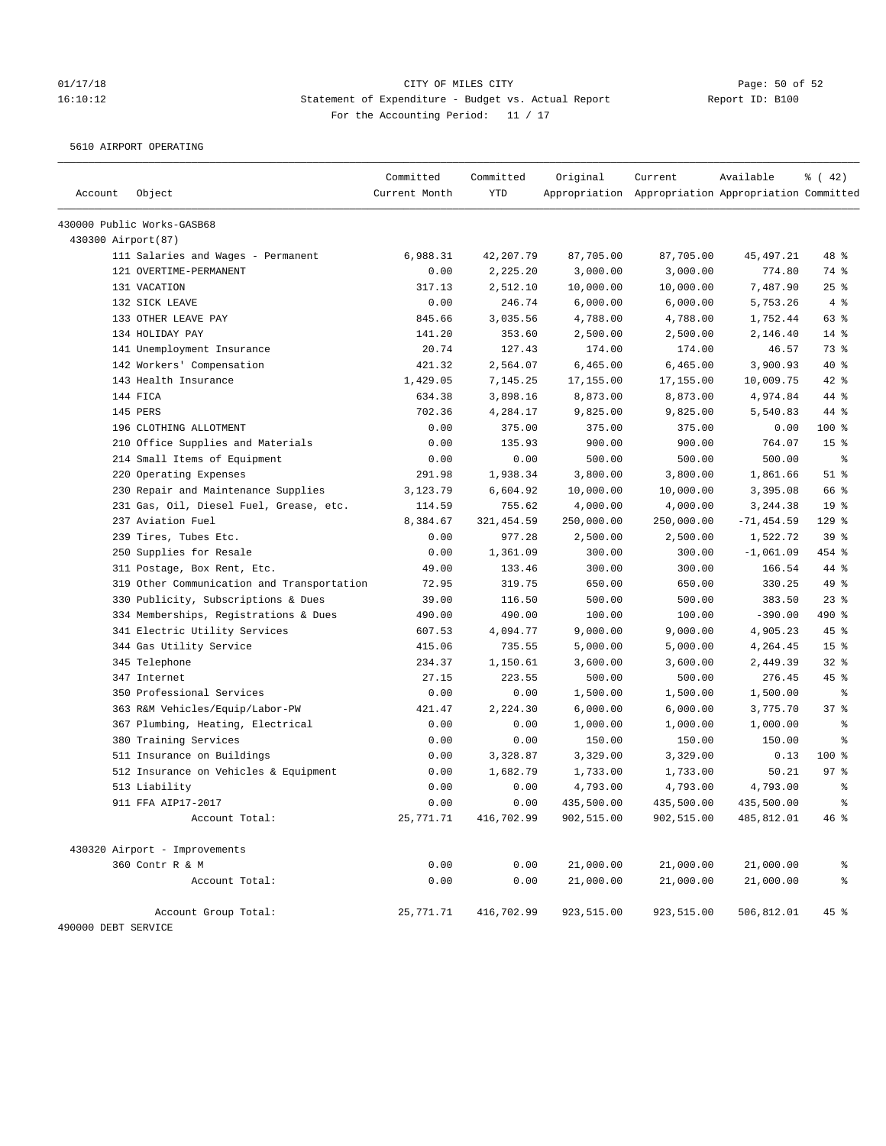## 01/17/18 Page: 50 of 52 16:10:12 Statement of Expenditure - Budget vs. Actual Report Report ID: B100 For the Accounting Period: 11 / 17

5610 AIRPORT OPERATING

| Account             | Object                                     | Committed<br>Current Month | Committed<br><b>YTD</b> | Original   | Current<br>Appropriation Appropriation Appropriation Committed | Available     | $\frac{1}{6}$ ( 42) |
|---------------------|--------------------------------------------|----------------------------|-------------------------|------------|----------------------------------------------------------------|---------------|---------------------|
|                     | 430000 Public Works-GASB68                 |                            |                         |            |                                                                |               |                     |
| 430300 Airport (87) |                                            |                            |                         |            |                                                                |               |                     |
|                     | 111 Salaries and Wages - Permanent         | 6,988.31                   | 42,207.79               | 87,705.00  | 87,705.00                                                      | 45, 497.21    | 48 %                |
|                     | 121 OVERTIME-PERMANENT                     | 0.00                       | 2,225.20                | 3,000.00   | 3,000.00                                                       | 774.80        | 74 %                |
|                     | 131 VACATION                               | 317.13                     | 2,512.10                | 10,000.00  | 10,000.00                                                      | 7,487.90      | 25%                 |
|                     | 132 SICK LEAVE                             | 0.00                       | 246.74                  | 6,000.00   | 6,000.00                                                       | 5,753.26      | 4%                  |
|                     | 133 OTHER LEAVE PAY                        | 845.66                     | 3,035.56                | 4,788.00   | 4,788.00                                                       | 1,752.44      | 63 %                |
|                     | 134 HOLIDAY PAY                            | 141.20                     | 353.60                  | 2,500.00   | 2,500.00                                                       | 2,146.40      | $14$ %              |
|                     | 141 Unemployment Insurance                 | 20.74                      | 127.43                  | 174.00     | 174.00                                                         | 46.57         | 73 %                |
|                     | 142 Workers' Compensation                  | 421.32                     | 2,564.07                | 6,465.00   | 6,465.00                                                       | 3,900.93      | 40 %                |
|                     | 143 Health Insurance                       | 1,429.05                   | 7,145.25                | 17,155.00  | 17,155.00                                                      | 10,009.75     | $42$ %              |
|                     | 144 FICA                                   | 634.38                     | 3,898.16                | 8,873.00   | 8,873.00                                                       | 4,974.84      | 44 %                |
|                     | 145 PERS                                   | 702.36                     | 4,284.17                | 9,825.00   | 9,825.00                                                       | 5,540.83      | 44 %                |
|                     | 196 CLOTHING ALLOTMENT                     | 0.00                       | 375.00                  | 375.00     | 375.00                                                         | 0.00          | 100 %               |
|                     | 210 Office Supplies and Materials          | 0.00                       | 135.93                  | 900.00     | 900.00                                                         | 764.07        | 15 <sup>°</sup>     |
|                     | 214 Small Items of Equipment               | 0.00                       | 0.00                    | 500.00     | 500.00                                                         | 500.00        | $\epsilon$          |
|                     | 220 Operating Expenses                     | 291.98                     | 1,938.34                | 3,800.00   | 3,800.00                                                       | 1,861.66      | $51$ %              |
|                     | 230 Repair and Maintenance Supplies        | 3,123.79                   | 6,604.92                | 10,000.00  | 10,000.00                                                      | 3,395.08      | 66 %                |
|                     | 231 Gas, Oil, Diesel Fuel, Grease, etc.    | 114.59                     | 755.62                  | 4,000.00   | 4,000.00                                                       | 3,244.38      | 19 <sup>°</sup>     |
|                     | 237 Aviation Fuel                          | 8,384.67                   | 321, 454.59             | 250,000.00 | 250,000.00                                                     | $-71, 454.59$ | 129 %               |
|                     | 239 Tires, Tubes Etc.                      | 0.00                       | 977.28                  | 2,500.00   | 2,500.00                                                       | 1,522.72      | 39 <sup>8</sup>     |
|                     | 250 Supplies for Resale                    | 0.00                       | 1,361.09                | 300.00     | 300.00                                                         | $-1,061.09$   | 454 %               |
|                     | 311 Postage, Box Rent, Etc.                | 49.00                      | 133.46                  | 300.00     | 300.00                                                         | 166.54        | 44 %                |
|                     | 319 Other Communication and Transportation | 72.95                      | 319.75                  | 650.00     | 650.00                                                         | 330.25        | 49 %                |
|                     | 330 Publicity, Subscriptions & Dues        | 39.00                      | 116.50                  | 500.00     | 500.00                                                         | 383.50        | 23%                 |
|                     | 334 Memberships, Registrations & Dues      | 490.00                     | 490.00                  | 100.00     | 100.00                                                         | $-390.00$     | 490 %               |
|                     | 341 Electric Utility Services              | 607.53                     | 4,094.77                | 9,000.00   | 9,000.00                                                       | 4,905.23      | 45 %                |
|                     | 344 Gas Utility Service                    | 415.06                     | 735.55                  | 5,000.00   | 5,000.00                                                       | 4,264.45      | 15 <sup>°</sup>     |
|                     | 345 Telephone                              | 234.37                     | 1,150.61                | 3,600.00   | 3,600.00                                                       | 2,449.39      | $32$ $%$            |
|                     | 347 Internet                               | 27.15                      | 223.55                  | 500.00     | 500.00                                                         | 276.45        | 45 %                |
|                     | 350 Professional Services                  | 0.00                       | 0.00                    | 1,500.00   | 1,500.00                                                       | 1,500.00      | နွ                  |
|                     | 363 R&M Vehicles/Equip/Labor-PW            | 421.47                     | 2,224.30                | 6,000.00   | 6,000.00                                                       | 3,775.70      | 37%                 |
|                     | 367 Plumbing, Heating, Electrical          | 0.00                       | 0.00                    | 1,000.00   | 1,000.00                                                       | 1,000.00      | နွ                  |
|                     | 380 Training Services                      | 0.00                       | 0.00                    | 150.00     | 150.00                                                         | 150.00        | နွ                  |
|                     | 511 Insurance on Buildings                 | 0.00                       | 3,328.87                | 3,329.00   | 3,329.00                                                       | 0.13          | $100$ %             |
|                     | 512 Insurance on Vehicles & Equipment      | 0.00                       | 1,682.79                | 1,733.00   | 1,733.00                                                       | 50.21         | 97%                 |
|                     | 513 Liability                              | 0.00                       | 0.00                    | 4,793.00   | 4,793.00                                                       | 4,793.00      | ್ಠಿ                 |
|                     | 911 FFA AIP17-2017                         | 0.00                       | 0.00                    | 435,500.00 | 435,500.00                                                     | 435,500.00    | နွ                  |
|                     | Account Total:                             | 25,771.71                  | 416,702.99              | 902,515.00 | 902,515.00                                                     | 485,812.01    | 46%                 |
|                     | 430320 Airport - Improvements              |                            |                         |            |                                                                |               |                     |
|                     | 360 Contr R & M                            | 0.00                       | 0.00                    | 21,000.00  | 21,000.00                                                      | 21,000.00     | ိစ                  |
|                     | Account Total:                             | 0.00                       | 0.00                    | 21,000.00  | 21,000.00                                                      | 21,000.00     |                     |
| 490000 DEBT SERVICE | Account Group Total:                       | 25,771.71                  | 416,702.99              | 923,515.00 | 923,515.00                                                     | 506,812.01    | $45$ %              |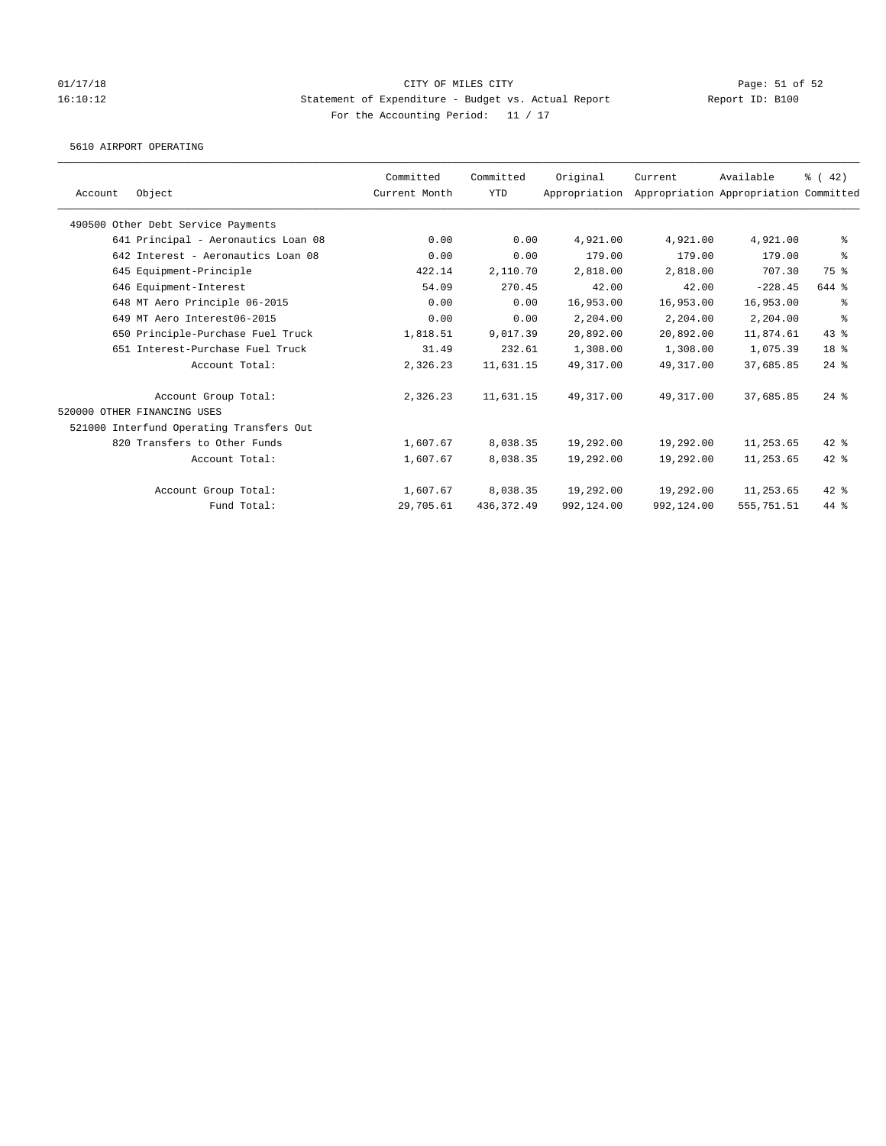### 01/17/18 Page: 51 of 52 16:10:12 Statement of Expenditure - Budget vs. Actual Report Report ID: B100 For the Accounting Period: 11 / 17

5610 AIRPORT OPERATING

| Account | Object                                   | Committed<br>Current Month | Committed<br>YTD | Original<br>Appropriation | Current    | Available<br>Appropriation Appropriation Committed | $\frac{3}{6}$ ( 42) |
|---------|------------------------------------------|----------------------------|------------------|---------------------------|------------|----------------------------------------------------|---------------------|
|         | 490500 Other Debt Service Payments       |                            |                  |                           |            |                                                    |                     |
|         | 641 Principal - Aeronautics Loan 08      | 0.00                       | 0.00             | 4,921.00                  | 4,921.00   | 4,921.00                                           | ႜ                   |
|         | 642 Interest - Aeronautics Loan 08       | 0.00                       | 0.00             | 179.00                    | 179.00     | 179.00                                             | နွ                  |
|         | 645 Equipment-Principle                  | 422.14                     | 2,110.70         | 2,818.00                  | 2,818.00   | 707.30                                             | 75 %                |
|         | 646 Equipment-Interest                   | 54.09                      | 270.45           | 42.00                     | 42.00      | $-228.45$                                          | 644 %               |
|         | 648 MT Aero Principle 06-2015            | 0.00                       | 0.00             | 16,953.00                 | 16,953.00  | 16,953.00                                          | ႜ                   |
|         | 649 MT Aero Interest06-2015              | 0.00                       | 0.00             | 2,204.00                  | 2,204.00   | 2,204.00                                           | နွ                  |
|         | 650 Principle-Purchase Fuel Truck        | 1,818.51                   | 9,017.39         | 20,892.00                 | 20,892.00  | 11,874.61                                          | $43$ %              |
|         | 651 Interest-Purchase Fuel Truck         | 31.49                      | 232.61           | 1,308.00                  | 1,308.00   | 1,075.39                                           | 18 %                |
|         | Account Total:                           | 2,326.23                   | 11,631.15        | 49,317.00                 | 49,317.00  | 37,685.85                                          | $24$ %              |
|         | Account Group Total:                     | 2,326.23                   | 11,631.15        | 49,317.00                 | 49,317.00  | 37,685.85                                          | $24$ $%$            |
|         | 520000 OTHER FINANCING USES              |                            |                  |                           |            |                                                    |                     |
|         | 521000 Interfund Operating Transfers Out |                            |                  |                           |            |                                                    |                     |
|         | 820 Transfers to Other Funds             | 1,607.67                   | 8,038.35         | 19,292.00                 | 19,292.00  | 11,253.65                                          | $42$ %              |
|         | Account Total:                           | 1,607.67                   | 8,038.35         | 19,292.00                 | 19,292.00  | 11,253.65                                          | $42$ %              |
|         | Account Group Total:                     | 1,607.67                   | 8,038.35         | 19,292.00                 | 19,292.00  | 11,253.65                                          | $42$ %              |
|         | Fund Total:                              | 29,705.61                  | 436, 372.49      | 992,124.00                | 992,124.00 | 555,751.51                                         | $44*$               |
|         |                                          |                            |                  |                           |            |                                                    |                     |